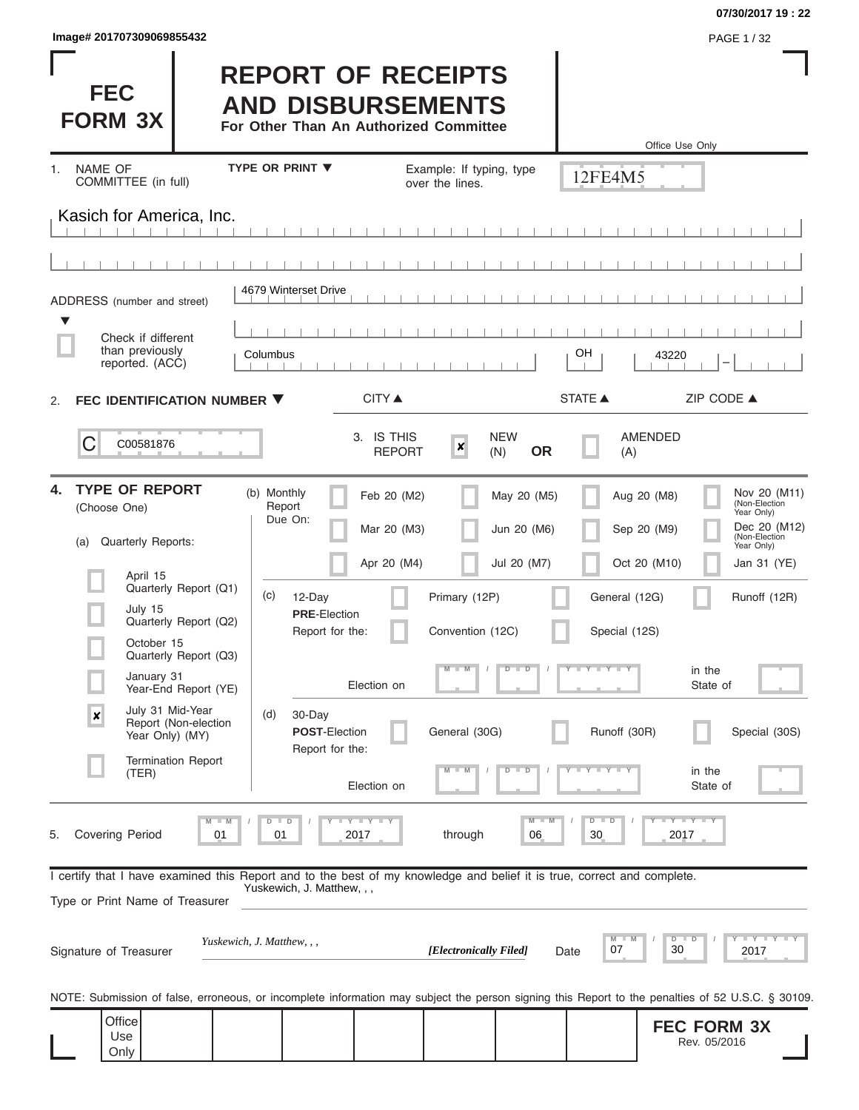#### **07/30/2017 19 : 22**

Rev. 05/2016

|    |                              | lmage# 201707309069855432                                                                                                                                  |    |                                  |                                                                                                 |                          |                                |                                                                  |                                 | PAGE 1/32                                                                                                                                         |
|----|------------------------------|------------------------------------------------------------------------------------------------------------------------------------------------------------|----|----------------------------------|-------------------------------------------------------------------------------------------------|--------------------------|--------------------------------|------------------------------------------------------------------|---------------------------------|---------------------------------------------------------------------------------------------------------------------------------------------------|
|    | <b>FEC</b><br><b>FORM 3X</b> |                                                                                                                                                            |    |                                  | <b>REPORT OF RECEIPTS</b><br><b>AND DISBURSEMENTS</b><br>For Other Than An Authorized Committee |                          |                                |                                                                  |                                 |                                                                                                                                                   |
| 1. | NAME OF                      |                                                                                                                                                            |    | <b>TYPE OR PRINT ▼</b>           |                                                                                                 | Example: If typing, type |                                |                                                                  | Office Use Only                 |                                                                                                                                                   |
|    |                              | COMMITTEE (in full)                                                                                                                                        |    |                                  |                                                                                                 | over the lines.          |                                | 12FE4M5                                                          |                                 |                                                                                                                                                   |
|    |                              | Kasich for America, Inc.                                                                                                                                   |    |                                  |                                                                                                 |                          |                                |                                                                  |                                 |                                                                                                                                                   |
|    |                              |                                                                                                                                                            |    |                                  |                                                                                                 |                          |                                |                                                                  |                                 |                                                                                                                                                   |
|    |                              | ADDRESS (number and street)                                                                                                                                |    | 4679 Winterset Drive             |                                                                                                 |                          |                                |                                                                  |                                 |                                                                                                                                                   |
|    |                              | Check if different<br>than previously<br>reported. (ACC)                                                                                                   |    | Columbus                         |                                                                                                 |                          |                                | OН                                                               | 43220                           |                                                                                                                                                   |
| 2. |                              | FEC IDENTIFICATION NUMBER ▼                                                                                                                                |    |                                  | CITY ▲                                                                                          |                          |                                | STATE A                                                          |                                 | ZIP CODE ▲                                                                                                                                        |
|    | C                            | C00581876                                                                                                                                                  |    |                                  | 3. IS THIS<br><b>REPORT</b>                                                                     | $\boldsymbol{x}$         | <b>NEW</b><br><b>OR</b><br>(N) | (A)                                                              | <b>AMENDED</b>                  |                                                                                                                                                   |
| 4. | (Choose One)<br>(a)          | <b>TYPE OF REPORT</b><br>Quarterly Reports:                                                                                                                |    | (b) Monthly<br>Report<br>Due On: | Feb 20 (M2)<br>Mar 20 (M3)                                                                      |                          | May 20 (M5)<br>Jun 20 (M6)     |                                                                  | Aug 20 (M8)<br>Sep 20 (M9)      | Nov 20 (M11)<br>(Non-Election<br>Year Only)<br>Dec 20 (M12)<br>(Non-Election<br>Year Only)                                                        |
|    |                              | April 15<br>Quarterly Report (Q1)                                                                                                                          |    |                                  | Apr 20 (M4)                                                                                     |                          | Jul 20 (M7)                    |                                                                  | Oct 20 (M10)                    | Jan 31 (YE)                                                                                                                                       |
|    |                              | July 15<br>Quarterly Report (Q2)                                                                                                                           |    | (c)<br>12-Day                    | <b>PRE-Election</b>                                                                             | Primary (12P)            |                                | General (12G)                                                    |                                 | Runoff (12R)                                                                                                                                      |
|    | ш                            | October 15<br>Quarterly Report (Q3)                                                                                                                        |    |                                  | Report for the:                                                                                 | Convention (12C)         |                                | Special (12S)                                                    |                                 |                                                                                                                                                   |
|    |                              | January 31<br>Year-End Report (YE)                                                                                                                         |    |                                  | Election on                                                                                     | $- M$                    | ъ<br>$\overline{D}$            | Y TY TY TY                                                       | in the<br>State of              |                                                                                                                                                   |
|    | $\boldsymbol{x}$             | July 31 Mid-Year<br>Report (Non-election<br>Year Only) (MY)                                                                                                |    | 30-Day<br>(d)                    | <b>POST-Election</b><br>Report for the:                                                         | General (30G)            |                                | Runoff (30R)                                                     |                                 | Special (30S)                                                                                                                                     |
|    |                              | <b>Termination Report</b><br>(TER)                                                                                                                         |    |                                  | Election on                                                                                     | 7V)                      | D<br>D                         | $\mathbf{I} = \mathbf{Y} - \mathbf{I} - \mathbf{Y} - \mathbf{I}$ | in the<br>State of              |                                                                                                                                                   |
| 5. | <b>Covering Period</b>       |                                                                                                                                                            | 01 | $D$ $D$<br>01                    | Y I Y I Y<br>2017                                                                               | through                  | M<br>06                        | $D - I$<br>D<br>30                                               | $T - Y$ $T - Y$ $T - Y$<br>2017 |                                                                                                                                                   |
|    |                              | I certify that I have examined this Report and to the best of my knowledge and belief it is true, correct and complete.<br>Type or Print Name of Treasurer |    | Yuskewich, J. Matthew, , ,       |                                                                                                 |                          |                                |                                                                  |                                 |                                                                                                                                                   |
|    | Signature of Treasurer       |                                                                                                                                                            |    | Yuskewich, J. Matthew, , ,       |                                                                                                 |                          | [Electronically Filed]         | M<br>07<br>Date                                                  | D<br>D<br>30                    | $T - Y$ $T - Y$ $T - Y$<br>2017                                                                                                                   |
|    |                              |                                                                                                                                                            |    |                                  |                                                                                                 |                          |                                |                                                                  |                                 | NOTE: Submission of false, erroneous, or incomplete information may subject the person signing this Report to the penalties of 52 U.S.C. § 30109. |
|    | Office                       |                                                                                                                                                            |    |                                  |                                                                                                 |                          |                                |                                                                  | <b>FEC FORM 3X</b>              |                                                                                                                                                   |

Use Only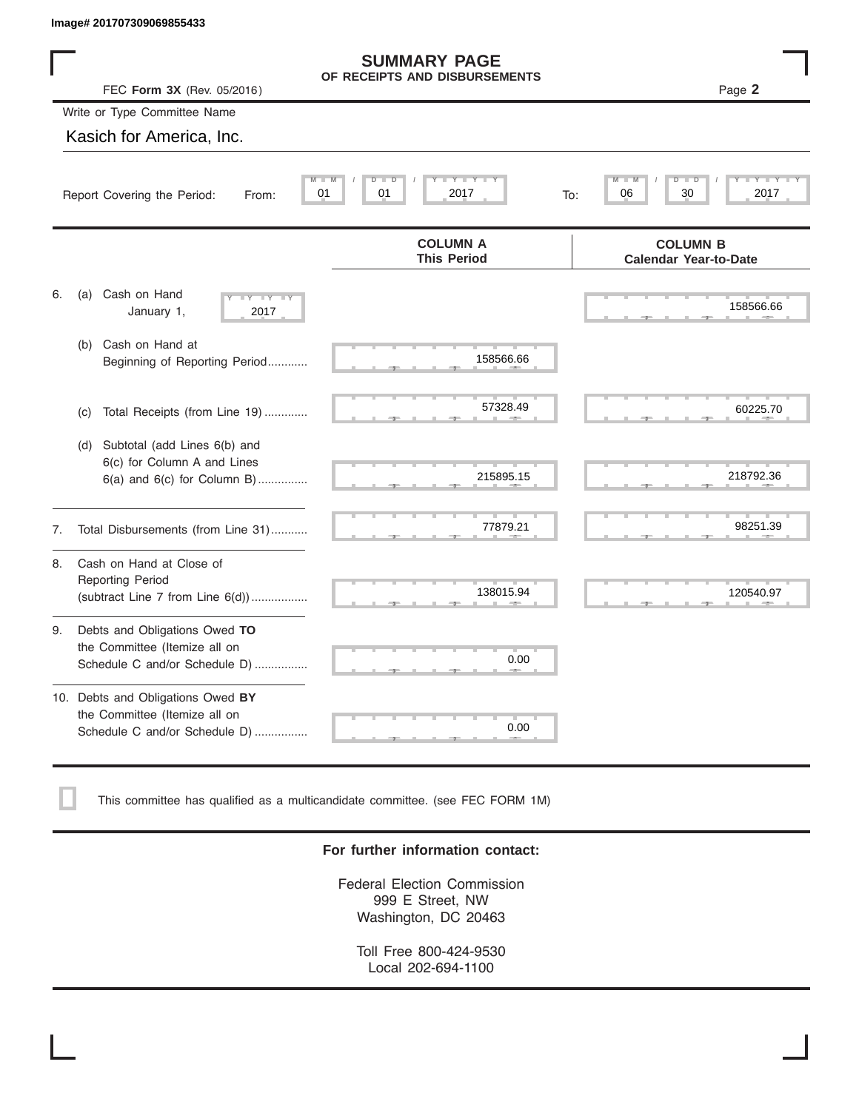|    | Image# 201707309069855433                                                                             |                                                      |                                                 |
|----|-------------------------------------------------------------------------------------------------------|------------------------------------------------------|-------------------------------------------------|
|    | FEC Form 3X (Rev. 05/2016)                                                                            | <b>SUMMARY PAGE</b><br>OF RECEIPTS AND DISBURSEMENTS | Page 2                                          |
|    | Write or Type Committee Name                                                                          |                                                      |                                                 |
|    | Kasich for America, Inc.                                                                              |                                                      |                                                 |
|    | 01<br>Report Covering the Period:<br>From:                                                            | Y TYT<br>D<br>D<br>01<br>2017<br>To:                 | M<br>Ď<br>30<br>06<br>2017                      |
|    |                                                                                                       | <b>COLUMN A</b><br><b>This Period</b>                | <b>COLUMN B</b><br><b>Calendar Year-to-Date</b> |
| 6. | Cash on Hand<br>(a)<br>$-Y - Y - Y$<br>January 1,<br>2017                                             |                                                      | 158566.66                                       |
|    | Cash on Hand at<br>(b)<br>Beginning of Reporting Period                                               | 158566.66                                            |                                                 |
|    | Total Receipts (from Line 19)<br>(c)                                                                  | 57328.49                                             | 60225.70                                        |
|    | Subtotal (add Lines 6(b) and<br>(d)<br>6(c) for Column A and Lines<br>$6(a)$ and $6(c)$ for Column B) | 215895.15                                            | 218792.36                                       |
| 7. | Total Disbursements (from Line 31)                                                                    | 77879.21                                             | 98251.39                                        |
| 8. | Cash on Hand at Close of<br><b>Reporting Period</b><br>(subtract Line $7$ from Line $6(d)$ )          | 138015.94                                            | 120540.97                                       |
| 9. | Debts and Obligations Owed TO<br>the Committee (Itemize all on<br>Schedule C and/or Schedule D)       | 0.00                                                 |                                                 |
|    | 10. Debts and Obligations Owed BY<br>the Committee (Itemize all on<br>Schedule C and/or Schedule D)   | т<br>0.00                                            |                                                 |

This committee has qualified as a multicandidate committee. (see FEC FORM 1M)

#### **For further information contact:**

Federal Election Commission 999 E Street, NW Washington, DC 20463

Toll Free 800-424-9530 Local 202-694-1100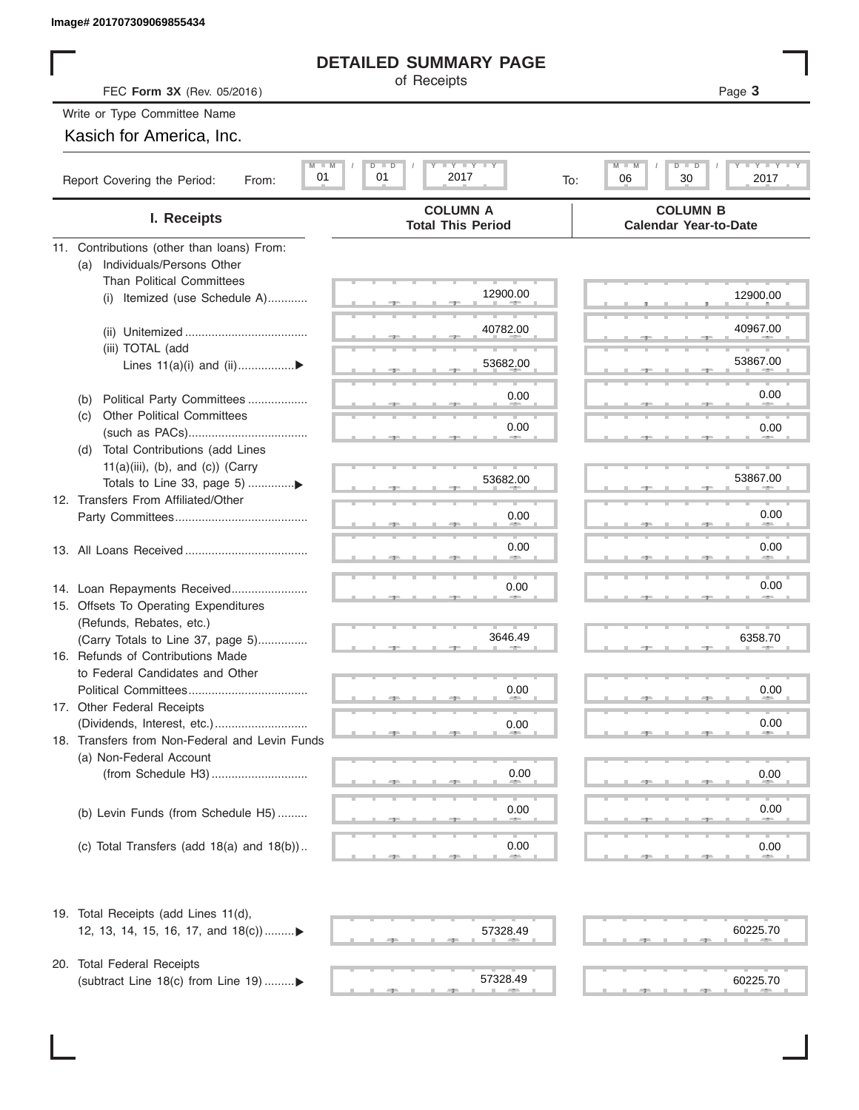# **DETAILED SUMMARY PAGE**

|                                                                        | <b>DETAILED SUMMARY PAGE</b>                |                                                 |
|------------------------------------------------------------------------|---------------------------------------------|-------------------------------------------------|
| FEC Form 3X (Rev. 05/2016)                                             | of Receipts                                 | Page 3                                          |
| Write or Type Committee Name                                           |                                             |                                                 |
| Kasich for America, Inc.                                               |                                             |                                                 |
| $M - M$                                                                | $I - Y - I - Y - I - Y$<br>$D$ $D$          | $\blacksquare$<br>$M - M$<br>$D$ $\Box$<br>ъ    |
| 01<br>Report Covering the Period:<br>From:                             | 01<br>2017<br>To:                           | 06<br>30<br>2017                                |
| I. Receipts                                                            | <b>COLUMN A</b><br><b>Total This Period</b> | <b>COLUMN B</b><br><b>Calendar Year-to-Date</b> |
| 11. Contributions (other than loans) From:                             |                                             |                                                 |
| Individuals/Persons Other<br>(a)                                       |                                             |                                                 |
| <b>Than Political Committees</b><br>(i) Itemized (use Schedule A)      | 12900.00                                    | 12900.00                                        |
|                                                                        |                                             |                                                 |
|                                                                        | 40782.00                                    | 40967.00                                        |
| (iii) TOTAL (add                                                       |                                             |                                                 |
| Lines 11(a)(i) and (ii)▶                                               | 53682.00                                    | 53867.00                                        |
|                                                                        | 0.00                                        | 0.00                                            |
| Political Party Committees<br>(b)<br><b>Other Political Committees</b> |                                             |                                                 |
| (C)                                                                    | 0.00                                        | 0.00                                            |
| Total Contributions (add Lines<br>(d)                                  |                                             |                                                 |
| $11(a)(iii)$ , (b), and (c)) (Carry                                    |                                             |                                                 |
| Totals to Line 33, page 5) ▶                                           | 53682.00                                    | 53867.00                                        |
| 12. Transfers From Affiliated/Other                                    |                                             | 0.00                                            |
|                                                                        | 0.00                                        |                                                 |
|                                                                        | 0.00                                        | 0.00                                            |
|                                                                        |                                             |                                                 |
| 14. Loan Repayments Received                                           | 0.00                                        | 0.00                                            |
| 15. Offsets To Operating Expenditures                                  |                                             |                                                 |
| (Refunds, Rebates, etc.)                                               |                                             |                                                 |
| (Carry Totals to Line 37, page 5)                                      | 3646.49                                     | 6358.70                                         |
| 16. Refunds of Contributions Made                                      |                                             |                                                 |
| to Federal Candidates and Other<br>Political Committees                | 0.00                                        | 0.00                                            |
| 17. Other Federal Receipts                                             |                                             |                                                 |
|                                                                        | 0.00                                        | 0.00                                            |
| 18. Transfers from Non-Federal and Levin Funds                         |                                             |                                                 |
| (a) Non-Federal Account                                                |                                             |                                                 |
|                                                                        | 0.00                                        | 0.00                                            |
|                                                                        |                                             | 0.00                                            |
| (b) Levin Funds (from Schedule H5)                                     | 0.00                                        |                                                 |
| (c) Total Transfers (add $18(a)$ and $18(b)$ )                         | 0.00                                        | 0.00                                            |
|                                                                        |                                             |                                                 |
| 19. Total Receipts (add Lines 11(d),                                   |                                             |                                                 |
| 12, 13, 14, 15, 16, 17, and 18(c)                                      | 57328.49                                    | 60225.70                                        |
|                                                                        |                                             |                                                 |
| 20. Total Federal Receipts                                             |                                             |                                                 |
| (subtract Line 18(c) from Line 19) ▶                                   | 57328.49                                    | 60225.70                                        |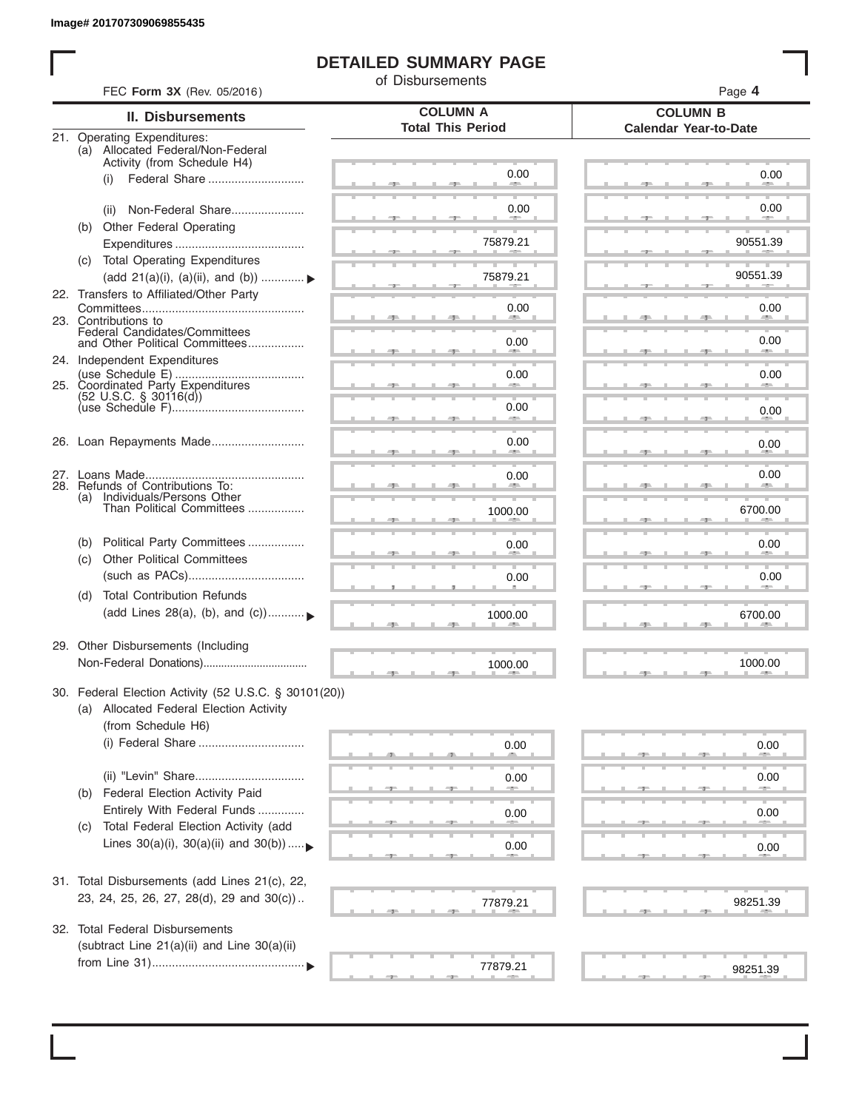# **DETAILED SUMMARY PAGE**

of Disbursements

|     | FEC Form 3X (Rev. 05/2016)                                                                       | <b>COLUMN A</b>          | Page 4<br><b>COLUMN B</b>    |  |  |  |  |
|-----|--------------------------------------------------------------------------------------------------|--------------------------|------------------------------|--|--|--|--|
|     | <b>II. Disbursements</b>                                                                         | <b>Total This Period</b> |                              |  |  |  |  |
|     | 21. Operating Expenditures:<br>(a) Allocated Federal/Non-Federal                                 |                          | <b>Calendar Year-to-Date</b> |  |  |  |  |
|     | Activity (from Schedule H4)                                                                      |                          |                              |  |  |  |  |
|     | Federal Share<br>(i)                                                                             | 0.00                     | 0.00                         |  |  |  |  |
|     | Non-Federal Share<br>(ii)                                                                        | 0.00                     | 0.00                         |  |  |  |  |
| (b) | Other Federal Operating                                                                          |                          |                              |  |  |  |  |
|     |                                                                                                  | 75879.21                 | 90551.39                     |  |  |  |  |
|     | (c) Total Operating Expenditures                                                                 |                          |                              |  |  |  |  |
|     | (add 21(a)(i), (a)(ii), and (b))                                                                 | 75879.21                 | 90551.39                     |  |  |  |  |
|     | 22. Transfers to Affiliated/Other Party                                                          |                          |                              |  |  |  |  |
|     | 23. Contributions to                                                                             | 0.00                     | 0.00<br><b>Allen</b>         |  |  |  |  |
|     | Federal Candidates/Committees<br>and Other Political Committees                                  | 0.00                     | 0.00                         |  |  |  |  |
|     | 24. Independent Expenditures                                                                     |                          | <b>AREA</b>                  |  |  |  |  |
|     |                                                                                                  | 0.00                     | 0.00                         |  |  |  |  |
|     | 25. Coordinated Party Expenditures<br>$(52 \text{ U.S.C. }$ § 30116(d))                          |                          |                              |  |  |  |  |
|     |                                                                                                  | 0.00<br>an a             | 0.00                         |  |  |  |  |
|     |                                                                                                  |                          |                              |  |  |  |  |
|     | 26. Loan Repayments Made                                                                         | 0.00                     | 0.00                         |  |  |  |  |
|     |                                                                                                  | 0.00                     | 0.00                         |  |  |  |  |
|     | 28. Refunds of Contributions To:<br>(a) Individuals/Persons Other                                |                          |                              |  |  |  |  |
|     | Than Political Committees                                                                        | 1000.00                  | 6700.00                      |  |  |  |  |
|     |                                                                                                  |                          |                              |  |  |  |  |
| (b) | Political Party Committees                                                                       | 0.00                     | 0.00                         |  |  |  |  |
| (C) | <b>Other Political Committees</b>                                                                |                          |                              |  |  |  |  |
|     |                                                                                                  | 0.00                     | 0.00                         |  |  |  |  |
| (d) | <b>Total Contribution Refunds</b><br>(add Lines 28(a), (b), and (c))                             |                          |                              |  |  |  |  |
|     |                                                                                                  | 1000.00                  | 6700.00                      |  |  |  |  |
|     | 29. Other Disbursements (Including                                                               |                          |                              |  |  |  |  |
|     |                                                                                                  | 1000.00                  | 1000.00                      |  |  |  |  |
|     |                                                                                                  |                          |                              |  |  |  |  |
|     | 30. Federal Election Activity (52 U.S.C. § 30101(20))<br>(a) Allocated Federal Election Activity |                          |                              |  |  |  |  |
|     | (from Schedule H6)                                                                               |                          |                              |  |  |  |  |
|     | (i) Federal Share                                                                                | 0.00                     | 0.00                         |  |  |  |  |
|     |                                                                                                  |                          |                              |  |  |  |  |
|     |                                                                                                  | 0.00                     | 0.00                         |  |  |  |  |
| (b) | Federal Election Activity Paid                                                                   |                          |                              |  |  |  |  |
|     | Entirely With Federal Funds                                                                      | 0.00                     | 0.00                         |  |  |  |  |
| (C) | Total Federal Election Activity (add<br>Lines $30(a)(i)$ , $30(a)(ii)$ and $30(b))$              |                          |                              |  |  |  |  |
|     |                                                                                                  | 0.00                     | 0.00                         |  |  |  |  |
|     | 31. Total Disbursements (add Lines 21(c), 22,                                                    |                          |                              |  |  |  |  |
|     | 23, 24, 25, 26, 27, 28(d), 29 and 30(c))                                                         | 77879.21                 | 98251.39                     |  |  |  |  |
|     |                                                                                                  |                          |                              |  |  |  |  |
| 32. | <b>Total Federal Disbursements</b>                                                               |                          |                              |  |  |  |  |
|     | (subtract Line 21(a)(ii) and Line 30(a)(ii)                                                      |                          |                              |  |  |  |  |
|     |                                                                                                  | 77879.21                 | 98251.39                     |  |  |  |  |
|     |                                                                                                  |                          |                              |  |  |  |  |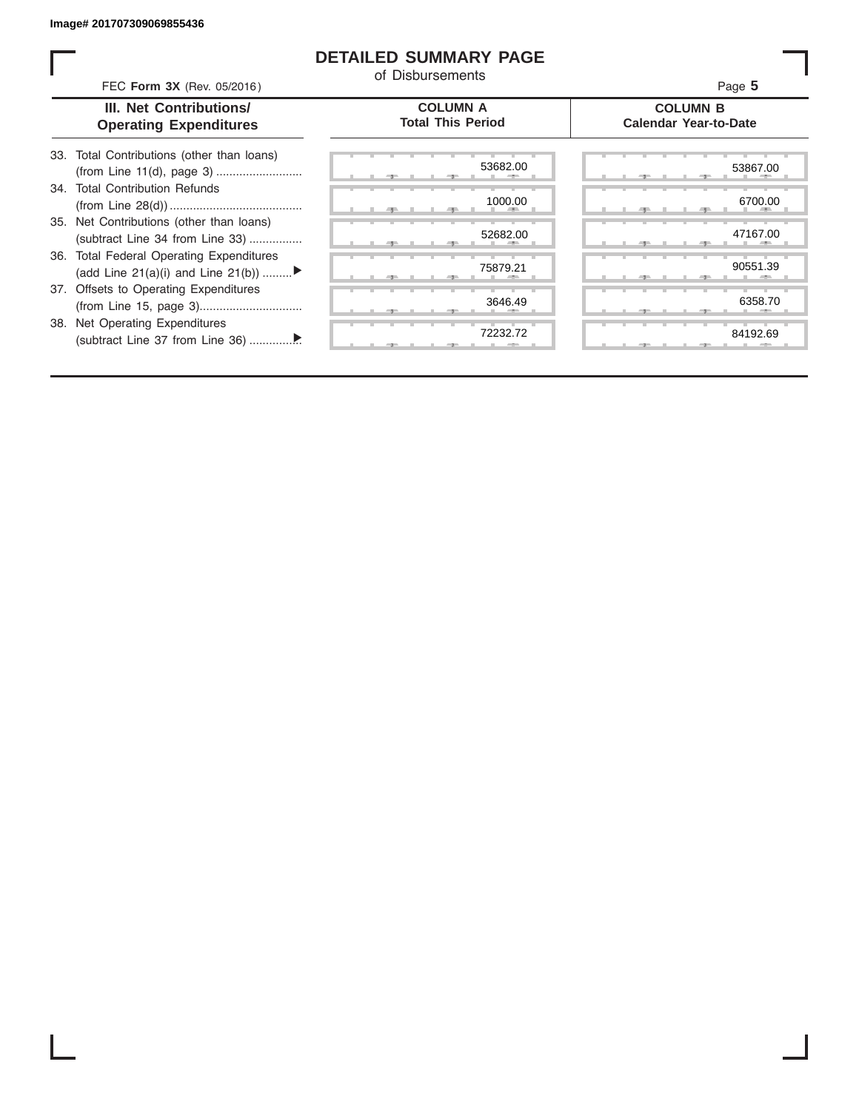### **DETAILED SUMMARY PAGE**

of Disbursements

| FEC Form 3X (Rev. 05/2016)                                                     |                                             | Page 5                                          |
|--------------------------------------------------------------------------------|---------------------------------------------|-------------------------------------------------|
| III. Net Contributions/<br><b>Operating Expenditures</b>                       | <b>COLUMN A</b><br><b>Total This Period</b> | <b>COLUMN B</b><br><b>Calendar Year-to-Date</b> |
| 33. Total Contributions (other than loans)                                     | 53682.00                                    | 53867.00                                        |
| 34. Total Contribution Refunds                                                 | 1000.00                                     | 6700.00                                         |
| 35. Net Contributions (other than loans)<br>(subtract Line 34 from Line 33)    | 52682.00                                    | 47167.00                                        |
| 36. Total Federal Operating Expenditures<br>(add Line 21(a)(i) and Line 21(b)) | 75879.21                                    | 90551.39                                        |
| 37. Offsets to Operating Expenditures                                          | 3646.49                                     | 6358.70                                         |

38. Net Operating Expenditures (subtract Line 37 from Line 36) ................ ▼

|                    | œ        |   |     |  |
|--------------------|----------|---|-----|--|
| 52682.00           |          |   |     |  |
|                    | ٠<br>- 9 |   | -90 |  |
| 75879.21           |          |   |     |  |
| ш                  | ÷,       |   |     |  |
| 3646.49            |          |   |     |  |
|                    |          |   |     |  |
| т<br>и<br>72232.72 | ш        | ٠ |     |  |
|                    |          |   |     |  |

|       |  | 53682.00       | 53867.00              |  |
|-------|--|----------------|-----------------------|--|
|       |  | 1000.00<br>п   | 6700.00               |  |
|       |  | 52682.00<br>a. | 47167.00<br>н.<br>-90 |  |
|       |  | 75879.21       | 90551.39              |  |
|       |  | 3646.49        | 6358.70               |  |
| $-7-$ |  | 72232.72       | 84192.69              |  |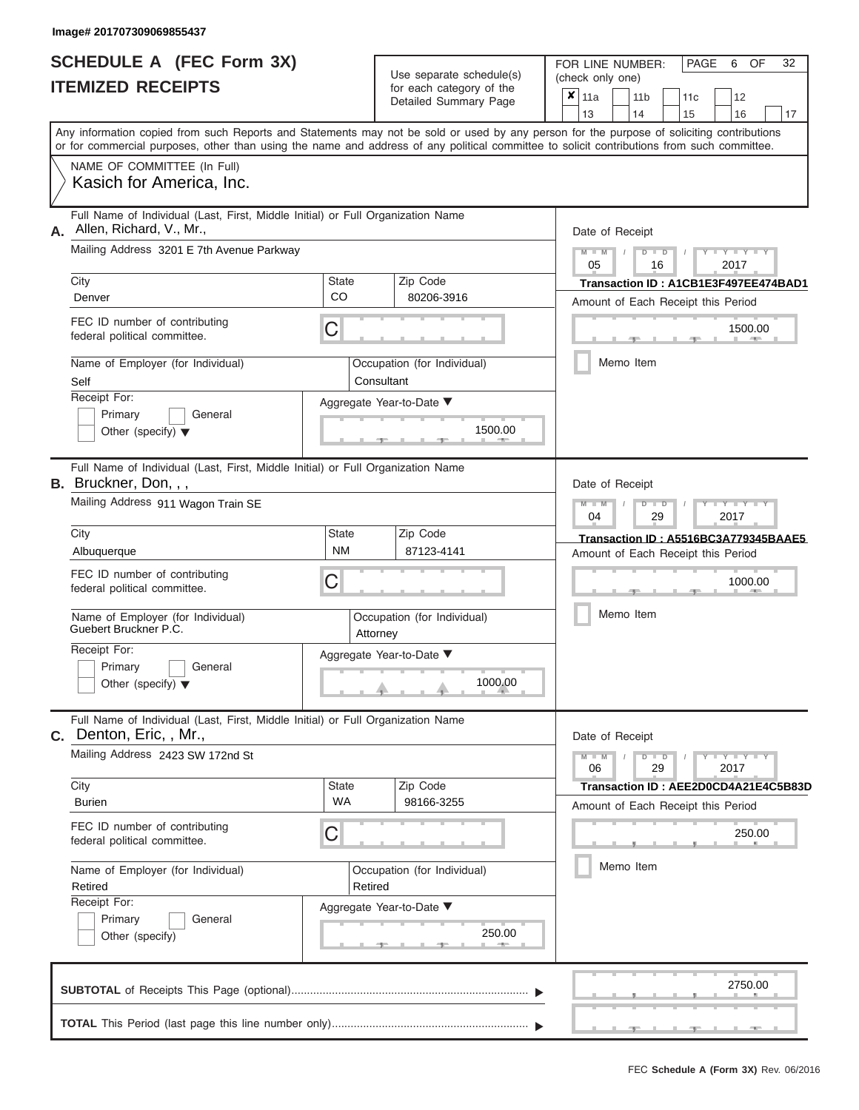|                          | <b>SCHEDULE A (FEC Form 3X)</b> |  |  |  |
|--------------------------|---------------------------------|--|--|--|
| <b>ITEMIZED RECEIPTS</b> |                                 |  |  |  |

FOR LINE NUMBER:<br>(check only one)

PAGE 6 OF 32

| Mailing Address 3201 E 7th Avenue Parkway<br><b>State</b><br>CO<br>С<br>Consultant | Any information copied from such Reports and Statements may not be sold or used by any person for the purpose of soliciting contributions<br>or for commercial purposes, other than using the name and address of any political committee to solicit contributions from such committee.<br>Full Name of Individual (Last, First, Middle Initial) or Full Organization Name<br>Zip Code<br>80206-3916<br>Occupation (for Individual) |                                                                                                                                                                                                                                                                                  | 13<br>Date of Receipt<br>$M - M$<br>05 |           | 14        | $D$ $D$<br>16 | 15                                                       | 16<br>$Y$ $Y$ $Y$ $Y$<br>2017<br>Transaction ID: A1CB1E3F497EE474BAD1 | 17                                                                                                                                                                                                   |
|------------------------------------------------------------------------------------|-------------------------------------------------------------------------------------------------------------------------------------------------------------------------------------------------------------------------------------------------------------------------------------------------------------------------------------------------------------------------------------------------------------------------------------|----------------------------------------------------------------------------------------------------------------------------------------------------------------------------------------------------------------------------------------------------------------------------------|----------------------------------------|-----------|-----------|---------------|----------------------------------------------------------|-----------------------------------------------------------------------|------------------------------------------------------------------------------------------------------------------------------------------------------------------------------------------------------|
|                                                                                    |                                                                                                                                                                                                                                                                                                                                                                                                                                     |                                                                                                                                                                                                                                                                                  |                                        |           |           |               |                                                          |                                                                       |                                                                                                                                                                                                      |
|                                                                                    |                                                                                                                                                                                                                                                                                                                                                                                                                                     |                                                                                                                                                                                                                                                                                  |                                        |           |           |               |                                                          |                                                                       |                                                                                                                                                                                                      |
|                                                                                    |                                                                                                                                                                                                                                                                                                                                                                                                                                     |                                                                                                                                                                                                                                                                                  |                                        |           |           |               |                                                          |                                                                       |                                                                                                                                                                                                      |
|                                                                                    |                                                                                                                                                                                                                                                                                                                                                                                                                                     |                                                                                                                                                                                                                                                                                  |                                        |           |           |               |                                                          |                                                                       |                                                                                                                                                                                                      |
|                                                                                    |                                                                                                                                                                                                                                                                                                                                                                                                                                     |                                                                                                                                                                                                                                                                                  |                                        |           |           |               |                                                          |                                                                       |                                                                                                                                                                                                      |
|                                                                                    |                                                                                                                                                                                                                                                                                                                                                                                                                                     |                                                                                                                                                                                                                                                                                  |                                        |           |           |               |                                                          |                                                                       |                                                                                                                                                                                                      |
|                                                                                    |                                                                                                                                                                                                                                                                                                                                                                                                                                     |                                                                                                                                                                                                                                                                                  |                                        |           |           |               |                                                          |                                                                       |                                                                                                                                                                                                      |
|                                                                                    |                                                                                                                                                                                                                                                                                                                                                                                                                                     |                                                                                                                                                                                                                                                                                  |                                        |           |           |               |                                                          | Amount of Each Receipt this Period                                    |                                                                                                                                                                                                      |
|                                                                                    |                                                                                                                                                                                                                                                                                                                                                                                                                                     |                                                                                                                                                                                                                                                                                  |                                        |           |           |               |                                                          | 1500.00<br>$-$                                                        |                                                                                                                                                                                                      |
|                                                                                    |                                                                                                                                                                                                                                                                                                                                                                                                                                     |                                                                                                                                                                                                                                                                                  |                                        |           | Memo Item |               |                                                          |                                                                       |                                                                                                                                                                                                      |
|                                                                                    | Aggregate Year-to-Date ▼                                                                                                                                                                                                                                                                                                                                                                                                            |                                                                                                                                                                                                                                                                                  |                                        |           |           |               |                                                          |                                                                       |                                                                                                                                                                                                      |
|                                                                                    |                                                                                                                                                                                                                                                                                                                                                                                                                                     |                                                                                                                                                                                                                                                                                  |                                        |           |           |               |                                                          |                                                                       |                                                                                                                                                                                                      |
|                                                                                    | 1500.00                                                                                                                                                                                                                                                                                                                                                                                                                             |                                                                                                                                                                                                                                                                                  |                                        |           |           |               |                                                          |                                                                       |                                                                                                                                                                                                      |
|                                                                                    |                                                                                                                                                                                                                                                                                                                                                                                                                                     |                                                                                                                                                                                                                                                                                  |                                        |           |           |               |                                                          |                                                                       |                                                                                                                                                                                                      |
|                                                                                    |                                                                                                                                                                                                                                                                                                                                                                                                                                     |                                                                                                                                                                                                                                                                                  | $M - M$<br>04                          |           |           | 29            |                                                          | Y TYT<br>2017                                                         |                                                                                                                                                                                                      |
| <b>State</b>                                                                       | Zip Code                                                                                                                                                                                                                                                                                                                                                                                                                            |                                                                                                                                                                                                                                                                                  |                                        |           |           |               |                                                          |                                                                       |                                                                                                                                                                                                      |
|                                                                                    | 87123-4141                                                                                                                                                                                                                                                                                                                                                                                                                          |                                                                                                                                                                                                                                                                                  |                                        |           |           |               |                                                          |                                                                       |                                                                                                                                                                                                      |
| С                                                                                  |                                                                                                                                                                                                                                                                                                                                                                                                                                     |                                                                                                                                                                                                                                                                                  | 1000.00<br>Memo Item                   |           |           |               |                                                          |                                                                       |                                                                                                                                                                                                      |
|                                                                                    |                                                                                                                                                                                                                                                                                                                                                                                                                                     |                                                                                                                                                                                                                                                                                  |                                        |           |           |               |                                                          |                                                                       |                                                                                                                                                                                                      |
|                                                                                    |                                                                                                                                                                                                                                                                                                                                                                                                                                     |                                                                                                                                                                                                                                                                                  |                                        |           |           |               |                                                          |                                                                       |                                                                                                                                                                                                      |
|                                                                                    | 1000.00                                                                                                                                                                                                                                                                                                                                                                                                                             |                                                                                                                                                                                                                                                                                  |                                        |           |           |               |                                                          |                                                                       |                                                                                                                                                                                                      |
|                                                                                    |                                                                                                                                                                                                                                                                                                                                                                                                                                     |                                                                                                                                                                                                                                                                                  |                                        |           |           |               |                                                          |                                                                       |                                                                                                                                                                                                      |
|                                                                                    |                                                                                                                                                                                                                                                                                                                                                                                                                                     |                                                                                                                                                                                                                                                                                  | $M - M$<br>06                          |           |           | 29            |                                                          | 2017                                                                  |                                                                                                                                                                                                      |
| <b>State</b>                                                                       | Zip Code                                                                                                                                                                                                                                                                                                                                                                                                                            |                                                                                                                                                                                                                                                                                  |                                        |           |           |               |                                                          |                                                                       |                                                                                                                                                                                                      |
| <b>WA</b>                                                                          | 98166-3255                                                                                                                                                                                                                                                                                                                                                                                                                          |                                                                                                                                                                                                                                                                                  |                                        |           |           |               |                                                          |                                                                       |                                                                                                                                                                                                      |
| С                                                                                  |                                                                                                                                                                                                                                                                                                                                                                                                                                     |                                                                                                                                                                                                                                                                                  |                                        |           |           |               |                                                          |                                                                       |                                                                                                                                                                                                      |
|                                                                                    | Occupation (for Individual)                                                                                                                                                                                                                                                                                                                                                                                                         |                                                                                                                                                                                                                                                                                  |                                        | Memo Item |           |               |                                                          |                                                                       |                                                                                                                                                                                                      |
|                                                                                    |                                                                                                                                                                                                                                                                                                                                                                                                                                     |                                                                                                                                                                                                                                                                                  |                                        |           |           |               |                                                          |                                                                       |                                                                                                                                                                                                      |
|                                                                                    |                                                                                                                                                                                                                                                                                                                                                                                                                                     |                                                                                                                                                                                                                                                                                  |                                        |           |           |               |                                                          |                                                                       |                                                                                                                                                                                                      |
| Primary<br>General<br>250.00<br>Other (specify)                                    |                                                                                                                                                                                                                                                                                                                                                                                                                                     |                                                                                                                                                                                                                                                                                  |                                        |           |           |               |                                                          |                                                                       |                                                                                                                                                                                                      |
|                                                                                    |                                                                                                                                                                                                                                                                                                                                                                                                                                     |                                                                                                                                                                                                                                                                                  |                                        |           |           |               |                                                          |                                                                       |                                                                                                                                                                                                      |
|                                                                                    | <b>NM</b>                                                                                                                                                                                                                                                                                                                                                                                                                           | Full Name of Individual (Last, First, Middle Initial) or Full Organization Name<br>Occupation (for Individual)<br>Attorney<br>Aggregate Year-to-Date ▼<br>Full Name of Individual (Last, First, Middle Initial) or Full Organization Name<br>Retired<br>Aggregate Year-to-Date ▼ |                                        |           |           |               | Date of Receipt<br>$D$ $D$<br>Date of Receipt<br>$D$ $D$ |                                                                       | Transaction ID: A5516BC3A779345BAAE5<br>Amount of Each Receipt this Period<br>$Y - Y - Y - Y - Y$<br>Transaction ID: AEE2D0CD4A21E4C5B83D<br>Amount of Each Receipt this Period<br>250.00<br>2750.00 |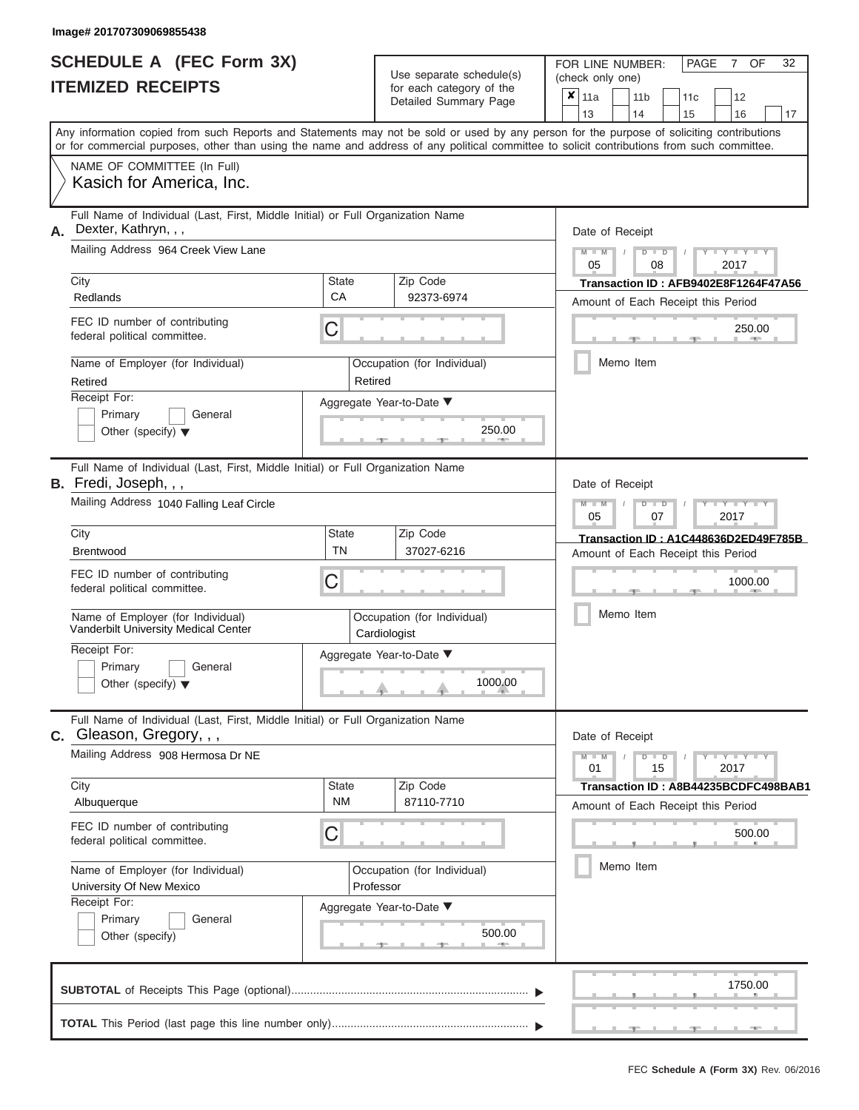|                          | <b>SCHEDULE A (FEC Form 3X)</b> |
|--------------------------|---------------------------------|
| <b>ITEMIZED RECEIPTS</b> |                                 |

| SCHEDULE A (FEC Form 3X)<br><b>ITEMIZED RECEIPTS</b>                                                                                                                                                                                                                                                                                                                                                                |                                                                                                                                                | Use separate schedule(s)<br>for each category of the<br>Detailed Summary Page                            | 32<br>FOR LINE NUMBER:<br>PAGE<br>OF<br>7<br>(check only one)<br>$\overline{\mathbf{x}}$   11a<br>11 <sub>b</sub><br>12<br>11 <sub>c</sub><br>13<br>14<br>15<br>16<br>17                                 |
|---------------------------------------------------------------------------------------------------------------------------------------------------------------------------------------------------------------------------------------------------------------------------------------------------------------------------------------------------------------------------------------------------------------------|------------------------------------------------------------------------------------------------------------------------------------------------|----------------------------------------------------------------------------------------------------------|----------------------------------------------------------------------------------------------------------------------------------------------------------------------------------------------------------|
| or for commercial purposes, other than using the name and address of any political committee to solicit contributions from such committee.<br>NAME OF COMMITTEE (In Full)<br>Kasich for America, Inc.                                                                                                                                                                                                               |                                                                                                                                                |                                                                                                          | Any information copied from such Reports and Statements may not be sold or used by any person for the purpose of soliciting contributions                                                                |
| Full Name of Individual (Last, First, Middle Initial) or Full Organization Name<br>Dexter, Kathryn, , ,<br>Α.<br>Mailing Address 964 Creek View Lane<br>City<br>Redlands<br>FEC ID number of contributing<br>federal political committee.<br>Name of Employer (for Individual)<br>Retired<br>Receipt For:<br>Primary<br>General<br>Other (specify) $\blacktriangledown$                                             | <b>State</b><br>CA<br>C<br>Retired                                                                                                             | Zip Code<br>92373-6974<br>Occupation (for Individual)<br>Aggregate Year-to-Date ▼<br>250.00              | Date of Receipt<br>$M = M$ /<br>$Y$ $Y$ $Y$ $Y$<br>$D$ $D$<br>05<br>08<br>2017<br>Transaction ID: AFB9402E8F1264F47A56<br>Amount of Each Receipt this Period<br>250.00<br><b>CONTRACTOR</b><br>Memo Item |
| Full Name of Individual (Last, First, Middle Initial) or Full Organization Name<br><b>B.</b> Fredi, Joseph, , ,<br>Mailing Address 1040 Falling Leaf Circle<br>City<br><b>Brentwood</b><br>FEC ID number of contributing<br>federal political committee.<br>Name of Employer (for Individual)<br>Vanderbilt University Medical Center<br>Receipt For:<br>Primary<br>General<br>Other (specify) $\blacktriangledown$ | Zip Code<br><b>State</b><br><b>TN</b><br>37027-6216<br>C<br>Occupation (for Individual)<br>Cardiologist<br>Aggregate Year-to-Date ▼<br>1000.00 |                                                                                                          | Date of Receipt<br>$M - M$<br>$D$ $D$<br>$+Y+Y+Y$<br>$\prime$<br>05<br>2017<br>07<br>Transaction ID: A1C448636D2ED49F785B<br>Amount of Each Receipt this Period<br>1000.00<br>Memo Item                  |
| Full Name of Individual (Last, First, Middle Initial) or Full Organization Name<br>C. Gleason, Gregory, , ,<br>Mailing Address 908 Hermosa Dr NE<br>City<br>Albuquerque<br>FEC ID number of contributing<br>federal political committee.<br>Name of Employer (for Individual)<br>University Of New Mexico<br>Receipt For:<br>Primary<br>General<br>Other (specify)                                                  | State<br>NM<br>C                                                                                                                               | Zip Code<br>87110-7710<br>Occupation (for Individual)<br>Professor<br>Aggregate Year-to-Date ▼<br>500.00 | Date of Receipt<br>$M - M$<br>$D$ $D$<br>$T$ $Y$ $T$ $Y$ $T$ $Y$<br>01<br>15<br>2017<br>Transaction ID: A8B44235BCDFC498BAB1<br>Amount of Each Receipt this Period<br>500.00<br>Memo Item                |
|                                                                                                                                                                                                                                                                                                                                                                                                                     |                                                                                                                                                |                                                                                                          | 1750.00<br>___________<br>$-$                                                                                                                                                                            |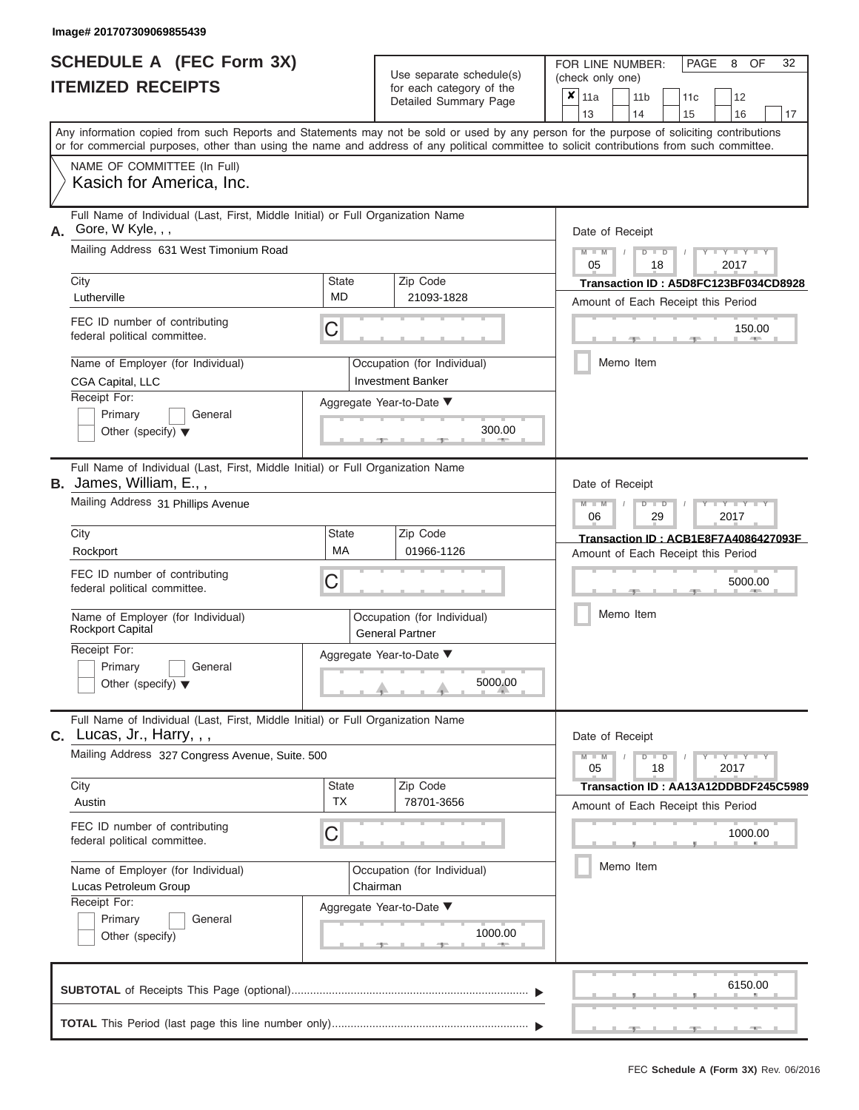|                          | <b>SCHEDULE A (FEC Form 3X)</b> |  |  |  |
|--------------------------|---------------------------------|--|--|--|
| <b>ITEMIZED RECEIPTS</b> |                                 |  |  |  |

FOR LINE NUMBER:<br>(check only one)

PAGE 8 OF 32

| ITEMIZED RECEIPTS                                                                                                                                                                                                                                                                                                            |                                | for each category of the<br>Detailed Summary Page                                                             | ×<br>11a<br>11 <sub>b</sub><br>12<br>11c<br>14<br>17<br>13<br>15<br>16                                                                                                                                                                                      |
|------------------------------------------------------------------------------------------------------------------------------------------------------------------------------------------------------------------------------------------------------------------------------------------------------------------------------|--------------------------------|---------------------------------------------------------------------------------------------------------------|-------------------------------------------------------------------------------------------------------------------------------------------------------------------------------------------------------------------------------------------------------------|
| Any information copied from such Reports and Statements may not be sold or used by any person for the purpose of soliciting contributions<br>or for commercial purposes, other than using the name and address of any political committee to solicit contributions from such committee.                                      |                                |                                                                                                               |                                                                                                                                                                                                                                                             |
| NAME OF COMMITTEE (In Full)<br>Kasich for America, Inc.                                                                                                                                                                                                                                                                      |                                |                                                                                                               |                                                                                                                                                                                                                                                             |
| Full Name of Individual (Last, First, Middle Initial) or Full Organization Name<br>A. Gore, W Kyle, , ,<br>Mailing Address 631 West Timonium Road<br>City<br>Lutherville<br>FEC ID number of contributing<br>federal political committee.<br>Name of Employer (for Individual)<br>CGA Capital, LLC<br>Receipt For:           | <b>State</b><br><b>MD</b><br>С | Zip Code<br>21093-1828<br>Occupation (for Individual)<br><b>Investment Banker</b><br>Aggregate Year-to-Date ▼ | Date of Receipt<br>$M - M$<br>$\mathbf{I} = \mathbf{Y} + \mathbf{Y} + \mathbf{I}$<br>$D$ $D$<br>05<br>2017<br>18<br>Transaction ID: A5D8FC123BF034CD8928<br>Amount of Each Receipt this Period<br>150.00<br>Memo Item                                       |
| Primary<br>General<br>Other (specify) $\blacktriangledown$                                                                                                                                                                                                                                                                   |                                | 300.00                                                                                                        |                                                                                                                                                                                                                                                             |
| Full Name of Individual (Last, First, Middle Initial) or Full Organization Name<br><b>B.</b> James, William, E.,,<br>Mailing Address 31 Phillips Avenue<br>City<br>Rockport<br>FEC ID number of contributing<br>federal political committee.<br>Name of Employer (for Individual)<br><b>Rockport Capital</b><br>Receipt For: | State<br>MA<br>С               | Zip Code<br>01966-1126<br>Occupation (for Individual)<br><b>General Partner</b>                               | Date of Receipt<br>$M - M$<br>$\blacksquare$ $\blacksquare$ $\blacksquare$ $\blacksquare$ $\blacksquare$ $\blacksquare$<br>$\Box$<br>06<br>29<br>2017<br>Transaction ID: ACB1E8F7A4086427093F<br>Amount of Each Receipt this Period<br>5000.00<br>Memo Item |
| General<br>Primary<br>Other (specify) $\blacktriangledown$                                                                                                                                                                                                                                                                   |                                | Aggregate Year-to-Date ▼<br>5000.00                                                                           |                                                                                                                                                                                                                                                             |
| Full Name of Individual (Last, First, Middle Initial) or Full Organization Name<br><b>C.</b> Lucas, Jr., Harry, , ,<br>Mailing Address 327 Congress Avenue, Suite. 500                                                                                                                                                       |                                |                                                                                                               | Date of Receipt<br>$Y = Y = Y$<br>$M - M$<br>$\overline{D}$<br>$\blacksquare$<br>2017<br>05<br>18                                                                                                                                                           |
| City<br>Austin<br>FEC ID number of contributing<br>federal political committee.<br>Name of Employer (for Individual)<br>Lucas Petroleum Group<br>Receipt For:<br>Primary<br>General<br>Other (specify)                                                                                                                       | <b>State</b><br><b>TX</b><br>С | Zip Code<br>78701-3656<br>Occupation (for Individual)<br>Chairman<br>Aggregate Year-to-Date ▼<br>1000.00<br>一 | Transaction ID: AA13A12DDBDF245C5989<br>Amount of Each Receipt this Period<br>1000.00<br>Memo Item                                                                                                                                                          |
|                                                                                                                                                                                                                                                                                                                              |                                |                                                                                                               | 6150.00<br>$-9$                                                                                                                                                                                                                                             |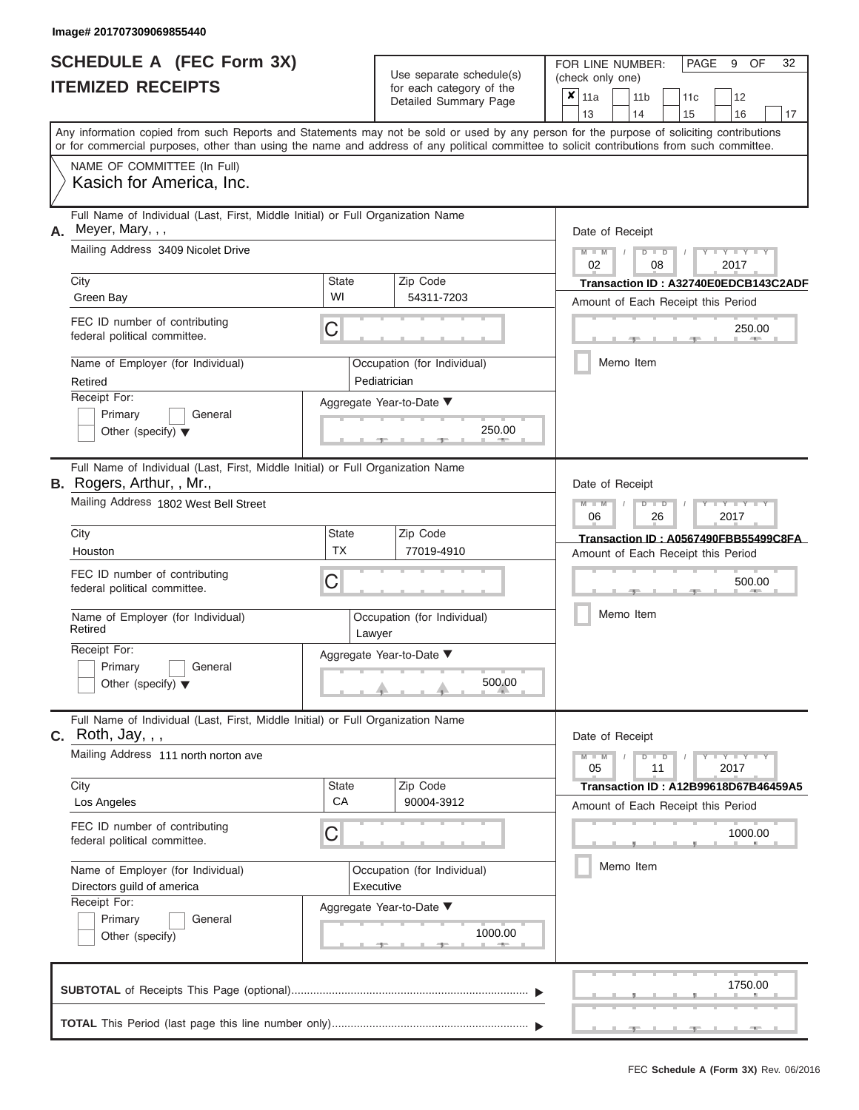|                          | <b>SCHEDULE A (FEC Form 3X)</b> |
|--------------------------|---------------------------------|
| <b>ITEMIZED RECEIPTS</b> |                                 |

FOR LINE NUMBER:<br>(check only one)

PAGE 9 OF 32

|                                                                                                                                                                                                                                                                                         |                    | Detailed Summary Page                       | x | 11a             |  | 11 <sub>b</sub> |    | 11 <sub>c</sub> | 12                                                                         |    |  |  |  |
|-----------------------------------------------------------------------------------------------------------------------------------------------------------------------------------------------------------------------------------------------------------------------------------------|--------------------|---------------------------------------------|---|-----------------|--|-----------------|----|-----------------|----------------------------------------------------------------------------|----|--|--|--|
|                                                                                                                                                                                                                                                                                         |                    |                                             |   | 13              |  | 14              |    | 15              | 16                                                                         | 17 |  |  |  |
| Any information copied from such Reports and Statements may not be sold or used by any person for the purpose of soliciting contributions<br>or for commercial purposes, other than using the name and address of any political committee to solicit contributions from such committee. |                    |                                             |   |                 |  |                 |    |                 |                                                                            |    |  |  |  |
| NAME OF COMMITTEE (In Full)                                                                                                                                                                                                                                                             |                    |                                             |   |                 |  |                 |    |                 |                                                                            |    |  |  |  |
| Kasich for America, Inc.                                                                                                                                                                                                                                                                |                    |                                             |   |                 |  |                 |    |                 |                                                                            |    |  |  |  |
| Full Name of Individual (Last, First, Middle Initial) or Full Organization Name<br>Meyer, Mary, , ,<br>А.                                                                                                                                                                               |                    |                                             |   | Date of Receipt |  |                 |    |                 |                                                                            |    |  |  |  |
| Mailing Address 3409 Nicolet Drive                                                                                                                                                                                                                                                      |                    |                                             |   | $M - M$ /       |  | $D$ $D$         |    |                 | $Y - Y - Y$                                                                |    |  |  |  |
| City                                                                                                                                                                                                                                                                                    | <b>State</b>       | Zip Code                                    |   | 02              |  |                 | 08 |                 | 2017                                                                       |    |  |  |  |
| Green Bay                                                                                                                                                                                                                                                                               | WI                 | 54311-7203                                  |   |                 |  |                 |    |                 | Transaction ID: A32740E0EDCB143C2ADF<br>Amount of Each Receipt this Period |    |  |  |  |
| FEC ID number of contributing<br>federal political committee.                                                                                                                                                                                                                           | C                  |                                             |   |                 |  |                 |    | $-1$            | 250.00<br><b>AND I</b>                                                     |    |  |  |  |
| Name of Employer (for Individual)<br>Retired                                                                                                                                                                                                                                            |                    | Occupation (for Individual)<br>Pediatrician |   |                 |  | Memo Item       |    |                 |                                                                            |    |  |  |  |
| Receipt For:<br>Primary<br>General<br>Other (specify) $\blacktriangledown$                                                                                                                                                                                                              |                    | Aggregate Year-to-Date ▼<br>250.00          |   |                 |  |                 |    |                 |                                                                            |    |  |  |  |
| Full Name of Individual (Last, First, Middle Initial) or Full Organization Name<br>B. Rogers, Arthur, , Mr.,                                                                                                                                                                            |                    |                                             |   | Date of Receipt |  |                 |    |                 |                                                                            |    |  |  |  |
| Mailing Address 1802 West Bell Street                                                                                                                                                                                                                                                   |                    |                                             |   | $M - M$<br>06   |  | $D$ $\Box$ $D$  | 26 |                 | Y Y<br>2017                                                                |    |  |  |  |
| City                                                                                                                                                                                                                                                                                    | <b>State</b>       | Zip Code                                    |   |                 |  |                 |    |                 | Transaction ID: A0567490FBB55499C8FA                                       |    |  |  |  |
| Houston                                                                                                                                                                                                                                                                                 | <b>TX</b>          | 77019-4910                                  |   |                 |  |                 |    |                 | Amount of Each Receipt this Period                                         |    |  |  |  |
| FEC ID number of contributing<br>federal political committee.                                                                                                                                                                                                                           | С                  |                                             |   |                 |  |                 |    |                 | 500.00                                                                     |    |  |  |  |
| Name of Employer (for Individual)<br>Retired                                                                                                                                                                                                                                            | Lawyer             | Occupation (for Individual)                 |   |                 |  | Memo Item       |    |                 |                                                                            |    |  |  |  |
| Receipt For:<br>Primary<br>General<br>Other (specify) $\blacktriangledown$                                                                                                                                                                                                              |                    | Aggregate Year-to-Date ▼<br>500.00          |   |                 |  |                 |    |                 |                                                                            |    |  |  |  |
| Full Name of Individual (Last, First, Middle Initial) or Full Organization Name<br><b>C.</b> Roth, Jay, , ,                                                                                                                                                                             |                    |                                             |   | Date of Receipt |  |                 |    |                 |                                                                            |    |  |  |  |
| Mailing Address 111 north norton ave                                                                                                                                                                                                                                                    |                    |                                             |   | $M - M$<br>05   |  | $D$ $D$         | 11 |                 | $Y - Y - Y - Y - Y$<br>2017                                                |    |  |  |  |
| City<br>Los Angeles                                                                                                                                                                                                                                                                     | <b>State</b><br>CA | Zip Code<br>90004-3912                      |   |                 |  |                 |    |                 | <b>Transaction ID: A12B99618D67B46459A5</b>                                |    |  |  |  |
| FEC ID number of contributing<br>federal political committee.                                                                                                                                                                                                                           | С                  |                                             |   |                 |  |                 |    |                 | Amount of Each Receipt this Period<br>1000.00                              |    |  |  |  |
| Name of Employer (for Individual)                                                                                                                                                                                                                                                       |                    | Occupation (for Individual)                 |   | Memo Item       |  |                 |    |                 |                                                                            |    |  |  |  |
| Directors guild of america<br>Receipt For:                                                                                                                                                                                                                                              |                    | Executive<br>Aggregate Year-to-Date ▼       |   |                 |  |                 |    |                 |                                                                            |    |  |  |  |
| Primary<br>General<br>Other (specify)                                                                                                                                                                                                                                                   |                    | 1000.00<br>一                                |   |                 |  |                 |    |                 |                                                                            |    |  |  |  |
|                                                                                                                                                                                                                                                                                         |                    |                                             |   |                 |  |                 |    |                 |                                                                            |    |  |  |  |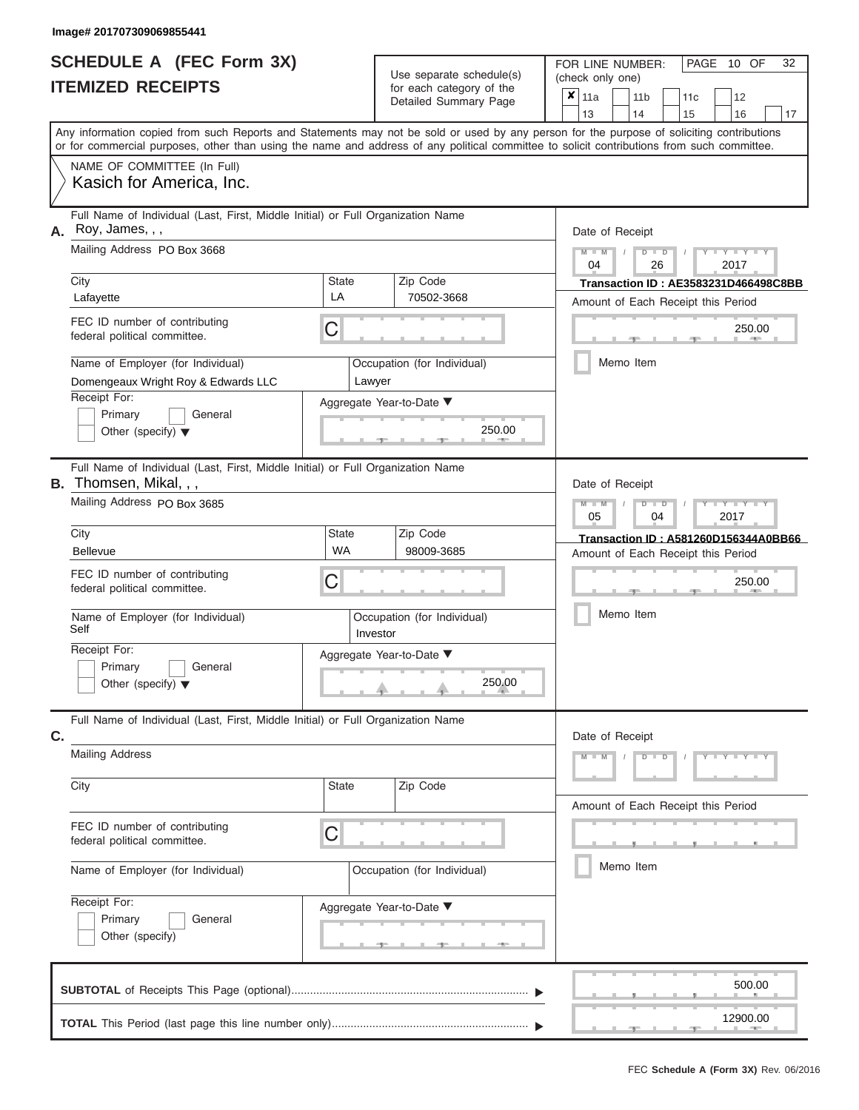| <b>SCHEDULE A (FEC Form 3X)</b> |  |  |
|---------------------------------|--|--|
| <b>ITEMIZED RECEIPTS</b>        |  |  |

FOR LINE NUMBER:<br>(check only one)

PAGE 10 OF 32

|    | IILMILLV IILVLII I                                                                                                                                                                                                                                                                      |                             | iui cauli ualcyuly ul lilc<br>Detailed Summary Page | x         | 11a<br>13                                                                  |               | 11 <sub>b</sub><br>14 |                      | 11c<br>15                          |      | 12<br>16             | 17                                   |  |  |  |  |
|----|-----------------------------------------------------------------------------------------------------------------------------------------------------------------------------------------------------------------------------------------------------------------------------------------|-----------------------------|-----------------------------------------------------|-----------|----------------------------------------------------------------------------|---------------|-----------------------|----------------------|------------------------------------|------|----------------------|--------------------------------------|--|--|--|--|
|    | Any information copied from such Reports and Statements may not be sold or used by any person for the purpose of soliciting contributions<br>or for commercial purposes, other than using the name and address of any political committee to solicit contributions from such committee. |                             |                                                     |           |                                                                            |               |                       |                      |                                    |      |                      |                                      |  |  |  |  |
|    | NAME OF COMMITTEE (In Full)<br>Kasich for America, Inc.                                                                                                                                                                                                                                 |                             |                                                     |           |                                                                            |               |                       |                      |                                    |      |                      |                                      |  |  |  |  |
| А. | Full Name of Individual (Last, First, Middle Initial) or Full Organization Name<br>Roy, James, , ,                                                                                                                                                                                      |                             |                                                     |           | Date of Receipt                                                            |               |                       |                      |                                    |      |                      |                                      |  |  |  |  |
|    | Mailing Address PO Box 3668                                                                                                                                                                                                                                                             |                             | $M - M$<br>04                                       |           |                                                                            | $D$ $D$<br>26 |                       |                      | 2017                               |      |                      |                                      |  |  |  |  |
|    | City<br>Lafayette                                                                                                                                                                                                                                                                       | State<br>LA                 | Zip Code<br>70502-3668                              |           | Transaction ID: AE3583231D466498C8BB<br>Amount of Each Receipt this Period |               |                       |                      |                                    |      |                      |                                      |  |  |  |  |
|    | FEC ID number of contributing<br>federal political committee.                                                                                                                                                                                                                           | C                           |                                                     |           |                                                                            |               |                       |                      |                                    |      | 250.00<br><b>AND</b> |                                      |  |  |  |  |
|    | Name of Employer (for Individual)<br>Domengeaux Wright Roy & Edwards LLC                                                                                                                                                                                                                | Lawyer                      | Occupation (for Individual)                         |           |                                                                            |               | Memo Item             |                      |                                    |      |                      |                                      |  |  |  |  |
|    | Receipt For:<br>Primary<br>General<br>Other (specify) $\blacktriangledown$                                                                                                                                                                                                              |                             | Aggregate Year-to-Date ▼<br>250.00                  |           |                                                                            |               |                       |                      |                                    |      |                      |                                      |  |  |  |  |
|    | Full Name of Individual (Last, First, Middle Initial) or Full Organization Name<br><b>B.</b> Thomsen, Mikal, , ,                                                                                                                                                                        |                             |                                                     |           | Date of Receipt                                                            |               |                       |                      |                                    |      |                      |                                      |  |  |  |  |
|    | Mailing Address PO Box 3685                                                                                                                                                                                                                                                             |                             |                                                     |           | $M - M$<br>05                                                              |               |                       | $D$ $\Box$ $D$<br>04 |                                    | 2017 | т                    |                                      |  |  |  |  |
|    | City<br><b>Bellevue</b>                                                                                                                                                                                                                                                                 | State<br><b>WA</b>          | Zip Code<br>98009-3685                              |           |                                                                            |               |                       |                      | Amount of Each Receipt this Period |      |                      | Transaction ID: A581260D156344A0BB66 |  |  |  |  |
|    | FEC ID number of contributing<br>federal political committee.                                                                                                                                                                                                                           |                             |                                                     |           |                                                                            |               |                       |                      | 250.00                             |      |                      |                                      |  |  |  |  |
|    | Name of Employer (for Individual)<br>Self                                                                                                                                                                                                                                               | Investor                    | Occupation (for Individual)                         | Memo Item |                                                                            |               |                       |                      |                                    |      |                      |                                      |  |  |  |  |
|    | Receipt For:<br>Primary<br>General<br>Other (specify) $\blacktriangledown$                                                                                                                                                                                                              |                             | Aggregate Year-to-Date ▼<br>250.00                  |           |                                                                            |               |                       |                      |                                    |      |                      |                                      |  |  |  |  |
| C. | Full Name of Individual (Last, First, Middle Initial) or Full Organization Name                                                                                                                                                                                                         |                             |                                                     |           | Date of Receipt                                                            |               |                       |                      |                                    |      |                      |                                      |  |  |  |  |
|    | <b>Mailing Address</b>                                                                                                                                                                                                                                                                  |                             |                                                     |           | $M - M$                                                                    |               |                       | $D$ $D$              |                                    |      | $Y - Y - Y - Y - Y$  |                                      |  |  |  |  |
|    | City                                                                                                                                                                                                                                                                                    | State                       | Zip Code                                            |           |                                                                            |               |                       |                      | Amount of Each Receipt this Period |      |                      |                                      |  |  |  |  |
|    | FEC ID number of contributing<br>federal political committee.                                                                                                                                                                                                                           | C                           |                                                     |           |                                                                            |               |                       |                      |                                    |      |                      |                                      |  |  |  |  |
|    | Name of Employer (for Individual)                                                                                                                                                                                                                                                       | Occupation (for Individual) | Memo Item                                           |           |                                                                            |               |                       |                      |                                    |      |                      |                                      |  |  |  |  |
|    | Receipt For:<br>Primary<br>General<br>Other (specify)                                                                                                                                                                                                                                   |                             | Aggregate Year-to-Date ▼                            |           |                                                                            |               |                       |                      |                                    |      |                      |                                      |  |  |  |  |
|    |                                                                                                                                                                                                                                                                                         |                             |                                                     |           |                                                                            |               |                       |                      |                                    |      | 500.00               |                                      |  |  |  |  |
|    |                                                                                                                                                                                                                                                                                         |                             |                                                     |           |                                                                            |               |                       |                      |                                    |      | 12900.00             |                                      |  |  |  |  |
|    |                                                                                                                                                                                                                                                                                         |                             |                                                     |           |                                                                            |               |                       |                      |                                    |      |                      |                                      |  |  |  |  |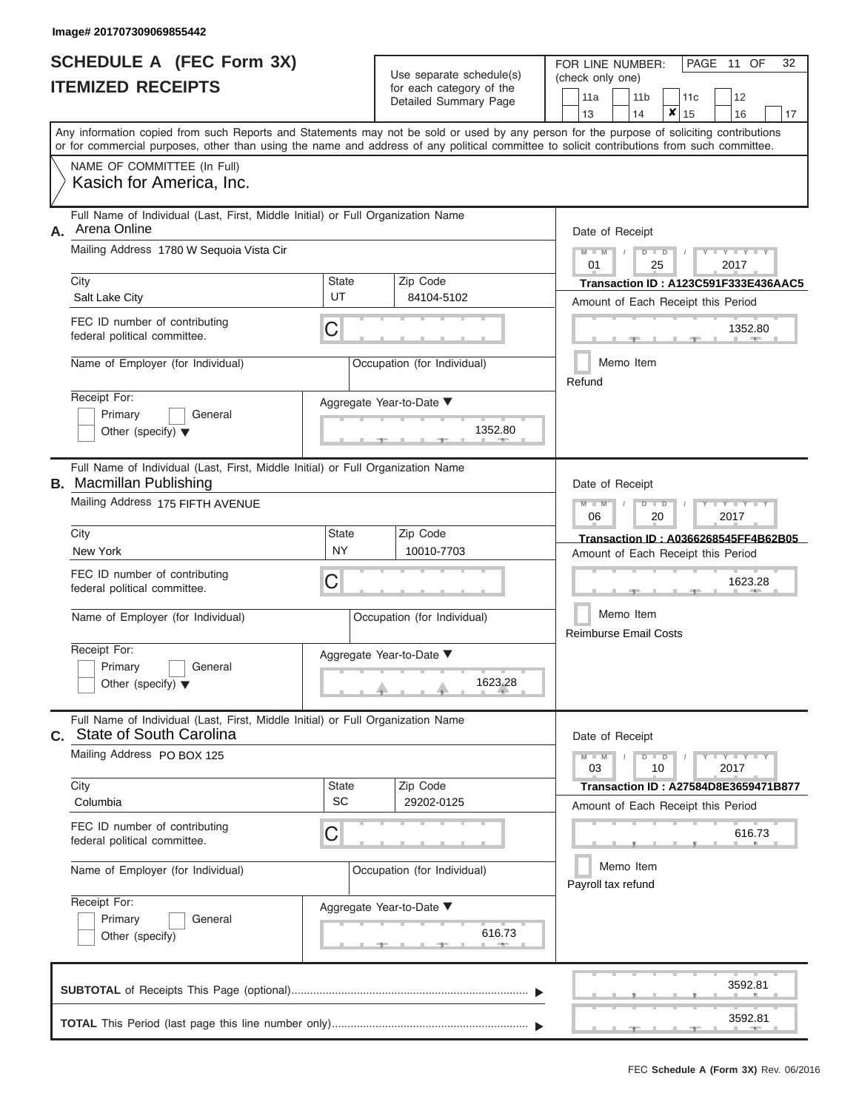|                          | SCHEDULE A (FEC Form 3X) |
|--------------------------|--------------------------|
| <b>ITEMIZED RECEIPTS</b> |                          |

Use separate schedule(s)  $\left(\begin{array}{cc} \text{coker} & \text{coker} & \text{coker} \\ \text{coker} & \text{coker} & \text{coker} \end{array}\right)$ 

FOR LINE NUMBER:

PAGE 11 OF 32

| <u>IIEMIZED RECEIPIS</u>                                                                                          | for each category of the<br>Detailed Summary Page   | 12<br>11a<br>11 b<br>11c<br>x<br>13<br>14<br>15<br>16<br>17                                                                                                                                                                                                                             |
|-------------------------------------------------------------------------------------------------------------------|-----------------------------------------------------|-----------------------------------------------------------------------------------------------------------------------------------------------------------------------------------------------------------------------------------------------------------------------------------------|
|                                                                                                                   |                                                     | Any information copied from such Reports and Statements may not be sold or used by any person for the purpose of soliciting contributions<br>or for commercial purposes, other than using the name and address of any political committee to solicit contributions from such committee. |
| NAME OF COMMITTEE (In Full)<br>Kasich for America, Inc.                                                           |                                                     |                                                                                                                                                                                                                                                                                         |
| Full Name of Individual (Last, First, Middle Initial) or Full Organization Name<br>Arena Online<br>А.             |                                                     | Date of Receipt                                                                                                                                                                                                                                                                         |
| Mailing Address 1780 W Sequoia Vista Cir                                                                          |                                                     | Y I Y I<br>D<br>2017<br>01<br>25                                                                                                                                                                                                                                                        |
| City<br>Salt Lake City                                                                                            | <b>State</b><br>Zip Code<br>UT<br>84104-5102        | <b>Transaction ID: A123C591F333E436AAC5</b><br>Amount of Each Receipt this Period                                                                                                                                                                                                       |
| FEC ID number of contributing<br>federal political committee.                                                     | C                                                   | 1352.80                                                                                                                                                                                                                                                                                 |
| Name of Employer (for Individual)                                                                                 | Occupation (for Individual)                         | Memo Item<br>Refund                                                                                                                                                                                                                                                                     |
| Receipt For:<br>Primary<br>General<br>Other (specify) $\blacktriangledown$                                        | Aggregate Year-to-Date ▼                            | 1352.80                                                                                                                                                                                                                                                                                 |
| Full Name of Individual (Last, First, Middle Initial) or Full Organization Name<br><b>B.</b> Macmillan Publishing |                                                     | Date of Receipt                                                                                                                                                                                                                                                                         |
| Mailing Address 175 FIFTH AVENUE                                                                                  |                                                     | $Y = Y = 1$<br>$\overline{\mathsf{M}}$<br>W<br>D<br>06<br>20<br>2017                                                                                                                                                                                                                    |
| City<br>New York                                                                                                  | Zip Code<br><b>State</b><br><b>NY</b><br>10010-7703 | Transaction ID: A0366268545FF4B62B05<br>Amount of Each Receipt this Period                                                                                                                                                                                                              |
| FEC ID number of contributing<br>federal political committee.                                                     | C                                                   | 1623.28                                                                                                                                                                                                                                                                                 |
| Name of Employer (for Individual)                                                                                 | Occupation (for Individual)                         | Memo Item<br><b>Reimburse Email Costs</b>                                                                                                                                                                                                                                               |
| Receipt For:<br>Primary<br>General<br>Other (specify) $\blacktriangledown$                                        | Aggregate Year-to-Date ▼                            | 1623.28                                                                                                                                                                                                                                                                                 |
| Full Name of Individual (Last, First, Middle Initial) or Full Organization Name<br>C. State of South Carolina     |                                                     | Date of Receipt                                                                                                                                                                                                                                                                         |
| Mailing Address PO BOX 125                                                                                        |                                                     | $Y = Y = Y$<br>$M - M$<br>$\blacksquare$<br>$\overline{D}$<br>10<br>2017<br>03                                                                                                                                                                                                          |
| City<br>Columbia                                                                                                  | <b>State</b><br>Zip Code<br>SC<br>29202-0125        | Transaction ID: A27584D8E3659471B877<br>Amount of Each Receipt this Period                                                                                                                                                                                                              |
| FEC ID number of contributing<br>federal political committee.                                                     | C                                                   | 616.73                                                                                                                                                                                                                                                                                  |
| Name of Employer (for Individual)                                                                                 | Occupation (for Individual)                         | Memo Item<br>Payroll tax refund                                                                                                                                                                                                                                                         |
| Receipt For:<br>Primary<br>General<br>Other (specify)                                                             | Aggregate Year-to-Date ▼                            | 616.73<br><b>ARCHITECT</b>                                                                                                                                                                                                                                                              |
|                                                                                                                   |                                                     | 3592.81                                                                                                                                                                                                                                                                                 |
|                                                                                                                   |                                                     | 3592.81                                                                                                                                                                                                                                                                                 |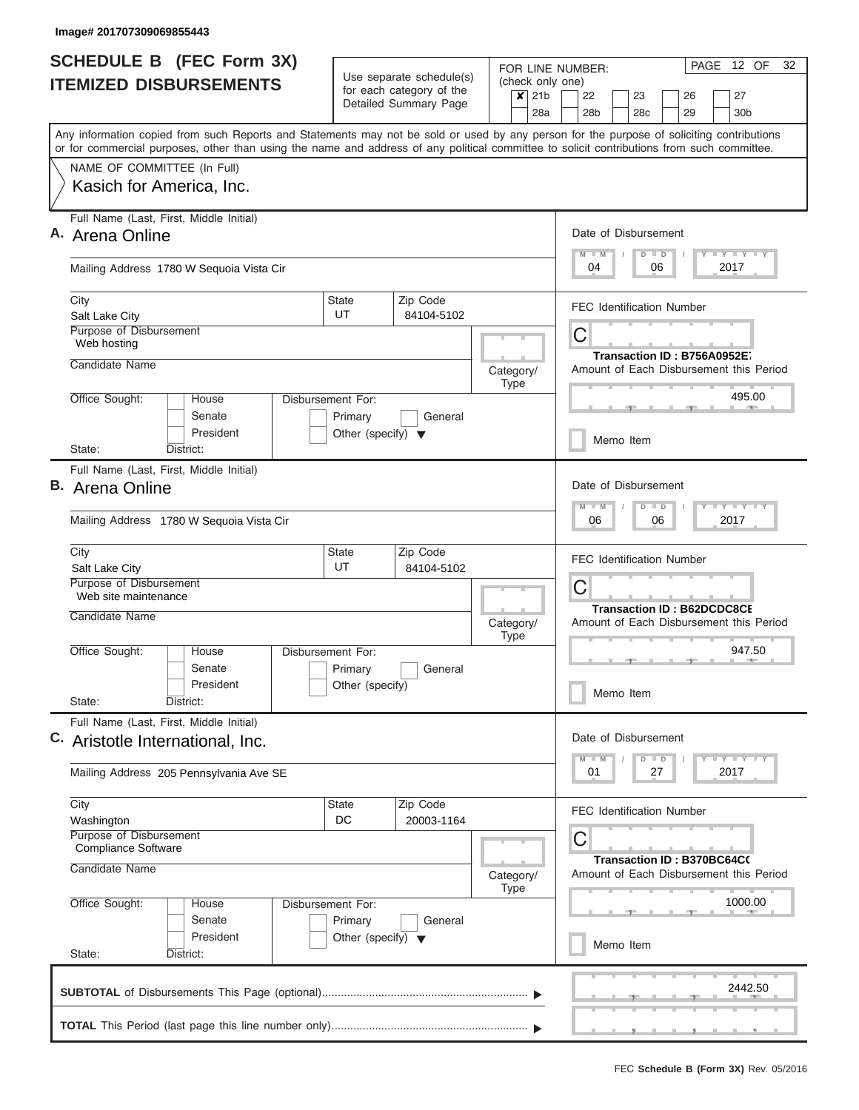| <b>SCHEDULE B (FEC Form 3X)</b>                                                                                                                                                                                                                                                         | Use separate schedule(s)                                                        | FOR LINE NUMBER:<br>(check only one) | PAGE 12 OF<br>32                                                                                                      |
|-----------------------------------------------------------------------------------------------------------------------------------------------------------------------------------------------------------------------------------------------------------------------------------------|---------------------------------------------------------------------------------|--------------------------------------|-----------------------------------------------------------------------------------------------------------------------|
| <b>ITEMIZED DISBURSEMENTS</b>                                                                                                                                                                                                                                                           | for each category of the<br>Detailed Summary Page                               | $\overline{\mathsf{x}}$ 21b<br>28a   | 22<br>23<br>26<br>27<br>28b<br>28 <sub>c</sub><br>29<br>30 <sub>b</sub>                                               |
| Any information copied from such Reports and Statements may not be sold or used by any person for the purpose of soliciting contributions<br>or for commercial purposes, other than using the name and address of any political committee to solicit contributions from such committee. |                                                                                 |                                      |                                                                                                                       |
| NAME OF COMMITTEE (In Full)<br>Kasich for America, Inc.                                                                                                                                                                                                                                 |                                                                                 |                                      |                                                                                                                       |
| Full Name (Last, First, Middle Initial)<br>A. Arena Online                                                                                                                                                                                                                              |                                                                                 |                                      | Date of Disbursement<br>Y FY FY FY<br>$D$ $D$                                                                         |
| Mailing Address 1780 W Sequoia Vista Cir                                                                                                                                                                                                                                                |                                                                                 |                                      | 04<br>06<br>2017                                                                                                      |
| City<br>Salt Lake City                                                                                                                                                                                                                                                                  | Zip Code<br><b>State</b><br>UT<br>84104-5102                                    |                                      | <b>FEC Identification Number</b>                                                                                      |
| Purpose of Disbursement<br>Web hosting<br>Candidate Name                                                                                                                                                                                                                                |                                                                                 | Category/                            | C<br>Transaction ID: B756A0952E7<br>Amount of Each Disbursement this Period                                           |
| Office Sought:<br>House<br>Senate<br>President                                                                                                                                                                                                                                          | Disbursement For:<br>Primary<br>General<br>Other (specify) $\blacktriangledown$ | <b>Type</b>                          | 495.00                                                                                                                |
| District:<br>State:                                                                                                                                                                                                                                                                     |                                                                                 |                                      | Memo Item                                                                                                             |
| Full Name (Last, First, Middle Initial)<br><b>B.</b> Arena Online                                                                                                                                                                                                                       |                                                                                 |                                      | Date of Disbursement<br>$T$ $T$ $T$ $T$ $T$ $T$ $T$ $T$ $T$<br>$D$ $D$                                                |
| Mailing Address 1780 W Sequoia Vista Cir<br>City                                                                                                                                                                                                                                        | Zip Code<br><b>State</b>                                                        |                                      | 06<br>06<br>2017                                                                                                      |
| Salt Lake City<br>Purpose of Disbursement                                                                                                                                                                                                                                               | UT<br>84104-5102                                                                |                                      | <b>FEC Identification Number</b><br>C                                                                                 |
| Web site maintenance<br>Candidate Name                                                                                                                                                                                                                                                  |                                                                                 | Category/                            | <b>Transaction ID: B62DCDC8CE</b><br>Amount of Each Disbursement this Period                                          |
| Office Sought:<br>House<br>Senate<br>President<br>State:<br>District:                                                                                                                                                                                                                   | Disbursement For:<br>Primary<br>General<br>Other (specify)                      | <b>Type</b>                          | 947.50<br>$-1$<br>Memo Item                                                                                           |
| Full Name (Last, First, Middle Initial)<br>C. Aristotle International, Inc.                                                                                                                                                                                                             |                                                                                 |                                      | Date of Disbursement<br>$\Box$ $\Upsilon$ $\Box$ $\Upsilon$ $\Upsilon$ $\Upsilon$<br>$D$ $D$                          |
| Mailing Address 205 Pennsylvania Ave SE                                                                                                                                                                                                                                                 |                                                                                 |                                      | 2017<br>01<br>27                                                                                                      |
| City<br>Washington<br>Purpose of Disbursement<br><b>Compliance Software</b><br>Candidate Name                                                                                                                                                                                           | Zip Code<br><b>State</b><br>DC<br>20003-1164                                    | Category/                            | <b>FEC Identification Number</b><br>C<br><b>Transaction ID: B370BC64C(</b><br>Amount of Each Disbursement this Period |
| Office Sought:<br>House<br>Senate<br>President                                                                                                                                                                                                                                          | Disbursement For:<br>Primary<br>General<br>Other (specify) $\blacktriangledown$ | <b>Type</b>                          | 1000.00<br>Memo Item                                                                                                  |
| State:<br>District:                                                                                                                                                                                                                                                                     |                                                                                 |                                      |                                                                                                                       |
|                                                                                                                                                                                                                                                                                         |                                                                                 |                                      | 2442.50                                                                                                               |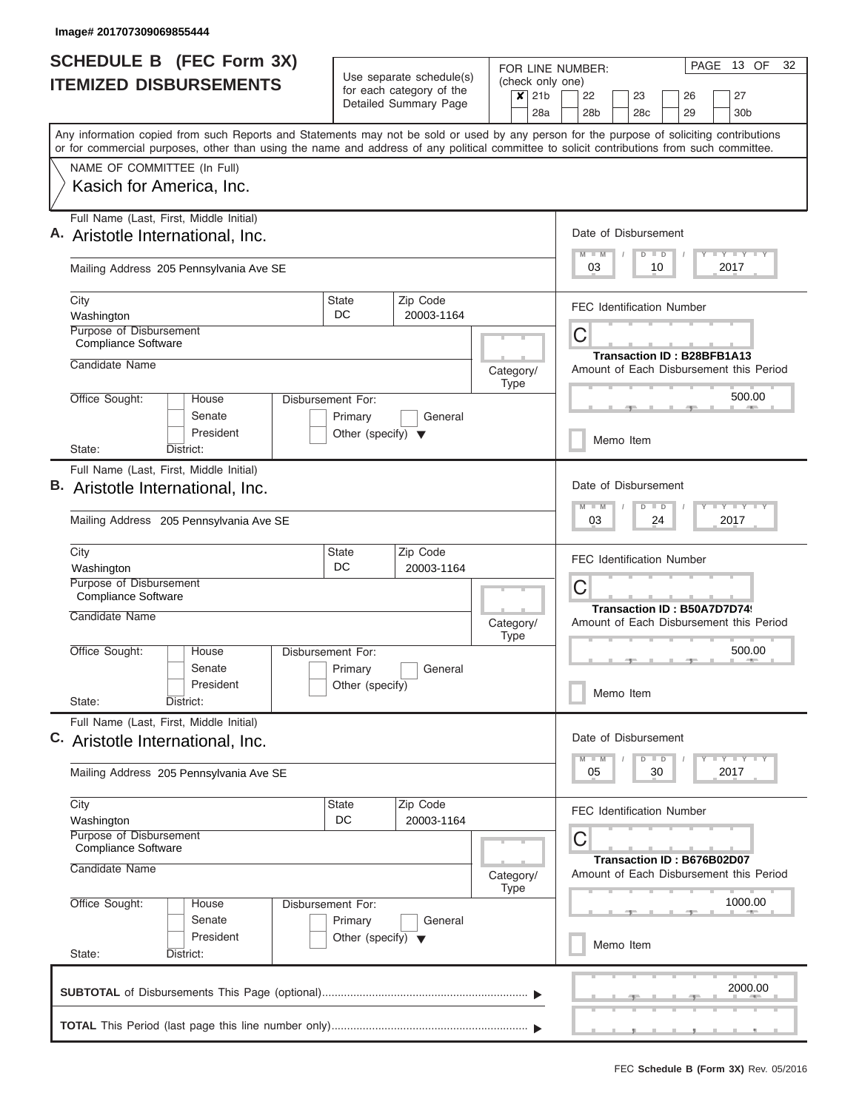| <b>SCHEDULE B</b> (FEC Form 3X)                                                                                                                                                                                                                                                         |                                      | Use separate schedule(s)                          |           |                           |                                            | FOR LINE NUMBER:                        |  |    |                 |  |                                   |  |  | PAGE 13 OF                  | 32 |
|-----------------------------------------------------------------------------------------------------------------------------------------------------------------------------------------------------------------------------------------------------------------------------------------|--------------------------------------|---------------------------------------------------|-----------|---------------------------|--------------------------------------------|-----------------------------------------|--|----|-----------------|--|-----------------------------------|--|--|-----------------------------|----|
| <b>ITEMIZED DISBURSEMENTS</b>                                                                                                                                                                                                                                                           |                                      | for each category of the<br>Detailed Summary Page |           | $\boldsymbol{\mathsf{x}}$ | (check only one)<br>21 <sub>b</sub><br>28a | 22<br>28 <sub>b</sub>                   |  | 23 | 28 <sub>c</sub> |  | 26<br>29                          |  |  | 27<br>30 <sub>b</sub>       |    |
| Any information copied from such Reports and Statements may not be sold or used by any person for the purpose of soliciting contributions<br>or for commercial purposes, other than using the name and address of any political committee to solicit contributions from such committee. |                                      |                                                   |           |                           |                                            |                                         |  |    |                 |  |                                   |  |  |                             |    |
| NAME OF COMMITTEE (In Full)                                                                                                                                                                                                                                                             |                                      |                                                   |           |                           |                                            |                                         |  |    |                 |  |                                   |  |  |                             |    |
| Kasich for America, Inc.                                                                                                                                                                                                                                                                |                                      |                                                   |           |                           |                                            |                                         |  |    |                 |  |                                   |  |  |                             |    |
| Full Name (Last, First, Middle Initial)<br>A. Aristotle International, Inc.                                                                                                                                                                                                             |                                      |                                                   |           |                           |                                            | Date of Disbursement                    |  |    |                 |  |                                   |  |  |                             |    |
| Mailing Address 205 Pennsylvania Ave SE                                                                                                                                                                                                                                                 |                                      |                                                   |           |                           |                                            | 03                                      |  |    | $D$ $D$<br>10   |  |                                   |  |  | Y FY FY FY<br>2017          |    |
| City<br>Washington                                                                                                                                                                                                                                                                      | <b>State</b><br>DC                   | Zip Code<br>20003-1164                            |           |                           |                                            | <b>FEC Identification Number</b>        |  |    |                 |  |                                   |  |  |                             |    |
| Purpose of Disbursement<br>Compliance Software                                                                                                                                                                                                                                          |                                      |                                                   |           |                           |                                            | C                                       |  |    |                 |  |                                   |  |  |                             |    |
| Candidate Name                                                                                                                                                                                                                                                                          |                                      |                                                   | Category/ | Type                      |                                            | Amount of Each Disbursement this Period |  |    |                 |  | <b>Transaction ID: B28BFB1A13</b> |  |  |                             |    |
| Office Sought:<br>House<br>Senate                                                                                                                                                                                                                                                       | Disbursement For:<br>Primary         | General                                           |           |                           |                                            |                                         |  |    |                 |  |                                   |  |  | 500.00                      |    |
| President<br>State:<br>District:                                                                                                                                                                                                                                                        | Other (specify) $\blacktriangledown$ |                                                   |           |                           |                                            | Memo Item                               |  |    |                 |  |                                   |  |  |                             |    |
| Full Name (Last, First, Middle Initial)                                                                                                                                                                                                                                                 |                                      |                                                   |           |                           |                                            |                                         |  |    |                 |  |                                   |  |  |                             |    |
| B. Aristotle International, Inc.                                                                                                                                                                                                                                                        |                                      |                                                   |           |                           |                                            | Date of Disbursement<br>$M - M$         |  |    | $D$ $D$         |  |                                   |  |  | Y FY FY FY                  |    |
| Mailing Address 205 Pennsylvania Ave SE                                                                                                                                                                                                                                                 |                                      |                                                   |           |                           |                                            | 03                                      |  |    | 24              |  |                                   |  |  | 2017                        |    |
| City                                                                                                                                                                                                                                                                                    | <b>State</b><br>DC                   | Zip Code                                          |           |                           |                                            | <b>FEC Identification Number</b>        |  |    |                 |  |                                   |  |  |                             |    |
| Washington<br>Purpose of Disbursement<br>Compliance Software                                                                                                                                                                                                                            |                                      | 20003-1164                                        |           |                           |                                            | С                                       |  |    |                 |  |                                   |  |  |                             |    |
| Candidate Name                                                                                                                                                                                                                                                                          |                                      |                                                   | Category/ | <b>Type</b>               |                                            | Amount of Each Disbursement this Period |  |    |                 |  | Transaction ID: B50A7D7D74        |  |  |                             |    |
| Office Sought:<br>House                                                                                                                                                                                                                                                                 | Disbursement For:                    |                                                   |           |                           |                                            |                                         |  |    |                 |  |                                   |  |  | 500.00                      |    |
| Senate<br>President                                                                                                                                                                                                                                                                     | Primary<br>Other (specify)           | General                                           |           |                           |                                            | Memo Item                               |  |    |                 |  |                                   |  |  |                             |    |
| State:<br>District:                                                                                                                                                                                                                                                                     |                                      |                                                   |           |                           |                                            |                                         |  |    |                 |  |                                   |  |  |                             |    |
| Full Name (Last, First, Middle Initial)<br>C. Aristotle International, Inc.                                                                                                                                                                                                             |                                      |                                                   |           |                           |                                            | Date of Disbursement                    |  |    |                 |  |                                   |  |  |                             |    |
| Mailing Address 205 Pennsylvania Ave SE                                                                                                                                                                                                                                                 |                                      |                                                   |           |                           |                                            | $M$ $M$<br>05                           |  |    | $D$ $D$<br>30   |  |                                   |  |  | $Y - Y - Y - Y - Y$<br>2017 |    |
| City<br>Washington                                                                                                                                                                                                                                                                      | State<br>DC                          | Zip Code<br>20003-1164                            |           |                           |                                            | <b>FEC Identification Number</b>        |  |    |                 |  |                                   |  |  |                             |    |
| Purpose of Disbursement<br>Compliance Software                                                                                                                                                                                                                                          |                                      |                                                   |           |                           |                                            | C                                       |  |    |                 |  |                                   |  |  |                             |    |
| Candidate Name                                                                                                                                                                                                                                                                          |                                      |                                                   | Category/ | <b>Type</b>               |                                            | Amount of Each Disbursement this Period |  |    |                 |  | Transaction ID: B676B02D07        |  |  |                             |    |
| Office Sought:<br>House<br>Senate                                                                                                                                                                                                                                                       | Disbursement For:<br>Primary         | General                                           |           |                           |                                            |                                         |  |    |                 |  |                                   |  |  | 1000.00                     |    |
| President<br>State:<br>District:                                                                                                                                                                                                                                                        | Other (specify) $\blacktriangledown$ |                                                   |           |                           |                                            | Memo Item                               |  |    |                 |  |                                   |  |  |                             |    |
|                                                                                                                                                                                                                                                                                         |                                      |                                                   |           |                           |                                            |                                         |  |    |                 |  |                                   |  |  | 2000.00                     |    |
|                                                                                                                                                                                                                                                                                         |                                      |                                                   |           |                           |                                            |                                         |  |    |                 |  |                                   |  |  |                             |    |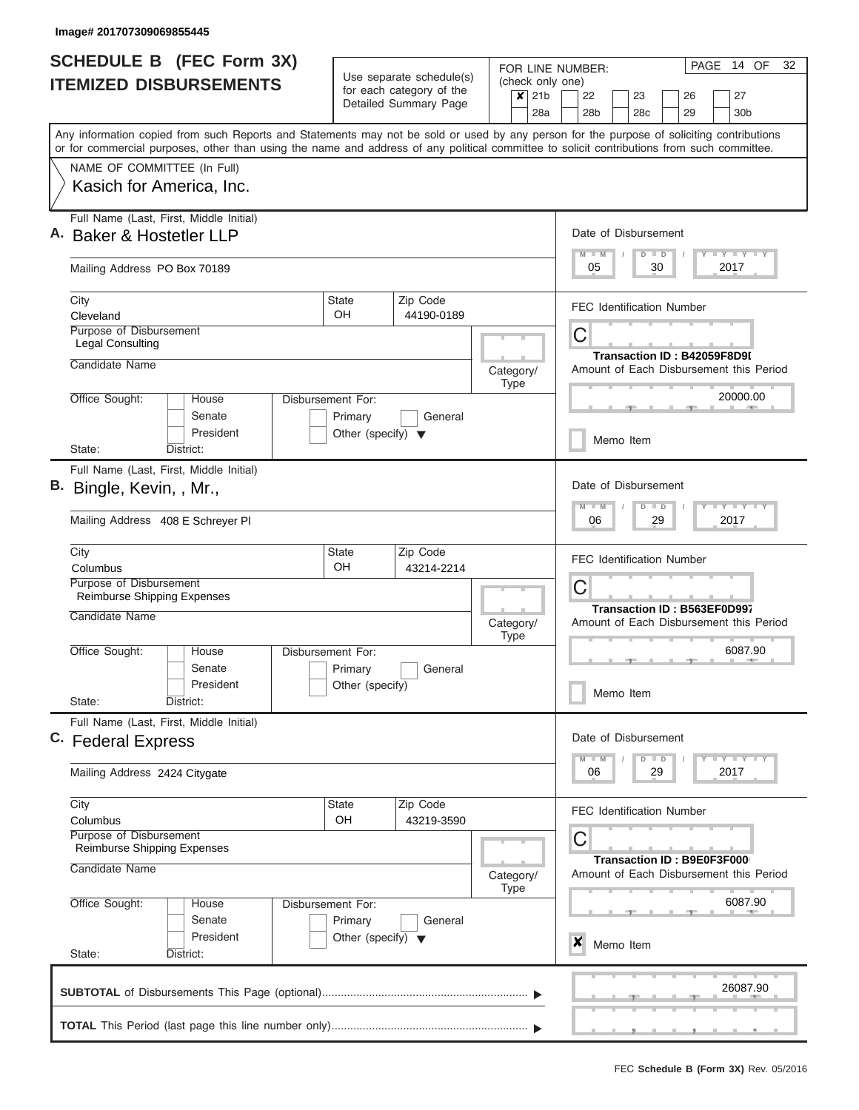| <b>SCHEDULE B (FEC Form 3X)</b>                                                                                                                                                                                                                                                         |                                                 |                                                      |                          |                  | PAGE 14 OF<br>32<br>FOR LINE NUMBER:                                                            |
|-----------------------------------------------------------------------------------------------------------------------------------------------------------------------------------------------------------------------------------------------------------------------------------------|-------------------------------------------------|------------------------------------------------------|--------------------------|------------------|-------------------------------------------------------------------------------------------------|
| <b>ITEMIZED DISBURSEMENTS</b>                                                                                                                                                                                                                                                           |                                                 | Use separate schedule(s)<br>for each category of the | (check only one)         |                  |                                                                                                 |
|                                                                                                                                                                                                                                                                                         |                                                 | Detailed Summary Page                                |                          | $x$   21b<br>28a | 22<br>23<br>26<br>27<br>28c<br>29<br>28 <sub>b</sub><br>30 <sub>b</sub>                         |
|                                                                                                                                                                                                                                                                                         |                                                 |                                                      |                          |                  |                                                                                                 |
| Any information copied from such Reports and Statements may not be sold or used by any person for the purpose of soliciting contributions<br>or for commercial purposes, other than using the name and address of any political committee to solicit contributions from such committee. |                                                 |                                                      |                          |                  |                                                                                                 |
| NAME OF COMMITTEE (In Full)                                                                                                                                                                                                                                                             |                                                 |                                                      |                          |                  |                                                                                                 |
| Kasich for America, Inc.                                                                                                                                                                                                                                                                |                                                 |                                                      |                          |                  |                                                                                                 |
| Full Name (Last, First, Middle Initial)<br>A. Baker & Hostetler LLP                                                                                                                                                                                                                     |                                                 |                                                      |                          |                  | Date of Disbursement                                                                            |
|                                                                                                                                                                                                                                                                                         |                                                 |                                                      |                          |                  | <b>LY LY LY</b><br>M<br>$\overline{D}$<br>$\blacksquare$<br>$\blacksquare$                      |
| Mailing Address PO Box 70189                                                                                                                                                                                                                                                            |                                                 |                                                      |                          |                  | 05<br>30<br>2017                                                                                |
| City<br>Cleveland                                                                                                                                                                                                                                                                       | <b>State</b><br>OH.                             | Zip Code<br>44190-0189                               |                          |                  | <b>FEC Identification Number</b>                                                                |
| Purpose of Disbursement                                                                                                                                                                                                                                                                 |                                                 |                                                      |                          |                  | Ĉ                                                                                               |
| <b>Legal Consulting</b><br>Candidate Name                                                                                                                                                                                                                                               |                                                 |                                                      |                          |                  | Transaction ID: B42059F8D9I                                                                     |
|                                                                                                                                                                                                                                                                                         |                                                 |                                                      | Category/<br><b>Type</b> |                  | Amount of Each Disbursement this Period                                                         |
| Office Sought:<br>House<br>Senate                                                                                                                                                                                                                                                       | Disbursement For:                               | General                                              |                          |                  | 20000.00                                                                                        |
| President                                                                                                                                                                                                                                                                               | Primary<br>Other (specify) $\blacktriangledown$ |                                                      |                          |                  | Memo Item                                                                                       |
| State:<br>District:                                                                                                                                                                                                                                                                     |                                                 |                                                      |                          |                  |                                                                                                 |
| Full Name (Last, First, Middle Initial)                                                                                                                                                                                                                                                 |                                                 |                                                      |                          |                  |                                                                                                 |
| B. Bingle, Kevin, , Mr.,                                                                                                                                                                                                                                                                |                                                 |                                                      |                          |                  | Date of Disbursement<br>M<br>$T - Y = T - Y$<br>W<br>$\overline{D}$<br>$\overline{\phantom{a}}$ |
| Mailing Address 408 E Schreyer PI                                                                                                                                                                                                                                                       |                                                 |                                                      |                          |                  | 06<br>29<br>2017                                                                                |
| City                                                                                                                                                                                                                                                                                    | <b>State</b>                                    | Zip Code                                             |                          |                  | <b>FEC Identification Number</b>                                                                |
| Columbus<br>Purpose of Disbursement                                                                                                                                                                                                                                                     | OH                                              | 43214-2214                                           |                          |                  | Ĉ                                                                                               |
| Reimburse Shipping Expenses                                                                                                                                                                                                                                                             |                                                 |                                                      |                          |                  | Transaction ID: B563EF0D997                                                                     |
| Candidate Name                                                                                                                                                                                                                                                                          |                                                 |                                                      | Category/                |                  | Amount of Each Disbursement this Period                                                         |
| Office Sought:<br>House                                                                                                                                                                                                                                                                 | Disbursement For:                               |                                                      | <b>Type</b>              |                  | 6087.90                                                                                         |
| Senate                                                                                                                                                                                                                                                                                  | Primary                                         | General                                              |                          |                  |                                                                                                 |
| President<br>State:<br>District:                                                                                                                                                                                                                                                        | Other (specify)                                 |                                                      |                          |                  | Memo Item                                                                                       |
| Full Name (Last, First, Middle Initial)                                                                                                                                                                                                                                                 |                                                 |                                                      |                          |                  |                                                                                                 |
| C. Federal Express                                                                                                                                                                                                                                                                      |                                                 |                                                      |                          |                  | Date of Disbursement<br>$T - Y$ $T - Y$                                                         |
| Mailing Address 2424 Citygate                                                                                                                                                                                                                                                           |                                                 |                                                      |                          |                  | $M - M$<br>D<br>$\blacksquare$<br>2017<br>06<br>29                                              |
| City                                                                                                                                                                                                                                                                                    | <b>State</b>                                    | Zip Code                                             |                          |                  | <b>FEC Identification Number</b>                                                                |
| Columbus<br>Purpose of Disbursement                                                                                                                                                                                                                                                     | OH                                              | 43219-3590                                           |                          |                  | С                                                                                               |
| Reimburse Shipping Expenses<br>Candidate Name                                                                                                                                                                                                                                           |                                                 |                                                      | Category/                |                  | Transaction ID: B9E0F3F000<br>Amount of Each Disbursement this Period                           |
| Office Sought:<br>House                                                                                                                                                                                                                                                                 | Disbursement For:                               |                                                      | <b>Type</b>              |                  | 6087.90                                                                                         |
| Senate                                                                                                                                                                                                                                                                                  | Primary                                         | General                                              |                          |                  |                                                                                                 |
| President<br>State:<br>District:                                                                                                                                                                                                                                                        | Other (specify) $\blacktriangledown$            |                                                      |                          |                  | X<br>Memo Item                                                                                  |
|                                                                                                                                                                                                                                                                                         |                                                 |                                                      |                          |                  |                                                                                                 |
|                                                                                                                                                                                                                                                                                         |                                                 |                                                      |                          |                  | 26087.90                                                                                        |
|                                                                                                                                                                                                                                                                                         |                                                 |                                                      |                          |                  |                                                                                                 |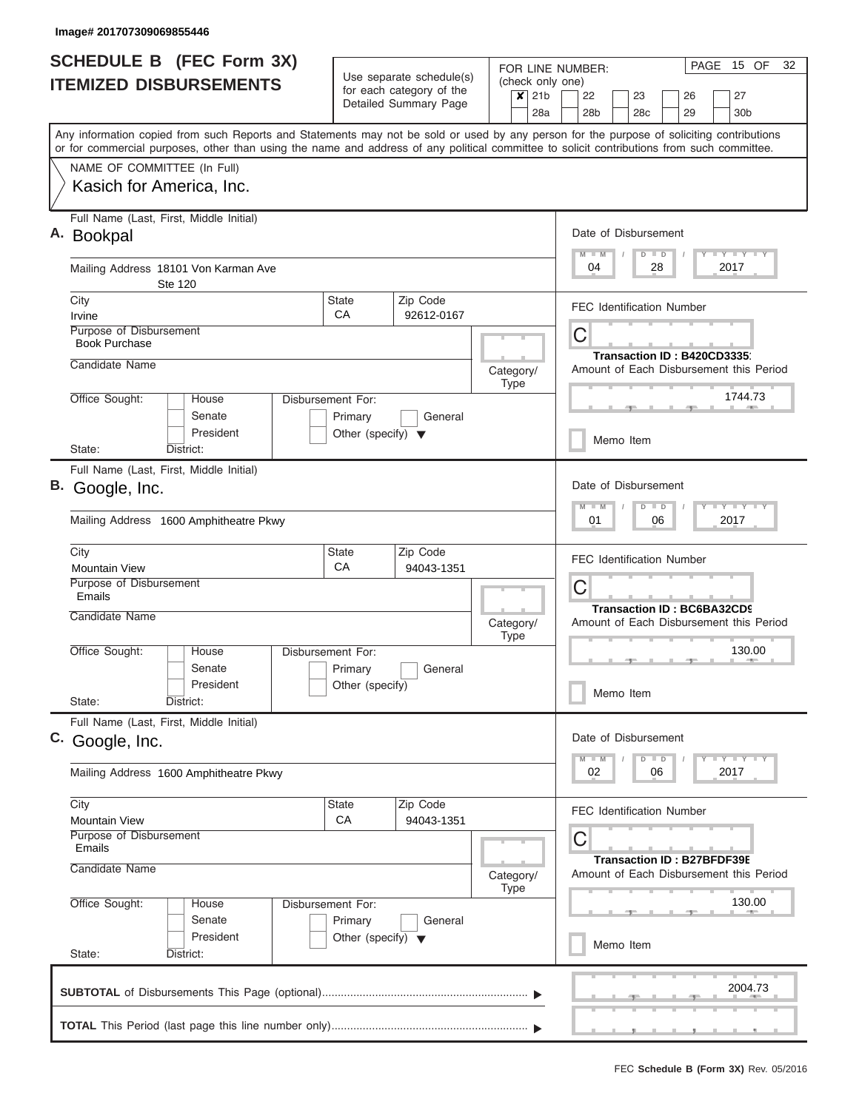| <b>SCHEDULE B (FEC Form 3X)</b>                                                                                                                                                                                                                                                         |                                      | Use separate schedule(s)          |                                                 |     | FOR LINE NUMBER:                                                      |                 |                         |                                   | PAGE | 15 OF                       | 32 |
|-----------------------------------------------------------------------------------------------------------------------------------------------------------------------------------------------------------------------------------------------------------------------------------------|--------------------------------------|-----------------------------------|-------------------------------------------------|-----|-----------------------------------------------------------------------|-----------------|-------------------------|-----------------------------------|------|-----------------------------|----|
| <b>ITEMIZED DISBURSEMENTS</b>                                                                                                                                                                                                                                                           |                                      | for each category of the          | (check only one)<br>$\overline{\mathsf{x}}$ 21b |     | 22                                                                    | 23              |                         | 26                                |      | 27                          |    |
|                                                                                                                                                                                                                                                                                         |                                      | Detailed Summary Page             |                                                 | 28a | 28 <sub>b</sub>                                                       | 28 <sub>c</sub> |                         | 29                                |      | 30 <sub>b</sub>             |    |
| Any information copied from such Reports and Statements may not be sold or used by any person for the purpose of soliciting contributions<br>or for commercial purposes, other than using the name and address of any political committee to solicit contributions from such committee. |                                      |                                   |                                                 |     |                                                                       |                 |                         |                                   |      |                             |    |
| NAME OF COMMITTEE (In Full)                                                                                                                                                                                                                                                             |                                      |                                   |                                                 |     |                                                                       |                 |                         |                                   |      |                             |    |
| Kasich for America, Inc.                                                                                                                                                                                                                                                                |                                      |                                   |                                                 |     |                                                                       |                 |                         |                                   |      |                             |    |
| Full Name (Last, First, Middle Initial)<br>A. Bookpal                                                                                                                                                                                                                                   |                                      |                                   |                                                 |     | Date of Disbursement                                                  |                 |                         |                                   |      |                             |    |
| Mailing Address 18101 Von Karman Ave<br>Ste 120                                                                                                                                                                                                                                         |                                      |                                   |                                                 |     | $M$ $M$<br>04                                                         | $D$ $D$         | 28                      |                                   |      | Y FY FY FY<br>2017          |    |
| City<br>Irvine                                                                                                                                                                                                                                                                          | State<br>CA                          | Zip Code<br>92612-0167            |                                                 |     | <b>FEC Identification Number</b>                                      |                 |                         |                                   |      |                             |    |
| Purpose of Disbursement<br><b>Book Purchase</b>                                                                                                                                                                                                                                         |                                      |                                   |                                                 |     | С                                                                     |                 |                         |                                   |      |                             |    |
| Candidate Name                                                                                                                                                                                                                                                                          |                                      |                                   | Category/<br>Type                               |     | Transaction ID: B420CD3335<br>Amount of Each Disbursement this Period |                 |                         |                                   |      |                             |    |
| Office Sought:<br>House<br>Senate                                                                                                                                                                                                                                                       | Disbursement For:<br>Primary         | General                           |                                                 |     |                                                                       |                 |                         |                                   |      | 1744.73                     |    |
| President<br>State:<br>District:                                                                                                                                                                                                                                                        | Other (specify) $\blacktriangledown$ |                                   |                                                 |     | Memo Item                                                             |                 |                         |                                   |      |                             |    |
| Full Name (Last, First, Middle Initial)                                                                                                                                                                                                                                                 |                                      |                                   |                                                 |     |                                                                       |                 |                         |                                   |      |                             |    |
| B. Google, Inc.                                                                                                                                                                                                                                                                         |                                      | Date of Disbursement<br>M<br>$-M$ | $D$ $D$                                         |     |                                                                       |                 | $Y = Y = Y = Y = I - Y$ |                                   |      |                             |    |
| Mailing Address 1600 Amphitheatre Pkwy                                                                                                                                                                                                                                                  |                                      |                                   |                                                 |     | 01                                                                    |                 | 06                      |                                   |      | 2017                        |    |
| City<br><b>Mountain View</b>                                                                                                                                                                                                                                                            | <b>State</b><br>CA                   | Zip Code<br>94043-1351            |                                                 |     | <b>FEC Identification Number</b>                                      |                 |                         |                                   |      |                             |    |
| Purpose of Disbursement<br>Emails                                                                                                                                                                                                                                                       |                                      |                                   |                                                 |     | С<br><b>Transaction ID: BC6BA32CD9</b>                                |                 |                         |                                   |      |                             |    |
| Candidate Name                                                                                                                                                                                                                                                                          |                                      |                                   | Category/<br><b>Type</b>                        |     | Amount of Each Disbursement this Period                               |                 |                         |                                   |      |                             |    |
| Office Sought:<br>House<br>Senate                                                                                                                                                                                                                                                       | Disbursement For:<br>Primary         | General                           |                                                 |     |                                                                       |                 |                         |                                   |      | 130.00                      |    |
| President<br>State:<br>District:                                                                                                                                                                                                                                                        | Other (specify)                      |                                   |                                                 |     | Memo Item                                                             |                 |                         |                                   |      |                             |    |
| Full Name (Last, First, Middle Initial)<br>C. Google, Inc.                                                                                                                                                                                                                              |                                      |                                   |                                                 |     | Date of Disbursement                                                  |                 |                         |                                   |      |                             |    |
| Mailing Address 1600 Amphitheatre Pkwy                                                                                                                                                                                                                                                  |                                      |                                   |                                                 |     | $M - M$<br>02                                                         | $D$ $D$         | 06                      |                                   |      | $Y - Y - Y - I - Y$<br>2017 |    |
| City                                                                                                                                                                                                                                                                                    | <b>State</b>                         | Zip Code                          |                                                 |     | <b>FEC Identification Number</b>                                      |                 |                         |                                   |      |                             |    |
| Mountain View<br>Purpose of Disbursement<br>Emails                                                                                                                                                                                                                                      | СA                                   | 94043-1351                        |                                                 |     | C                                                                     |                 |                         |                                   |      |                             |    |
| Candidate Name                                                                                                                                                                                                                                                                          |                                      |                                   | Category/<br><b>Type</b>                        |     | Amount of Each Disbursement this Period                               |                 |                         | <b>Transaction ID: B27BFDF39E</b> |      |                             |    |
| Office Sought:<br>House<br>Senate                                                                                                                                                                                                                                                       | Disbursement For:<br>Primary         | General                           |                                                 |     |                                                                       |                 |                         |                                   |      | 130.00                      |    |
| President<br>State:<br>District:                                                                                                                                                                                                                                                        | Other (specify) $\blacktriangledown$ |                                   |                                                 |     | Memo Item                                                             |                 |                         |                                   |      |                             |    |
|                                                                                                                                                                                                                                                                                         |                                      |                                   |                                                 |     |                                                                       |                 |                         |                                   |      |                             |    |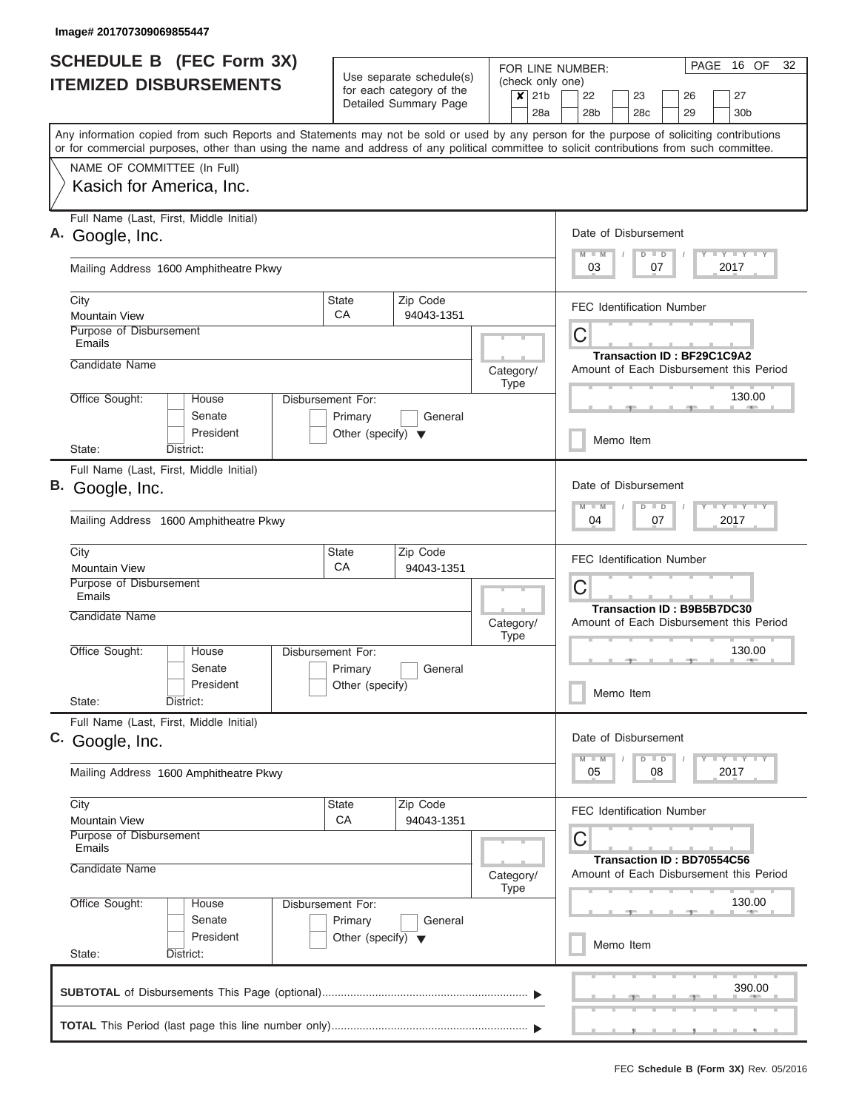|                                                                                                                                                                                                                                                                                         |                                                 | Use separate schedule(s)                          |                          | FOR LINE NUMBER:                                       | 32<br>PAGE<br>16 OF                                                   |  |  |  |  |
|-----------------------------------------------------------------------------------------------------------------------------------------------------------------------------------------------------------------------------------------------------------------------------------------|-------------------------------------------------|---------------------------------------------------|--------------------------|--------------------------------------------------------|-----------------------------------------------------------------------|--|--|--|--|
| <b>ITEMIZED DISBURSEMENTS</b>                                                                                                                                                                                                                                                           |                                                 | for each category of the<br>Detailed Summary Page | $x$ 21b                  | (check only one)<br>22<br>23<br>28a<br>28 <sub>b</sub> | 27<br>26<br>29<br>28 <sub>c</sub><br>30 <sub>b</sub>                  |  |  |  |  |
| Any information copied from such Reports and Statements may not be sold or used by any person for the purpose of soliciting contributions<br>or for commercial purposes, other than using the name and address of any political committee to solicit contributions from such committee. |                                                 |                                                   |                          |                                                        |                                                                       |  |  |  |  |
| NAME OF COMMITTEE (In Full)<br>Kasich for America, Inc.                                                                                                                                                                                                                                 |                                                 |                                                   |                          |                                                        |                                                                       |  |  |  |  |
| Full Name (Last, First, Middle Initial)<br>A. Google, Inc.                                                                                                                                                                                                                              |                                                 |                                                   |                          | Date of Disbursement<br>$\overline{\mathsf{M}}$        | Y FY FY FY<br>$D$ $D$                                                 |  |  |  |  |
| Mailing Address 1600 Amphitheatre Pkwy                                                                                                                                                                                                                                                  |                                                 |                                                   |                          | 03                                                     | 2017<br>07                                                            |  |  |  |  |
| City<br><b>Mountain View</b>                                                                                                                                                                                                                                                            | <b>State</b><br>CA                              | Zip Code<br>94043-1351                            |                          | <b>FEC Identification Number</b>                       |                                                                       |  |  |  |  |
| Purpose of Disbursement<br>Emails<br>Candidate Name                                                                                                                                                                                                                                     |                                                 |                                                   |                          | C                                                      | <b>Transaction ID: BF29C1C9A2</b>                                     |  |  |  |  |
| Office Sought:<br>House                                                                                                                                                                                                                                                                 | Disbursement For:                               |                                                   | Category/<br>Type        |                                                        | Amount of Each Disbursement this Period<br>130.00                     |  |  |  |  |
| Senate<br>President                                                                                                                                                                                                                                                                     | Primary<br>Other (specify) $\blacktriangledown$ | General                                           |                          | Memo Item                                              |                                                                       |  |  |  |  |
| District:<br>State:<br>Full Name (Last, First, Middle Initial)                                                                                                                                                                                                                          |                                                 |                                                   |                          |                                                        |                                                                       |  |  |  |  |
| B. Google, Inc.                                                                                                                                                                                                                                                                         |                                                 |                                                   |                          |                                                        |                                                                       |  |  |  |  |
| Mailing Address 1600 Amphitheatre Pkwy                                                                                                                                                                                                                                                  |                                                 |                                                   |                          | 04                                                     | Y FY FY FY<br>$D$ $D$<br>2017<br>07                                   |  |  |  |  |
| City<br><b>Mountain View</b>                                                                                                                                                                                                                                                            | <b>State</b><br>CA                              | Zip Code<br>94043-1351                            |                          | <b>FEC Identification Number</b>                       |                                                                       |  |  |  |  |
| Purpose of Disbursement<br>Emails<br>Candidate Name                                                                                                                                                                                                                                     |                                                 |                                                   |                          | С                                                      | <b>Transaction ID: B9B5B7DC30</b>                                     |  |  |  |  |
| Office Sought:<br>House                                                                                                                                                                                                                                                                 | Disbursement For:                               |                                                   | Category/<br><b>Type</b> |                                                        | Amount of Each Disbursement this Period<br>130.00                     |  |  |  |  |
| Senate<br>President                                                                                                                                                                                                                                                                     | Primary<br>Other (specify)                      | General                                           |                          | Memo Item                                              |                                                                       |  |  |  |  |
| State:<br>District:<br>Full Name (Last, First, Middle Initial)                                                                                                                                                                                                                          |                                                 |                                                   |                          |                                                        |                                                                       |  |  |  |  |
| C. Google, Inc.                                                                                                                                                                                                                                                                         |                                                 |                                                   |                          | Date of Disbursement                                   | $Y - Y - Y - Y - Y$<br>$D$ $D$                                        |  |  |  |  |
| Mailing Address 1600 Amphitheatre Pkwy                                                                                                                                                                                                                                                  |                                                 |                                                   |                          | 05                                                     | 2017<br>08                                                            |  |  |  |  |
| City<br><b>Mountain View</b><br>Purpose of Disbursement                                                                                                                                                                                                                                 | State<br>CA                                     | Zip Code<br>94043-1351                            |                          | <b>FEC Identification Number</b><br>С                  |                                                                       |  |  |  |  |
| Emails<br>Candidate Name                                                                                                                                                                                                                                                                |                                                 |                                                   | Category/<br><b>Type</b> |                                                        | Transaction ID: BD70554C56<br>Amount of Each Disbursement this Period |  |  |  |  |
| Office Sought:<br>House<br>Senate                                                                                                                                                                                                                                                       | Disbursement For:<br>Primary                    | General                                           |                          |                                                        | 130.00                                                                |  |  |  |  |
| President                                                                                                                                                                                                                                                                               | Other (specify) $\blacktriangledown$            |                                                   |                          | Memo Item                                              |                                                                       |  |  |  |  |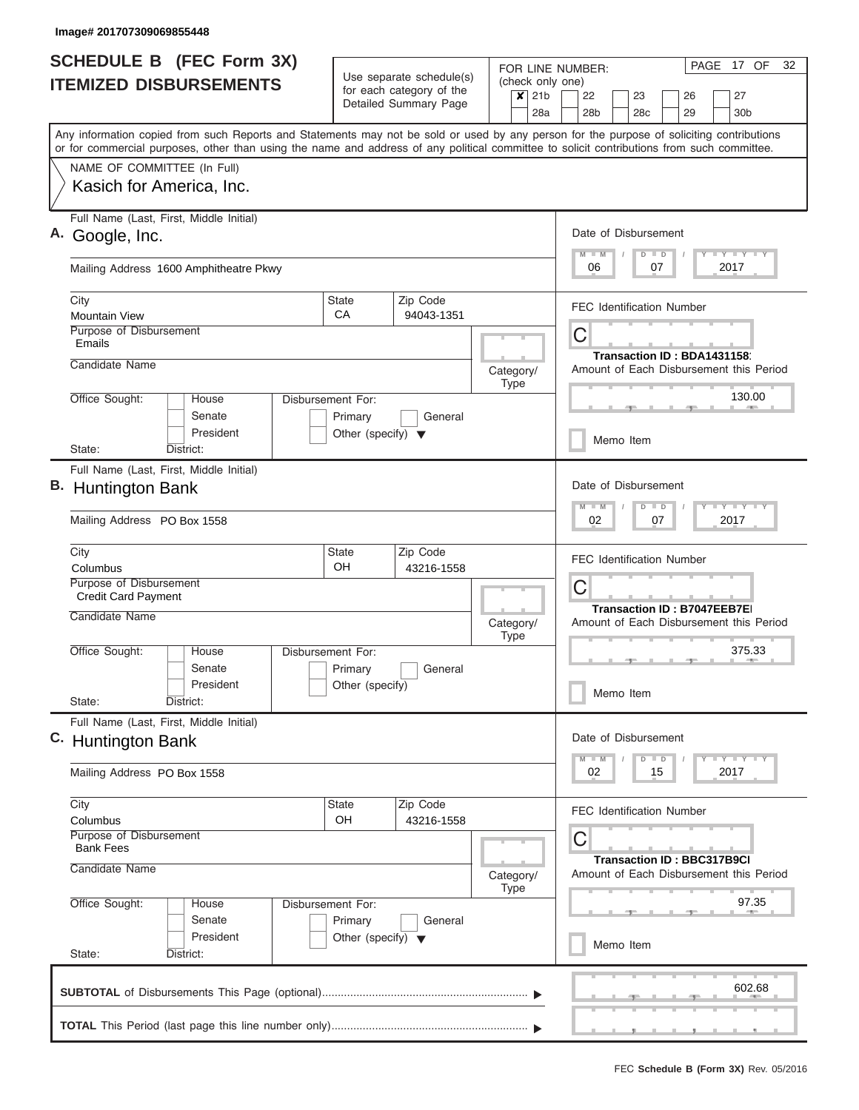| <b>SCHEDULE B</b> (FEC Form 3X)                                                                                                                                                                                                                                                         |                                      | Use separate schedule(s) | FOR LINE NUMBER:                                | PAGE 17 OF<br>32                                                             |  |  |  |  |
|-----------------------------------------------------------------------------------------------------------------------------------------------------------------------------------------------------------------------------------------------------------------------------------------|--------------------------------------|--------------------------|-------------------------------------------------|------------------------------------------------------------------------------|--|--|--|--|
| <b>ITEMIZED DISBURSEMENTS</b>                                                                                                                                                                                                                                                           |                                      | for each category of the | (check only one)<br>$\times$<br>21 <sub>b</sub> | 22<br>23<br>26<br>27                                                         |  |  |  |  |
|                                                                                                                                                                                                                                                                                         |                                      | Detailed Summary Page    | 28a                                             | 28 <sub>b</sub><br>28c<br>29<br>30 <sub>b</sub>                              |  |  |  |  |
| Any information copied from such Reports and Statements may not be sold or used by any person for the purpose of soliciting contributions<br>or for commercial purposes, other than using the name and address of any political committee to solicit contributions from such committee. |                                      |                          |                                                 |                                                                              |  |  |  |  |
| NAME OF COMMITTEE (In Full)                                                                                                                                                                                                                                                             |                                      |                          |                                                 |                                                                              |  |  |  |  |
| Kasich for America, Inc.                                                                                                                                                                                                                                                                |                                      |                          |                                                 |                                                                              |  |  |  |  |
| Full Name (Last, First, Middle Initial)<br>A. Google, Inc.                                                                                                                                                                                                                              |                                      |                          |                                                 | Date of Disbursement<br>Y LY LY LY<br>$D$ $D$                                |  |  |  |  |
| Mailing Address 1600 Amphitheatre Pkwy                                                                                                                                                                                                                                                  |                                      |                          |                                                 | $M$ $M$<br>2017<br>06<br>07                                                  |  |  |  |  |
| City<br><b>Mountain View</b>                                                                                                                                                                                                                                                            | <b>State</b><br>CA                   | Zip Code<br>94043-1351   |                                                 | <b>FEC Identification Number</b>                                             |  |  |  |  |
| Purpose of Disbursement<br>Emails                                                                                                                                                                                                                                                       |                                      |                          |                                                 | C                                                                            |  |  |  |  |
| Candidate Name                                                                                                                                                                                                                                                                          |                                      |                          |                                                 | Transaction ID: BDA1431158                                                   |  |  |  |  |
|                                                                                                                                                                                                                                                                                         |                                      |                          | Category/<br><b>Type</b>                        | Amount of Each Disbursement this Period                                      |  |  |  |  |
| Office Sought:<br>House<br>Senate                                                                                                                                                                                                                                                       | Disbursement For:<br>Primary         | General                  |                                                 | 130.00                                                                       |  |  |  |  |
| President<br>State:<br>District:                                                                                                                                                                                                                                                        | Other (specify) $\blacktriangledown$ |                          |                                                 | Memo Item                                                                    |  |  |  |  |
| Full Name (Last, First, Middle Initial)                                                                                                                                                                                                                                                 |                                      |                          |                                                 |                                                                              |  |  |  |  |
| B. Huntington Bank                                                                                                                                                                                                                                                                      |                                      |                          |                                                 | Date of Disbursement<br>Y FY FY FY<br>$D$ $D$<br>$M - M$                     |  |  |  |  |
| Mailing Address PO Box 1558                                                                                                                                                                                                                                                             |                                      |                          |                                                 | 02<br>07<br>2017                                                             |  |  |  |  |
| City                                                                                                                                                                                                                                                                                    | <b>State</b>                         | Zip Code                 |                                                 | <b>FEC Identification Number</b>                                             |  |  |  |  |
| Columbus<br>Purpose of Disbursement                                                                                                                                                                                                                                                     | OH                                   | 43216-1558               |                                                 |                                                                              |  |  |  |  |
| <b>Credit Card Payment</b>                                                                                                                                                                                                                                                              |                                      |                          |                                                 | C                                                                            |  |  |  |  |
| <b>Candidate Name</b>                                                                                                                                                                                                                                                                   |                                      |                          | Category/<br><b>Type</b>                        | <b>Transaction ID: B7047EEB7E</b><br>Amount of Each Disbursement this Period |  |  |  |  |
| Office Sought:<br>House                                                                                                                                                                                                                                                                 | Disbursement For:                    |                          |                                                 | 375.33                                                                       |  |  |  |  |
| Senate                                                                                                                                                                                                                                                                                  | Primary                              | General                  |                                                 |                                                                              |  |  |  |  |
| President<br>State:<br>District:                                                                                                                                                                                                                                                        | Other (specify)                      |                          |                                                 | Memo Item                                                                    |  |  |  |  |
| Full Name (Last, First, Middle Initial)<br>C. Huntington Bank                                                                                                                                                                                                                           |                                      |                          |                                                 | Date of Disbursement                                                         |  |  |  |  |
| Mailing Address PO Box 1558                                                                                                                                                                                                                                                             |                                      |                          |                                                 | Y FY FY FY<br>$D$ $D$<br>$M - M$<br>2017<br>02<br>15                         |  |  |  |  |
| City<br>Columbus                                                                                                                                                                                                                                                                        | State<br>OH                          | Zip Code                 |                                                 | <b>FEC Identification Number</b>                                             |  |  |  |  |
| Purpose of Disbursement<br><b>Bank Fees</b>                                                                                                                                                                                                                                             |                                      | 43216-1558               |                                                 | С                                                                            |  |  |  |  |
| Candidate Name                                                                                                                                                                                                                                                                          |                                      |                          | Category/                                       | <b>Transaction ID: BBC317B9CI</b><br>Amount of Each Disbursement this Period |  |  |  |  |
| Office Sought:<br>House<br>Senate                                                                                                                                                                                                                                                       | Disbursement For:<br>Primary         | General                  | <b>Type</b>                                     | 97.35                                                                        |  |  |  |  |
| President<br>State:<br>District:                                                                                                                                                                                                                                                        | Other (specify) $\blacktriangledown$ |                          |                                                 | Memo Item                                                                    |  |  |  |  |
|                                                                                                                                                                                                                                                                                         |                                      |                          |                                                 | 602.68                                                                       |  |  |  |  |
|                                                                                                                                                                                                                                                                                         |                                      |                          |                                                 |                                                                              |  |  |  |  |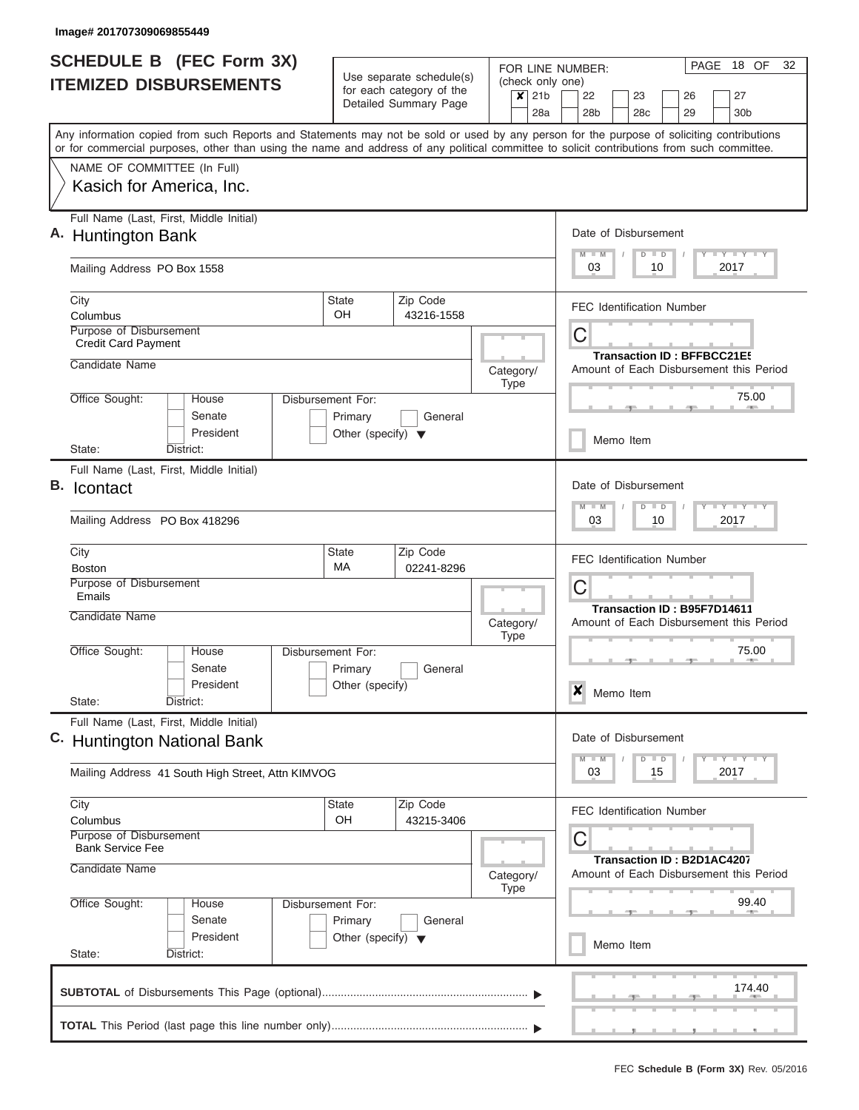|    | <b>SCHEDULE B (FEC Form 3X)</b><br><b>ITEMIZED DISBURSEMENTS</b>     |                                                                                                                                                                                                                                                                                         |                                                 | Use separate schedule(s)                          |                          |                | 18 OF<br>32<br>PAGE<br>FOR LINE NUMBER:<br>(check only one) |                                  |               |          |                                                                              |  |
|----|----------------------------------------------------------------------|-----------------------------------------------------------------------------------------------------------------------------------------------------------------------------------------------------------------------------------------------------------------------------------------|-------------------------------------------------|---------------------------------------------------|--------------------------|----------------|-------------------------------------------------------------|----------------------------------|---------------|----------|------------------------------------------------------------------------------|--|
|    |                                                                      |                                                                                                                                                                                                                                                                                         |                                                 | for each category of the<br>Detailed Summary Page |                          | $x$ 21b<br>28a | 22<br>28 <sub>b</sub>                                       | 23<br>28 <sub>c</sub>            |               | 26<br>29 | 27<br>30 <sub>b</sub>                                                        |  |
|    |                                                                      | Any information copied from such Reports and Statements may not be sold or used by any person for the purpose of soliciting contributions<br>or for commercial purposes, other than using the name and address of any political committee to solicit contributions from such committee. |                                                 |                                                   |                          |                |                                                             |                                  |               |          |                                                                              |  |
|    | NAME OF COMMITTEE (In Full)                                          |                                                                                                                                                                                                                                                                                         |                                                 |                                                   |                          |                |                                                             |                                  |               |          |                                                                              |  |
|    |                                                                      | Kasich for America, Inc.                                                                                                                                                                                                                                                                |                                                 |                                                   |                          |                |                                                             |                                  |               |          |                                                                              |  |
|    | A. Huntington Bank                                                   | Full Name (Last, First, Middle Initial)                                                                                                                                                                                                                                                 |                                                 |                                                   |                          |                | $M - M$                                                     | Date of Disbursement             | $D$ $D$       |          | Y I Y I Y I Y                                                                |  |
|    | Mailing Address PO Box 1558                                          |                                                                                                                                                                                                                                                                                         |                                                 |                                                   |                          |                | 03                                                          |                                  | 10            |          | 2017                                                                         |  |
|    | City<br>Columbus                                                     |                                                                                                                                                                                                                                                                                         | State<br>OH                                     | Zip Code<br>43216-1558                            |                          |                |                                                             | <b>FEC Identification Number</b> |               |          |                                                                              |  |
|    | Purpose of Disbursement<br><b>Credit Card Payment</b>                |                                                                                                                                                                                                                                                                                         |                                                 |                                                   |                          |                | C                                                           |                                  |               |          |                                                                              |  |
|    | Candidate Name                                                       |                                                                                                                                                                                                                                                                                         |                                                 |                                                   | Category/<br><b>Type</b> |                |                                                             |                                  |               |          | <b>Transaction ID: BFFBCC21E5</b><br>Amount of Each Disbursement this Period |  |
|    | Office Sought:                                                       | House<br>Senate                                                                                                                                                                                                                                                                         | Disbursement For:<br>Primary                    | General                                           |                          |                |                                                             |                                  |               | $-1$     | 75.00                                                                        |  |
|    | State:                                                               | President<br>District:                                                                                                                                                                                                                                                                  | Other (specify) $\blacktriangledown$            |                                                   |                          |                |                                                             | Memo Item                        |               |          |                                                                              |  |
| В. | Icontact                                                             | Full Name (Last, First, Middle Initial)                                                                                                                                                                                                                                                 |                                                 |                                                   |                          |                |                                                             | Date of Disbursement             |               |          |                                                                              |  |
|    | Mailing Address PO Box 418296                                        |                                                                                                                                                                                                                                                                                         |                                                 |                                                   |                          |                | $M - M$<br>03                                               |                                  | $D$ $D$<br>10 |          | $Y = Y = Y = Y + Y$<br>2017                                                  |  |
|    |                                                                      |                                                                                                                                                                                                                                                                                         |                                                 |                                                   |                          |                |                                                             |                                  |               |          |                                                                              |  |
|    | City<br><b>Boston</b>                                                |                                                                                                                                                                                                                                                                                         | State<br>МA                                     | Zip Code<br>02241-8296                            |                          |                |                                                             | <b>FEC Identification Number</b> |               |          |                                                                              |  |
|    | Purpose of Disbursement<br>Emails                                    |                                                                                                                                                                                                                                                                                         |                                                 |                                                   |                          |                | С<br>Transaction ID: B95F7D14611                            |                                  |               |          |                                                                              |  |
|    | Candidate Name                                                       |                                                                                                                                                                                                                                                                                         |                                                 |                                                   | Category/<br><b>Type</b> |                |                                                             |                                  |               |          | Amount of Each Disbursement this Period                                      |  |
|    | Office Sought:                                                       | House<br>Senate                                                                                                                                                                                                                                                                         | Disbursement For:<br>Primary                    | General                                           |                          |                |                                                             |                                  |               | $-1$     | 75.00<br><b>Allen</b>                                                        |  |
|    | State:                                                               | President<br>District:                                                                                                                                                                                                                                                                  | Other (specify)                                 |                                                   |                          |                | ×                                                           | Memo Item                        |               |          |                                                                              |  |
|    |                                                                      | Full Name (Last, First, Middle Initial)<br>C. Huntington National Bank                                                                                                                                                                                                                  |                                                 |                                                   |                          |                |                                                             | Date of Disbursement             |               |          |                                                                              |  |
|    | Mailing Address 41 South High Street, Attn KIMVOG                    |                                                                                                                                                                                                                                                                                         |                                                 |                                                   |                          |                | $M - M$<br>03                                               |                                  | $D$ $D$<br>15 |          | $\mathsf{L} \mathsf{Y} \mathsf{L} \mathsf{Y} \mathsf{L} \mathsf{Y}$<br>2017  |  |
|    | City<br>Columbus                                                     |                                                                                                                                                                                                                                                                                         | State<br>OH                                     | Zip Code<br>43215-3406                            |                          |                |                                                             | <b>FEC Identification Number</b> |               |          |                                                                              |  |
|    | Purpose of Disbursement<br><b>Bank Service Fee</b><br>Candidate Name |                                                                                                                                                                                                                                                                                         |                                                 |                                                   |                          | Category/      | С                                                           |                                  |               |          | Transaction ID: B2D1AC4207<br>Amount of Each Disbursement this Period        |  |
|    | Office Sought:                                                       | House                                                                                                                                                                                                                                                                                   | Disbursement For:                               |                                                   | <b>Type</b>              |                |                                                             |                                  |               |          | 99.40                                                                        |  |
|    |                                                                      | Senate<br>President                                                                                                                                                                                                                                                                     | Primary<br>Other (specify) $\blacktriangledown$ | General                                           |                          |                |                                                             | Memo Item                        |               |          |                                                                              |  |
|    | State:                                                               | District:                                                                                                                                                                                                                                                                               |                                                 |                                                   |                          |                |                                                             |                                  |               |          |                                                                              |  |
|    |                                                                      |                                                                                                                                                                                                                                                                                         |                                                 |                                                   |                          |                |                                                             |                                  |               |          | 174.40                                                                       |  |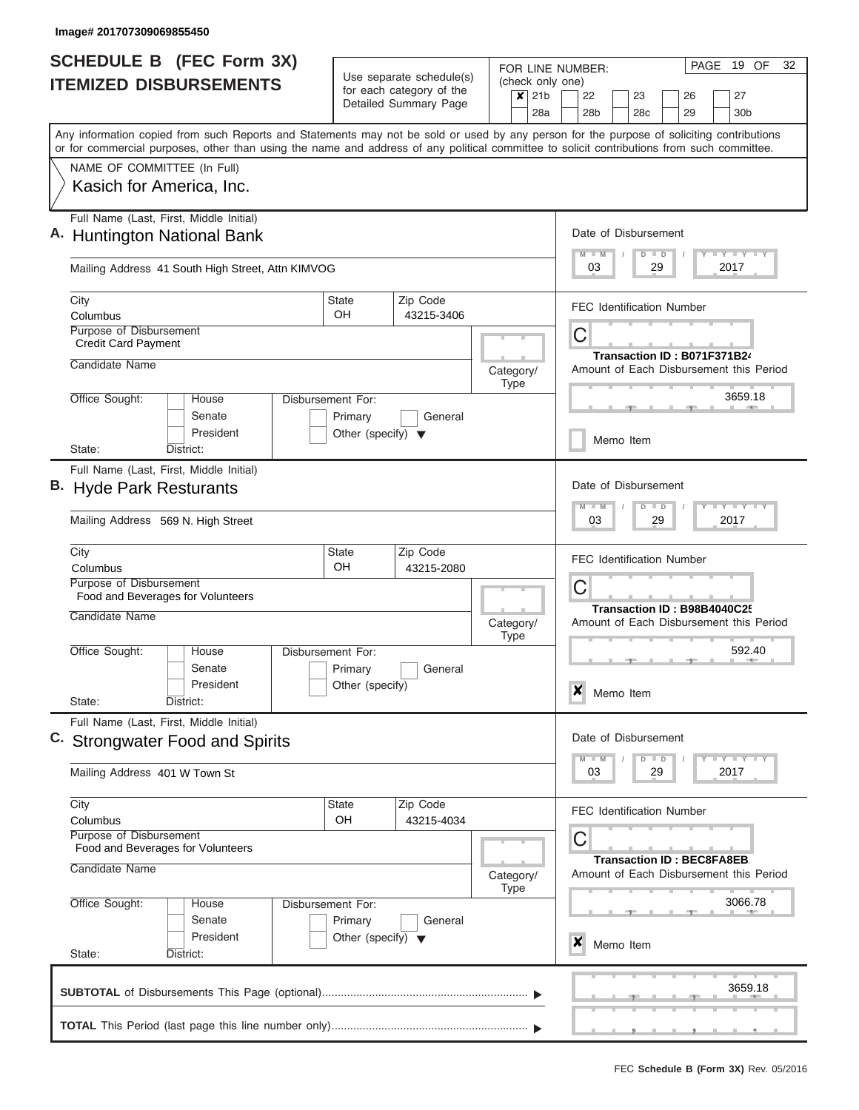| <b>SCHEDULE B (FEC Form 3X)</b><br><b>ITEMIZED DISBURSEMENTS</b> |                                                                                 |                                                                        | Use separate schedule(s) | FOR LINE NUMBER:<br>(check only one) | 32<br>PAGE 19 OF                                  |                                    |                                                                                                                                                                                                                                                                                         |  |
|------------------------------------------------------------------|---------------------------------------------------------------------------------|------------------------------------------------------------------------|--------------------------|--------------------------------------|---------------------------------------------------|------------------------------------|-----------------------------------------------------------------------------------------------------------------------------------------------------------------------------------------------------------------------------------------------------------------------------------------|--|
|                                                                  |                                                                                 |                                                                        |                          |                                      | for each category of the<br>Detailed Summary Page | $\overline{\mathsf{x}}$ 21b<br>28a | 27<br>22<br>23<br>26<br>28 <sub>b</sub><br>28 <sub>c</sub><br>29<br>30 <sub>b</sub>                                                                                                                                                                                                     |  |
|                                                                  |                                                                                 |                                                                        |                          |                                      |                                                   |                                    | Any information copied from such Reports and Statements may not be sold or used by any person for the purpose of soliciting contributions<br>or for commercial purposes, other than using the name and address of any political committee to solicit contributions from such committee. |  |
|                                                                  |                                                                                 | NAME OF COMMITTEE (In Full)                                            |                          |                                      |                                                   |                                    |                                                                                                                                                                                                                                                                                         |  |
|                                                                  |                                                                                 | Kasich for America, Inc.                                               |                          |                                      |                                                   |                                    |                                                                                                                                                                                                                                                                                         |  |
|                                                                  |                                                                                 | Full Name (Last, First, Middle Initial)<br>A. Huntington National Bank |                          |                                      |                                                   |                                    | Date of Disbursement<br>$+Y+Y+Y$<br>Ÿ<br>$D$ $D$                                                                                                                                                                                                                                        |  |
|                                                                  |                                                                                 | Mailing Address 41 South High Street, Attn KIMVOG                      |                          |                                      |                                                   |                                    | 03<br>29<br>2017                                                                                                                                                                                                                                                                        |  |
| City<br>Columbus                                                 |                                                                                 |                                                                        |                          | <b>State</b><br>OH.                  | Zip Code<br>43215-3406                            |                                    | <b>FEC Identification Number</b>                                                                                                                                                                                                                                                        |  |
|                                                                  | Purpose of Disbursement<br><b>Credit Card Payment</b>                           |                                                                        |                          |                                      |                                                   |                                    | C                                                                                                                                                                                                                                                                                       |  |
|                                                                  | Candidate Name                                                                  |                                                                        |                          |                                      |                                                   | Category/<br><b>Type</b>           | Transaction ID: B071F371B24<br>Amount of Each Disbursement this Period                                                                                                                                                                                                                  |  |
| Office Sought:                                                   |                                                                                 | House<br>Senate                                                        |                          | Disbursement For:<br>Primary         | General                                           |                                    | 3659.18                                                                                                                                                                                                                                                                                 |  |
| State:                                                           |                                                                                 | President<br>District:                                                 |                          | Other (specify) $\blacktriangledown$ |                                                   |                                    | Memo Item                                                                                                                                                                                                                                                                               |  |
|                                                                  |                                                                                 | Full Name (Last, First, Middle Initial)                                |                          |                                      |                                                   |                                    |                                                                                                                                                                                                                                                                                         |  |
|                                                                  |                                                                                 | B. Hyde Park Resturants                                                |                          |                                      |                                                   |                                    | Date of Disbursement<br>$T - Y$ $T - Y$ $T - Y$<br>$\overline{M}$<br>$D$ $D$                                                                                                                                                                                                            |  |
|                                                                  |                                                                                 | Mailing Address 569 N. High Street                                     |                          |                                      |                                                   |                                    | 03<br>29<br>2017                                                                                                                                                                                                                                                                        |  |
| City                                                             |                                                                                 |                                                                        |                          | <b>State</b>                         | Zip Code                                          |                                    | FEC Identification Number                                                                                                                                                                                                                                                               |  |
| Columbus                                                         | Purpose of Disbursement                                                         |                                                                        |                          | OH                                   | 43215-2080                                        |                                    | C                                                                                                                                                                                                                                                                                       |  |
|                                                                  |                                                                                 | Food and Beverages for Volunteers                                      |                          |                                      |                                                   |                                    | Transaction ID: B98B4040C25                                                                                                                                                                                                                                                             |  |
|                                                                  | Candidate Name                                                                  |                                                                        |                          |                                      |                                                   | Category/<br><b>Type</b>           | Amount of Each Disbursement this Period                                                                                                                                                                                                                                                 |  |
| Office Sought:                                                   |                                                                                 | House                                                                  |                          | Disbursement For:                    |                                                   |                                    | 592.40<br>一                                                                                                                                                                                                                                                                             |  |
|                                                                  |                                                                                 | Senate<br>President                                                    |                          | Primary<br>Other (specify)           | General                                           |                                    |                                                                                                                                                                                                                                                                                         |  |
| State:                                                           |                                                                                 | District:                                                              |                          |                                      |                                                   |                                    | $\boldsymbol{x}$<br>Memo Item                                                                                                                                                                                                                                                           |  |
|                                                                  | Full Name (Last, First, Middle Initial)<br>C. Strongwater Food and Spirits      |                                                                        |                          |                                      |                                                   |                                    | Date of Disbursement                                                                                                                                                                                                                                                                    |  |
|                                                                  | Mailing Address 401 W Town St                                                   |                                                                        |                          |                                      |                                                   |                                    | $\Box$ $\gamma$ $\Box$ $\gamma$ $\Box$ $\gamma$<br>$D$ $D$<br>03<br>29<br>2017                                                                                                                                                                                                          |  |
| City                                                             |                                                                                 |                                                                        |                          | State<br>OH                          | Zip Code<br>43215-4034                            |                                    | <b>FEC Identification Number</b>                                                                                                                                                                                                                                                        |  |
|                                                                  | Columbus<br><b>Purpose of Disbursement</b><br>Food and Beverages for Volunteers |                                                                        |                          |                                      |                                                   |                                    | C                                                                                                                                                                                                                                                                                       |  |
|                                                                  | Candidate Name                                                                  |                                                                        |                          |                                      |                                                   | Category/<br>Type                  | <b>Transaction ID: BEC8FA8EB</b><br>Amount of Each Disbursement this Period                                                                                                                                                                                                             |  |
| Office Sought:                                                   |                                                                                 | House                                                                  |                          | Disbursement For:                    |                                                   |                                    | 3066.78                                                                                                                                                                                                                                                                                 |  |
|                                                                  |                                                                                 | Senate                                                                 |                          | Primary                              | General                                           |                                    |                                                                                                                                                                                                                                                                                         |  |
| State:                                                           |                                                                                 | President<br>District:                                                 |                          | Other (specify) $\blacktriangledown$ |                                                   |                                    | $\boldsymbol{\mathsf{x}}$<br>Memo Item                                                                                                                                                                                                                                                  |  |
|                                                                  |                                                                                 |                                                                        |                          |                                      |                                                   |                                    | 3659.18                                                                                                                                                                                                                                                                                 |  |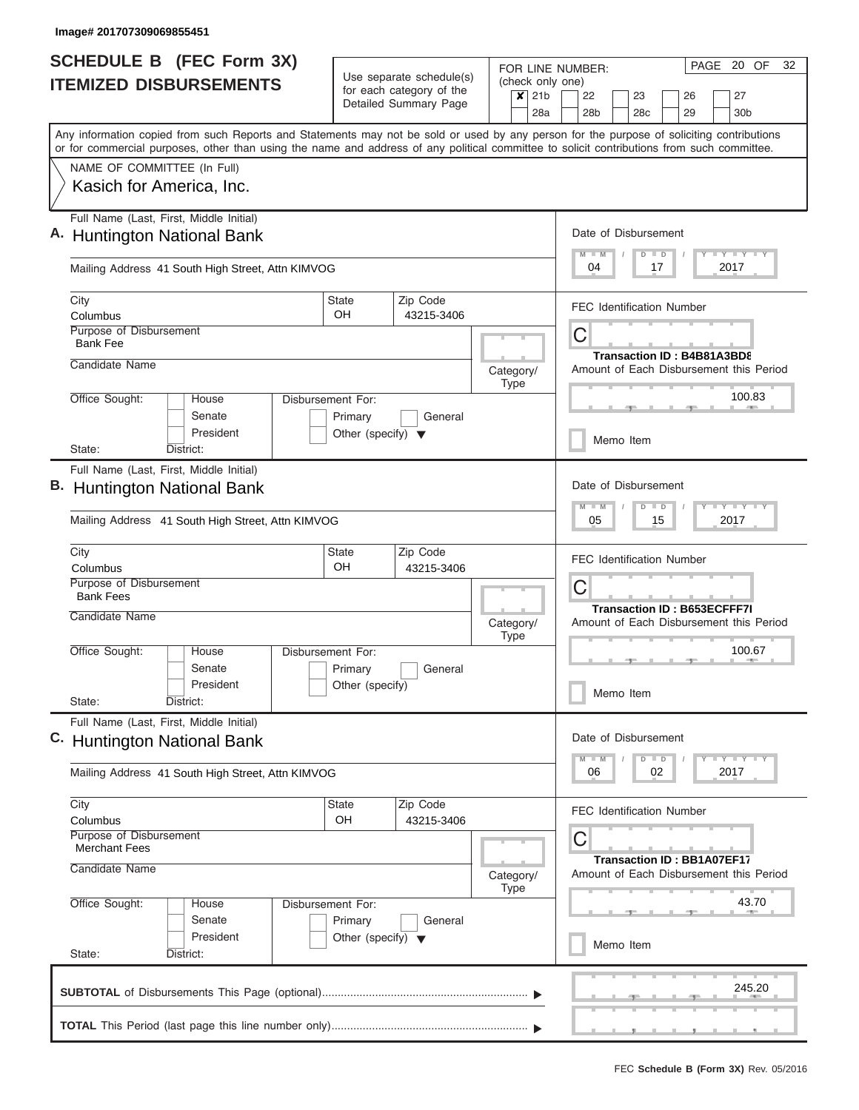| <b>SCHEDULE B (FEC Form 3X)</b>                                                                                                                                                                                                                                                         |                                                                      |                                                                               | FOR LINE NUMBER:                                               | PAGE 20 OF<br>32                                                                          |  |  |
|-----------------------------------------------------------------------------------------------------------------------------------------------------------------------------------------------------------------------------------------------------------------------------------------|----------------------------------------------------------------------|-------------------------------------------------------------------------------|----------------------------------------------------------------|-------------------------------------------------------------------------------------------|--|--|
| <b>ITEMIZED DISBURSEMENTS</b>                                                                                                                                                                                                                                                           |                                                                      | Use separate schedule(s)<br>for each category of the<br>Detailed Summary Page | (check only one)<br>$\boldsymbol{x}$<br>21 <sub>b</sub><br>28a | 22<br>23<br>27<br>26<br>29<br>28 <sub>b</sub><br>28c<br>30b                               |  |  |
| Any information copied from such Reports and Statements may not be sold or used by any person for the purpose of soliciting contributions<br>or for commercial purposes, other than using the name and address of any political committee to solicit contributions from such committee. |                                                                      |                                                                               |                                                                |                                                                                           |  |  |
| NAME OF COMMITTEE (In Full)<br>Kasich for America, Inc.                                                                                                                                                                                                                                 |                                                                      |                                                                               |                                                                |                                                                                           |  |  |
| Full Name (Last, First, Middle Initial)<br>A. Huntington National Bank                                                                                                                                                                                                                  |                                                                      |                                                                               |                                                                | Date of Disbursement<br>Y LY LY LY<br>$M - M$<br>$D$ $D$                                  |  |  |
| Mailing Address 41 South High Street, Attn KIMVOG                                                                                                                                                                                                                                       |                                                                      |                                                                               |                                                                | 04<br>2017<br>17                                                                          |  |  |
| City<br>Columbus                                                                                                                                                                                                                                                                        | <b>State</b><br>OH                                                   | Zip Code<br>43215-3406                                                        |                                                                | <b>FEC Identification Number</b>                                                          |  |  |
| Purpose of Disbursement<br><b>Bank Fee</b>                                                                                                                                                                                                                                              |                                                                      |                                                                               |                                                                | C<br>Transaction ID: B4B81A3BD8                                                           |  |  |
| Candidate Name                                                                                                                                                                                                                                                                          |                                                                      |                                                                               | Category/<br><b>Type</b>                                       | Amount of Each Disbursement this Period                                                   |  |  |
| Office Sought:<br>House<br>Senate<br>President                                                                                                                                                                                                                                          | Disbursement For:<br>Primary<br>Other (specify) $\blacktriangledown$ | General                                                                       |                                                                | 100.83                                                                                    |  |  |
| District:<br>State:                                                                                                                                                                                                                                                                     |                                                                      |                                                                               |                                                                | Memo Item                                                                                 |  |  |
| Full Name (Last, First, Middle Initial)<br>B. Huntington National Bank<br>Mailing Address 41 South High Street, Attn KIMVOG                                                                                                                                                             |                                                                      |                                                                               |                                                                | Date of Disbursement<br>$T - Y$ $T - Y$ $T - Y$<br>$M - M$<br>$D$ $D$<br>05<br>15<br>2017 |  |  |
| City                                                                                                                                                                                                                                                                                    | <b>State</b>                                                         | Zip Code                                                                      |                                                                |                                                                                           |  |  |
| Columbus<br>Purpose of Disbursement<br><b>Bank Fees</b>                                                                                                                                                                                                                                 | OH                                                                   | 43215-3406                                                                    |                                                                | <b>FEC Identification Number</b><br>С                                                     |  |  |
| Candidate Name                                                                                                                                                                                                                                                                          |                                                                      |                                                                               | Category/<br>Type                                              | <b>Transaction ID: B653ECFFF7I</b><br>Amount of Each Disbursement this Period             |  |  |
| Office Sought:<br>House<br>Senate                                                                                                                                                                                                                                                       | Disbursement For:<br>Primary                                         | General                                                                       |                                                                | 100.67                                                                                    |  |  |
| President<br>State:<br>District:                                                                                                                                                                                                                                                        | Other (specify)                                                      |                                                                               |                                                                | Memo Item                                                                                 |  |  |
| Full Name (Last, First, Middle Initial)<br>C. Huntington National Bank                                                                                                                                                                                                                  |                                                                      |                                                                               |                                                                | Date of Disbursement                                                                      |  |  |
| Mailing Address 41 South High Street, Attn KIMVOG                                                                                                                                                                                                                                       |                                                                      |                                                                               |                                                                | $T - Y$ $T - Y$ $T - Y$<br>$D$ $D$<br>2017<br>06<br>02                                    |  |  |
| City<br>Columbus<br>Purpose of Disbursement                                                                                                                                                                                                                                             | <b>State</b><br>OH                                                   | Zip Code<br>43215-3406                                                        |                                                                | <b>FEC Identification Number</b>                                                          |  |  |
| <b>Merchant Fees</b><br>Candidate Name                                                                                                                                                                                                                                                  |                                                                      |                                                                               | Category/<br><b>Type</b>                                       | С<br><b>Transaction ID: BB1A07EF17</b><br>Amount of Each Disbursement this Period         |  |  |
| Office Sought:<br>House<br>Senate                                                                                                                                                                                                                                                       | Disbursement For:<br>Primary                                         | General                                                                       |                                                                | 43.70                                                                                     |  |  |
| President                                                                                                                                                                                                                                                                               | Other (specify) $\blacktriangledown$                                 |                                                                               |                                                                |                                                                                           |  |  |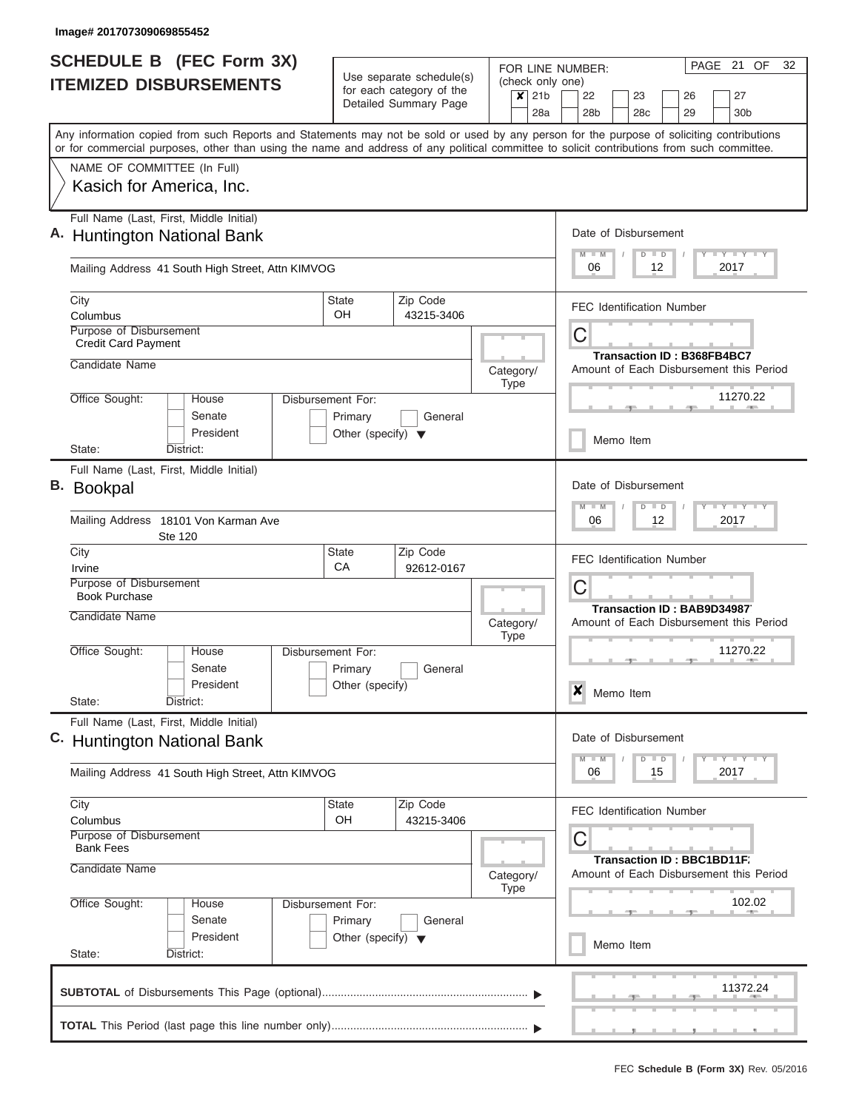| <b>SCHEDULE B (FEC Form 3X)</b><br><b>ITEMIZED DISBURSEMENTS</b> |                                                                                  | Use separate schedule(s) |                                      | (check only one)                                  | PAGE 21 OF<br>32<br>FOR LINE NUMBER: |                                  |                                                                                                                                                                                                                                                                                         |                                                           |
|------------------------------------------------------------------|----------------------------------------------------------------------------------|--------------------------|--------------------------------------|---------------------------------------------------|--------------------------------------|----------------------------------|-----------------------------------------------------------------------------------------------------------------------------------------------------------------------------------------------------------------------------------------------------------------------------------------|-----------------------------------------------------------|
|                                                                  |                                                                                  |                          |                                      | for each category of the<br>Detailed Summary Page |                                      | $x$ 21b<br>28a                   | 22<br>23<br>26<br>28b<br>28c<br>29                                                                                                                                                                                                                                                      | 27<br>30 <sub>b</sub>                                     |
|                                                                  |                                                                                  |                          |                                      |                                                   |                                      |                                  | Any information copied from such Reports and Statements may not be sold or used by any person for the purpose of soliciting contributions<br>or for commercial purposes, other than using the name and address of any political committee to solicit contributions from such committee. |                                                           |
|                                                                  | NAME OF COMMITTEE (In Full)                                                      |                          |                                      |                                                   |                                      |                                  |                                                                                                                                                                                                                                                                                         |                                                           |
|                                                                  | Kasich for America, Inc.                                                         |                          |                                      |                                                   |                                      |                                  |                                                                                                                                                                                                                                                                                         |                                                           |
|                                                                  | Full Name (Last, First, Middle Initial)<br>A. Huntington National Bank           |                          |                                      |                                                   |                                      |                                  | Date of Disbursement<br>$D$ $D$                                                                                                                                                                                                                                                         | <b>LY LY LY</b>                                           |
|                                                                  | Mailing Address 41 South High Street, Attn KIMVOG                                |                          |                                      |                                                   |                                      |                                  | 06<br>12<br>2017                                                                                                                                                                                                                                                                        |                                                           |
| City<br>Columbus                                                 |                                                                                  |                          | <b>State</b><br>OH                   | Zip Code<br>43215-3406                            |                                      |                                  | <b>FEC Identification Number</b>                                                                                                                                                                                                                                                        |                                                           |
|                                                                  | Purpose of Disbursement<br><b>Credit Card Payment</b>                            |                          |                                      |                                                   |                                      |                                  | C                                                                                                                                                                                                                                                                                       |                                                           |
| Candidate Name                                                   |                                                                                  |                          |                                      |                                                   | Category/<br><b>Type</b>             |                                  | <b>Transaction ID: B368FB4BC7</b><br>Amount of Each Disbursement this Period                                                                                                                                                                                                            |                                                           |
| Office Sought:                                                   | House<br>Senate                                                                  | Disbursement For:        | Primary                              | General                                           |                                      |                                  |                                                                                                                                                                                                                                                                                         | 11270.22                                                  |
| State:                                                           | President<br>District:                                                           |                          | Other (specify) $\blacktriangledown$ |                                                   |                                      |                                  | Memo Item                                                                                                                                                                                                                                                                               |                                                           |
|                                                                  | Full Name (Last, First, Middle Initial)                                          |                          |                                      |                                                   |                                      |                                  |                                                                                                                                                                                                                                                                                         |                                                           |
| В.                                                               | <b>Bookpal</b>                                                                   |                          |                                      |                                                   |                                      |                                  | Date of Disbursement<br>$D$ $D$                                                                                                                                                                                                                                                         | $T - Y$ $T - Y$ $T - Y$                                   |
|                                                                  | Mailing Address 18101 Von Karman Ave<br>Ste 120                                  |                          | 06<br>12<br>2017                     |                                                   |                                      |                                  |                                                                                                                                                                                                                                                                                         |                                                           |
| City<br>Irvine                                                   |                                                                                  |                          | <b>State</b><br>CA                   | Zip Code<br>92612-0167                            |                                      |                                  | <b>FEC Identification Number</b>                                                                                                                                                                                                                                                        |                                                           |
| <b>Book Purchase</b>                                             | Purpose of Disbursement                                                          |                          |                                      |                                                   |                                      | C<br>Transaction ID: BAB9D349877 |                                                                                                                                                                                                                                                                                         |                                                           |
| Candidate Name                                                   |                                                                                  |                          |                                      |                                                   | Category/<br><b>Type</b>             |                                  | Amount of Each Disbursement this Period                                                                                                                                                                                                                                                 |                                                           |
| Office Sought:                                                   | House<br>Senate                                                                  | Disbursement For:        |                                      |                                                   |                                      |                                  | $-1$                                                                                                                                                                                                                                                                                    | 11270.22                                                  |
| State:                                                           | President<br>District:                                                           |                          | Primary<br>Other (specify)           | General                                           |                                      |                                  | $\boldsymbol{x}$<br>Memo Item                                                                                                                                                                                                                                                           |                                                           |
|                                                                  | Full Name (Last, First, Middle Initial)                                          |                          |                                      |                                                   |                                      |                                  | Date of Disbursement                                                                                                                                                                                                                                                                    |                                                           |
|                                                                  | C. Huntington National Bank<br>Mailing Address 41 South High Street, Attn KIMVOG |                          |                                      |                                                   |                                      |                                  | $D$ $D$<br>$M - M$<br>06<br>15<br>2017                                                                                                                                                                                                                                                  | $\Box$ $\Upsilon$ $\Box$ $\Upsilon$ $\Upsilon$ $\Upsilon$ |
| City                                                             |                                                                                  |                          | <b>State</b>                         | Zip Code                                          |                                      |                                  | <b>FEC Identification Number</b>                                                                                                                                                                                                                                                        |                                                           |
| Columbus                                                         | Purpose of Disbursement                                                          |                          | OH                                   | 43215-3406                                        |                                      |                                  | С                                                                                                                                                                                                                                                                                       |                                                           |
|                                                                  | <b>Bank Fees</b><br>Candidate Name                                               |                          |                                      |                                                   |                                      | Category/                        | Transaction ID: BBC1BD11F.<br>Amount of Each Disbursement this Period                                                                                                                                                                                                                   |                                                           |
| Office Sought:                                                   | House<br>Senate                                                                  | Disbursement For:        | Primary                              | General                                           | <b>Type</b>                          |                                  |                                                                                                                                                                                                                                                                                         | 102.02                                                    |
| State:                                                           | President<br>District:                                                           |                          | Other (specify) $\blacktriangledown$ |                                                   |                                      |                                  | Memo Item                                                                                                                                                                                                                                                                               |                                                           |
|                                                                  |                                                                                  |                          |                                      |                                                   |                                      |                                  |                                                                                                                                                                                                                                                                                         | 11372.24                                                  |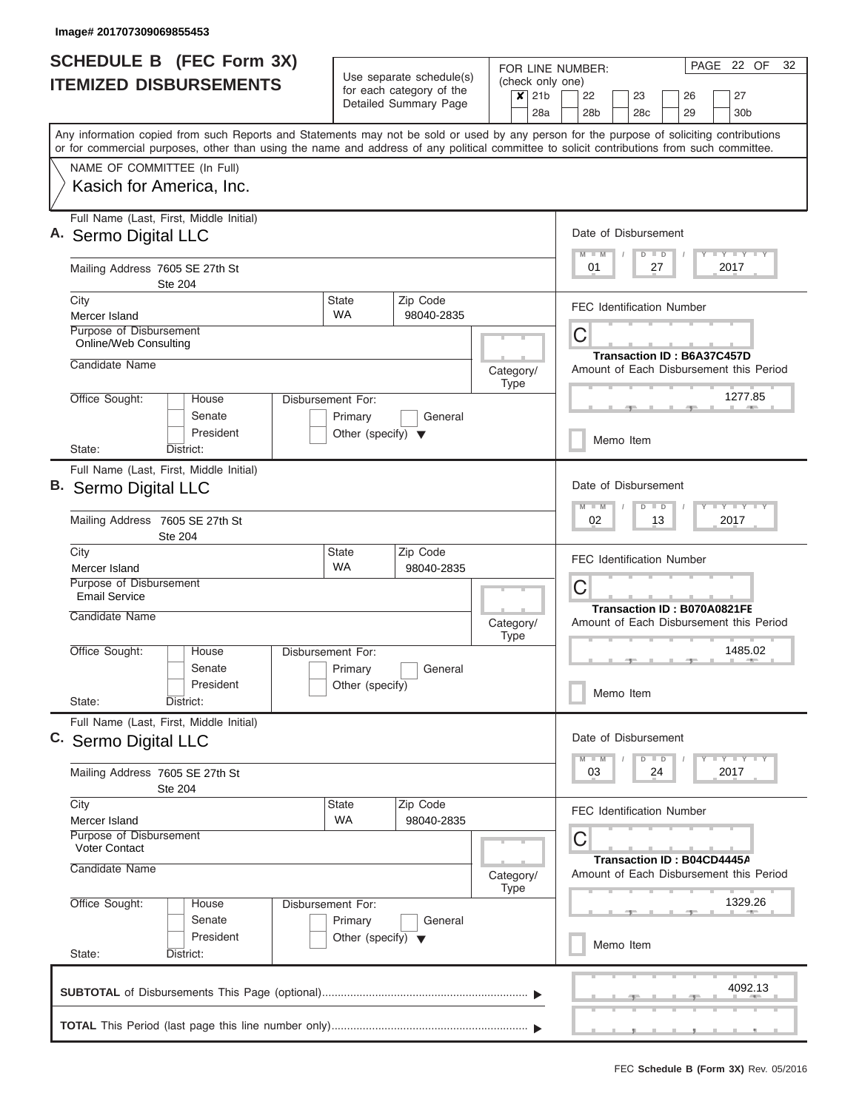$\overline{\phantom{a}}$ 

| <b>SCHEDULE B</b> (FEC Form 3X)<br><b>ITEMIZED DISBURSEMENTS</b>                                                                                                                                                                                                                        | Use separate schedule(s)                                       | PAGE 22 OF<br>32<br>FOR LINE NUMBER:<br>(check only one) |                                                                                     |  |  |  |  |
|-----------------------------------------------------------------------------------------------------------------------------------------------------------------------------------------------------------------------------------------------------------------------------------------|----------------------------------------------------------------|----------------------------------------------------------|-------------------------------------------------------------------------------------|--|--|--|--|
|                                                                                                                                                                                                                                                                                         | for each category of the<br>Detailed Summary Page              | $\overline{\mathsf{x}}$ 21b<br>28a                       | 22<br>23<br>26<br>27<br>28 <sub>b</sub><br>28 <sub>c</sub><br>29<br>30 <sub>b</sub> |  |  |  |  |
| Any information copied from such Reports and Statements may not be sold or used by any person for the purpose of soliciting contributions<br>or for commercial purposes, other than using the name and address of any political committee to solicit contributions from such committee. |                                                                |                                                          |                                                                                     |  |  |  |  |
| NAME OF COMMITTEE (In Full)                                                                                                                                                                                                                                                             |                                                                |                                                          |                                                                                     |  |  |  |  |
| Kasich for America, Inc.                                                                                                                                                                                                                                                                |                                                                |                                                          |                                                                                     |  |  |  |  |
| Full Name (Last, First, Middle Initial)<br>A. Sermo Digital LLC                                                                                                                                                                                                                         |                                                                |                                                          | Date of Disbursement                                                                |  |  |  |  |
| Mailing Address 7605 SE 27th St<br><b>Ste 204</b>                                                                                                                                                                                                                                       |                                                                |                                                          | <b>LY LY LY</b><br>$D$ $D$<br>2017<br>01<br>27                                      |  |  |  |  |
| City                                                                                                                                                                                                                                                                                    | <b>State</b><br>Zip Code<br><b>WA</b>                          |                                                          | <b>FEC Identification Number</b>                                                    |  |  |  |  |
| Mercer Island<br>Purpose of Disbursement<br>Online/Web Consulting                                                                                                                                                                                                                       | 98040-2835                                                     |                                                          | C                                                                                   |  |  |  |  |
| Candidate Name                                                                                                                                                                                                                                                                          |                                                                | Category/<br><b>Type</b>                                 | Transaction ID: B6A37C457D<br>Amount of Each Disbursement this Period               |  |  |  |  |
| Office Sought:<br>House<br>Senate                                                                                                                                                                                                                                                       | Disbursement For:<br>Primary<br>General                        |                                                          | 1277.85                                                                             |  |  |  |  |
| President<br>State:<br>District:                                                                                                                                                                                                                                                        | Other (specify) $\blacktriangledown$                           |                                                          | Memo Item                                                                           |  |  |  |  |
| Full Name (Last, First, Middle Initial)<br>B. Sermo Digital LLC                                                                                                                                                                                                                         | Date of Disbursement<br>$\blacksquare$<br>M<br>$D$ $D$<br>$-M$ |                                                          |                                                                                     |  |  |  |  |
| Mailing Address 7605 SE 27th St<br><b>Ste 204</b>                                                                                                                                                                                                                                       |                                                                | 2017<br>02<br>13                                         |                                                                                     |  |  |  |  |
| City<br>Mercer Island                                                                                                                                                                                                                                                                   | <b>State</b><br>Zip Code<br><b>WA</b><br>98040-2835            |                                                          | <b>FEC Identification Number</b>                                                    |  |  |  |  |
| Purpose of Disbursement<br><b>Email Service</b><br>Candidate Name                                                                                                                                                                                                                       |                                                                |                                                          | C<br>Transaction ID: B070A0821FE                                                    |  |  |  |  |
| Office Sought:<br>House                                                                                                                                                                                                                                                                 | Disbursement For:                                              | Category/<br><b>Type</b>                                 | Amount of Each Disbursement this Period<br>1485.02                                  |  |  |  |  |
| Senate<br>President                                                                                                                                                                                                                                                                     | General<br>Primary                                             |                                                          |                                                                                     |  |  |  |  |
| State:<br>District:                                                                                                                                                                                                                                                                     | Other (specify)                                                |                                                          | Memo Item                                                                           |  |  |  |  |
| Full Name (Last, First, Middle Initial)<br>C. Sermo Digital LLC                                                                                                                                                                                                                         |                                                                |                                                          |                                                                                     |  |  |  |  |
| Mailing Address 7605 SE 27th St<br><b>Ste 204</b>                                                                                                                                                                                                                                       |                                                                | <b>LY LY LY</b><br>$D$ $D$<br>24<br>2017<br>03           |                                                                                     |  |  |  |  |
| City<br>Mercer Island                                                                                                                                                                                                                                                                   | State<br>Zip Code<br>WA<br>98040-2835                          |                                                          | <b>FEC Identification Number</b>                                                    |  |  |  |  |
| Purpose of Disbursement<br><b>Voter Contact</b>                                                                                                                                                                                                                                         |                                                                | C<br>Transaction ID: B04CD4445A                          |                                                                                     |  |  |  |  |
| Candidate Name                                                                                                                                                                                                                                                                          |                                                                | Category/<br><b>Type</b>                                 | Amount of Each Disbursement this Period                                             |  |  |  |  |
| Office Sought:<br>House<br>Senate                                                                                                                                                                                                                                                       | Disbursement For:<br>Primary<br>General                        |                                                          | 1329.26                                                                             |  |  |  |  |
| President<br>State:                                                                                                                                                                                                                                                                     | Other (specify) $\blacktriangledown$                           |                                                          | Memo Item                                                                           |  |  |  |  |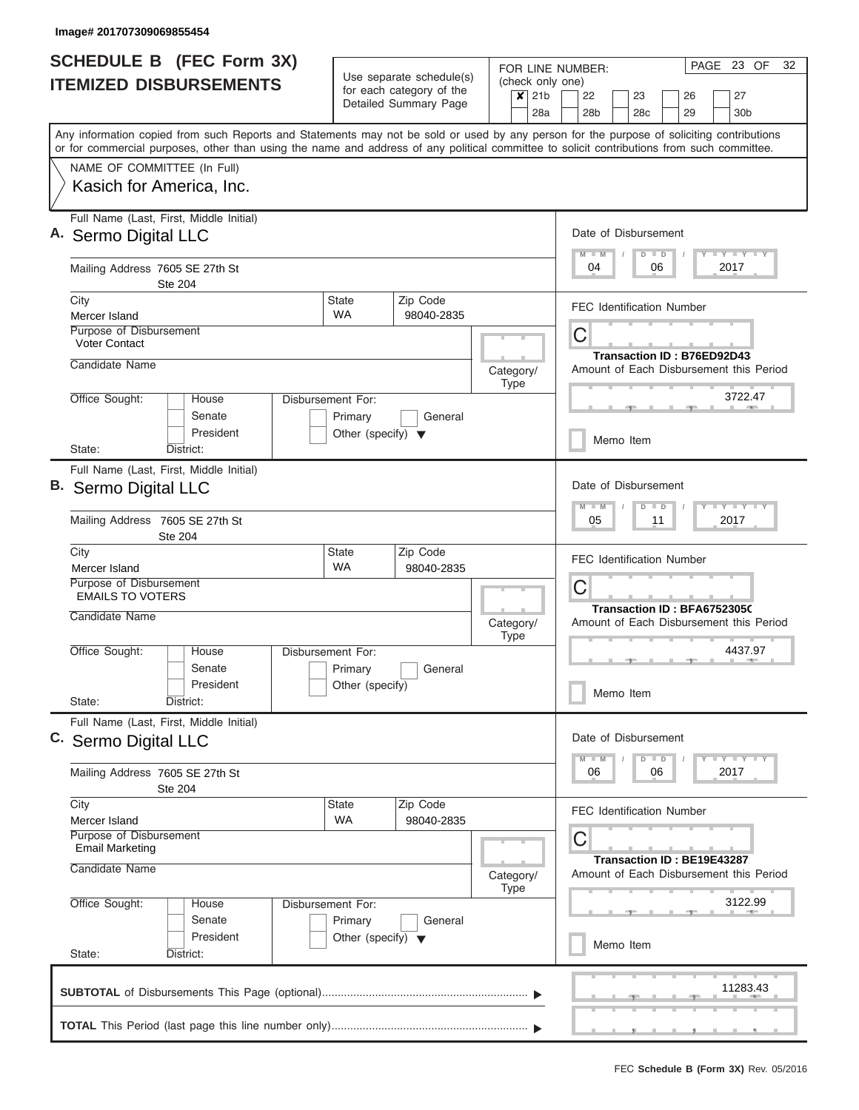| <b>SCHEDULE B</b> (FEC Form 3X)<br><b>ITEMIZED DISBURSEMENTS</b>                                                                                                                                                                                                                                                       |                                                 | Use separate schedule(s)<br>for each category of the<br>Detailed Summary Page | FOR LINE NUMBER:<br>(check only one)<br>$x$ 21b                       | PAGE 23 OF<br>32<br>22<br>23<br>27<br>26                                                                                |  |
|------------------------------------------------------------------------------------------------------------------------------------------------------------------------------------------------------------------------------------------------------------------------------------------------------------------------|-------------------------------------------------|-------------------------------------------------------------------------------|-----------------------------------------------------------------------|-------------------------------------------------------------------------------------------------------------------------|--|
| Any information copied from such Reports and Statements may not be sold or used by any person for the purpose of soliciting contributions<br>or for commercial purposes, other than using the name and address of any political committee to solicit contributions from such committee.<br>NAME OF COMMITTEE (In Full) |                                                 |                                                                               | 28a                                                                   | 28b<br>28 <sub>c</sub><br>29<br>30b                                                                                     |  |
| Kasich for America, Inc.                                                                                                                                                                                                                                                                                               |                                                 |                                                                               |                                                                       |                                                                                                                         |  |
| Full Name (Last, First, Middle Initial)<br>A. Sermo Digital LLC<br>Mailing Address 7605 SE 27th St                                                                                                                                                                                                                     |                                                 |                                                                               |                                                                       | Date of Disbursement<br><b>TEY LY LY</b><br>$M$ $M$<br>$D$ $D$<br>04<br>06<br>2017                                      |  |
| Ste 204                                                                                                                                                                                                                                                                                                                |                                                 |                                                                               |                                                                       |                                                                                                                         |  |
| City<br>Mercer Island                                                                                                                                                                                                                                                                                                  | <b>State</b><br><b>WA</b>                       | Zip Code<br>98040-2835                                                        |                                                                       | <b>FEC Identification Number</b>                                                                                        |  |
| Purpose of Disbursement<br><b>Voter Contact</b>                                                                                                                                                                                                                                                                        |                                                 |                                                                               |                                                                       | С<br>Transaction ID: B76ED92D43                                                                                         |  |
| Candidate Name                                                                                                                                                                                                                                                                                                         |                                                 |                                                                               | Category/<br>Type                                                     | Amount of Each Disbursement this Period                                                                                 |  |
| Office Sought:<br>House<br>Senate                                                                                                                                                                                                                                                                                      | Disbursement For:<br>Primary                    | General                                                                       |                                                                       | 3722.47                                                                                                                 |  |
| President<br>District:<br>State:                                                                                                                                                                                                                                                                                       | Other (specify) $\blacktriangledown$            |                                                                               |                                                                       | Memo Item                                                                                                               |  |
| Full Name (Last, First, Middle Initial)<br>В.<br>Sermo Digital LLC                                                                                                                                                                                                                                                     |                                                 |                                                                               |                                                                       | Date of Disbursement<br>$T - Y = T Y - T Y$<br>M<br>$-W$<br>$D$ $D$                                                     |  |
| Mailing Address 7605 SE 27th St<br>Ste 204                                                                                                                                                                                                                                                                             |                                                 |                                                                               |                                                                       | 05<br>11<br>2017                                                                                                        |  |
| City<br>Mercer Island                                                                                                                                                                                                                                                                                                  | <b>State</b><br><b>WA</b>                       | Zip Code<br>98040-2835                                                        |                                                                       | <b>FEC Identification Number</b>                                                                                        |  |
| Purpose of Disbursement<br><b>EMAILS TO VOTERS</b>                                                                                                                                                                                                                                                                     |                                                 |                                                                               |                                                                       | С<br>Transaction ID: BFA67523050                                                                                        |  |
| Candidate Name                                                                                                                                                                                                                                                                                                         |                                                 |                                                                               | Category/<br><b>Type</b>                                              | Amount of Each Disbursement this Period                                                                                 |  |
| Office Sought:<br>House<br>Senate<br>President                                                                                                                                                                                                                                                                         | Disbursement For:<br>Primary<br>Other (specify) | General                                                                       |                                                                       | 4437.97<br>$-1$                                                                                                         |  |
| State:<br>District:                                                                                                                                                                                                                                                                                                    |                                                 |                                                                               |                                                                       | Memo Item                                                                                                               |  |
| Full Name (Last, First, Middle Initial)<br>C. Sermo Digital LLC                                                                                                                                                                                                                                                        |                                                 |                                                                               |                                                                       |                                                                                                                         |  |
| Mailing Address 7605 SE 27th St<br><b>Ste 204</b>                                                                                                                                                                                                                                                                      |                                                 |                                                                               |                                                                       | $M - M$<br>$D$ $D$<br>$\mathsf{I}$ $\mathsf{Y}$ $\mathsf{I}$ $\mathsf{Y}$ $\mathsf{I}$ $\mathsf{Y}$<br>06<br>06<br>2017 |  |
| City<br>Mercer Island<br>Purpose of Disbursement<br><b>Email Marketing</b>                                                                                                                                                                                                                                             | <b>State</b><br><b>WA</b>                       | Zip Code<br>98040-2835                                                        | <b>FEC Identification Number</b><br>С                                 |                                                                                                                         |  |
| Candidate Name                                                                                                                                                                                                                                                                                                         |                                                 | Category/<br>Type                                                             | Transaction ID: BE19E43287<br>Amount of Each Disbursement this Period |                                                                                                                         |  |
| Office Sought:<br>House<br>Senate                                                                                                                                                                                                                                                                                      | Disbursement For:<br>Primary                    | General                                                                       |                                                                       | 3122.99                                                                                                                 |  |
| President<br>State:<br>District:                                                                                                                                                                                                                                                                                       | Other (specify) $\blacktriangledown$            |                                                                               |                                                                       | Memo Item                                                                                                               |  |
|                                                                                                                                                                                                                                                                                                                        |                                                 |                                                                               |                                                                       |                                                                                                                         |  |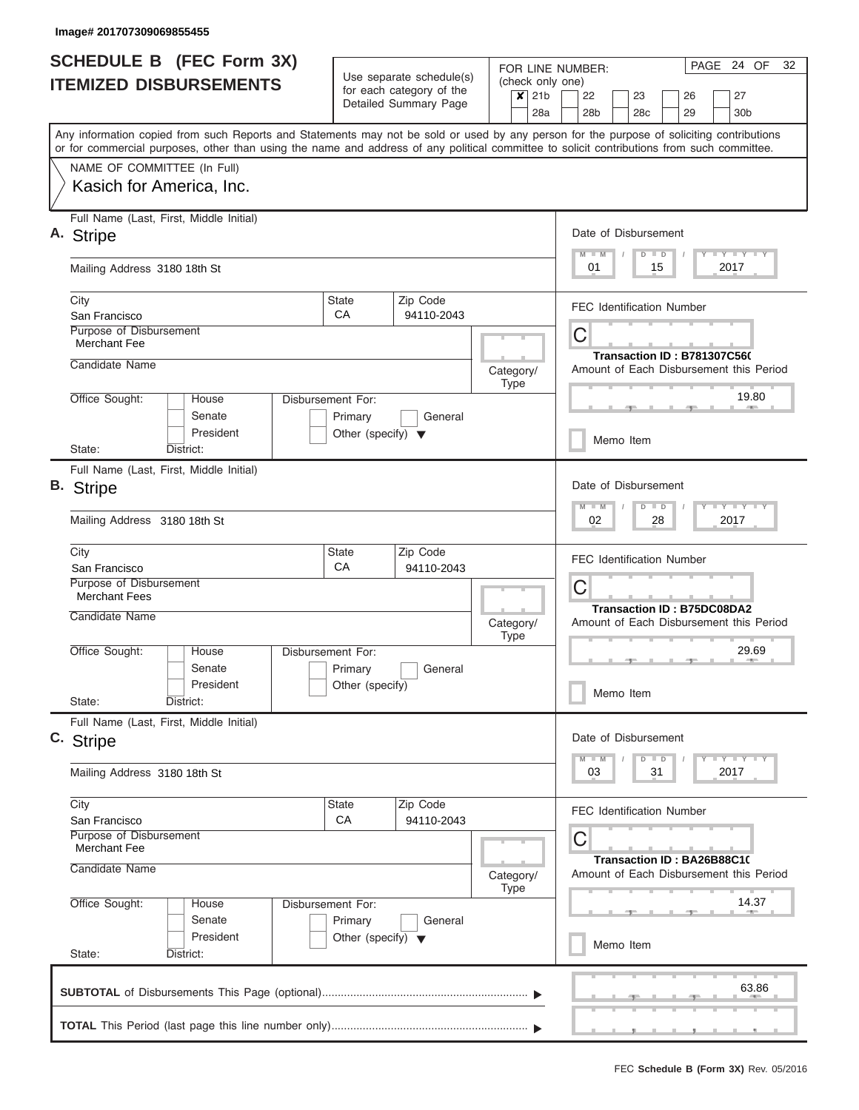| <b>SCHEDULE B (FEC Form 3X)</b>                                                                                                                                                                                                                                                         |                                                                      | Use separate schedule(s)                          | FOR LINE NUMBER:<br>(check only one) | PAGE 24 OF<br>32                                                                      |  |  |  |
|-----------------------------------------------------------------------------------------------------------------------------------------------------------------------------------------------------------------------------------------------------------------------------------------|----------------------------------------------------------------------|---------------------------------------------------|--------------------------------------|---------------------------------------------------------------------------------------|--|--|--|
| <b>ITEMIZED DISBURSEMENTS</b>                                                                                                                                                                                                                                                           |                                                                      | for each category of the<br>Detailed Summary Page | $\overline{\mathsf{x}}$ 21b<br>28a   | 27<br>22<br>23<br>26<br>30b<br>28 <sub>b</sub><br>28c<br>29                           |  |  |  |
| Any information copied from such Reports and Statements may not be sold or used by any person for the purpose of soliciting contributions<br>or for commercial purposes, other than using the name and address of any political committee to solicit contributions from such committee. |                                                                      |                                                   |                                      |                                                                                       |  |  |  |
| NAME OF COMMITTEE (In Full)<br>Kasich for America, Inc.                                                                                                                                                                                                                                 |                                                                      |                                                   |                                      |                                                                                       |  |  |  |
| Full Name (Last, First, Middle Initial)<br>A. Stripe                                                                                                                                                                                                                                    |                                                                      |                                                   |                                      | Date of Disbursement<br>Y I Y I Y I Y<br>$M$ $M$<br>$D$ $D$                           |  |  |  |
| Mailing Address 3180 18th St                                                                                                                                                                                                                                                            |                                                                      |                                                   |                                      | 01<br>15<br>2017                                                                      |  |  |  |
| City<br>San Francisco                                                                                                                                                                                                                                                                   | <b>State</b><br>CA                                                   | Zip Code<br>94110-2043                            |                                      | <b>FEC Identification Number</b>                                                      |  |  |  |
| Purpose of Disbursement<br><b>Merchant Fee</b><br>Candidate Name                                                                                                                                                                                                                        |                                                                      |                                                   |                                      | C<br><b>Transaction ID: B781307C560</b>                                               |  |  |  |
| Office Sought:<br>House                                                                                                                                                                                                                                                                 | Disbursement For:                                                    |                                                   | Category/<br><b>Type</b>             | Amount of Each Disbursement this Period<br>19.80                                      |  |  |  |
| Senate<br>President<br>District:<br>State:                                                                                                                                                                                                                                              | Primary<br>Other (specify) $\blacktriangledown$                      | General                                           |                                      | Memo Item                                                                             |  |  |  |
| Full Name (Last, First, Middle Initial)<br><b>B.</b> Stripe                                                                                                                                                                                                                             |                                                                      |                                                   |                                      | Date of Disbursement<br>$T$ $Y$ $T$ $Y$ $T$<br>$M - M$<br>$D$ $D$                     |  |  |  |
| Mailing Address 3180 18th St                                                                                                                                                                                                                                                            |                                                                      |                                                   |                                      | 02<br>28<br>2017                                                                      |  |  |  |
| City<br>San Francisco<br>Purpose of Disbursement<br><b>Merchant Fees</b>                                                                                                                                                                                                                | <b>State</b><br>CA                                                   | Zip Code<br>94110-2043                            |                                      | <b>FEC Identification Number</b><br>С                                                 |  |  |  |
| Candidate Name                                                                                                                                                                                                                                                                          |                                                                      |                                                   | Category/<br><b>Type</b>             | <b>Transaction ID: B75DC08DA2</b><br>Amount of Each Disbursement this Period          |  |  |  |
| Office Sought:<br>House<br>Senate<br>President                                                                                                                                                                                                                                          | Disbursement For:<br>Primary<br>Other (specify)                      | General                                           |                                      | 29.69<br>Memo Item                                                                    |  |  |  |
| State:<br>District:<br>Full Name (Last, First, Middle Initial)                                                                                                                                                                                                                          |                                                                      |                                                   |                                      |                                                                                       |  |  |  |
| C. Stripe<br>Mailing Address 3180 18th St                                                                                                                                                                                                                                               |                                                                      |                                                   |                                      | Date of Disbursement<br>$T$ $Y$ $Y$ $Y$ $Y$<br>$M$ $M$<br>$D$ $D$<br>2017<br>03<br>31 |  |  |  |
| City                                                                                                                                                                                                                                                                                    | <b>State</b><br>СA                                                   | Zip Code<br>94110-2043                            |                                      | <b>FEC Identification Number</b>                                                      |  |  |  |
| San Francisco<br>Purpose of Disbursement<br><b>Merchant Fee</b>                                                                                                                                                                                                                         |                                                                      |                                                   |                                      | С<br>Transaction ID: BA26B88C10                                                       |  |  |  |
| Candidate Name                                                                                                                                                                                                                                                                          |                                                                      |                                                   |                                      |                                                                                       |  |  |  |
| Office Sought:<br>House<br>Senate<br>President                                                                                                                                                                                                                                          | Disbursement For:<br>Primary<br>Other (specify) $\blacktriangledown$ | General                                           |                                      | 14.37<br>Memo Item                                                                    |  |  |  |
| State:<br>District:                                                                                                                                                                                                                                                                     |                                                                      |                                                   |                                      | 63.86                                                                                 |  |  |  |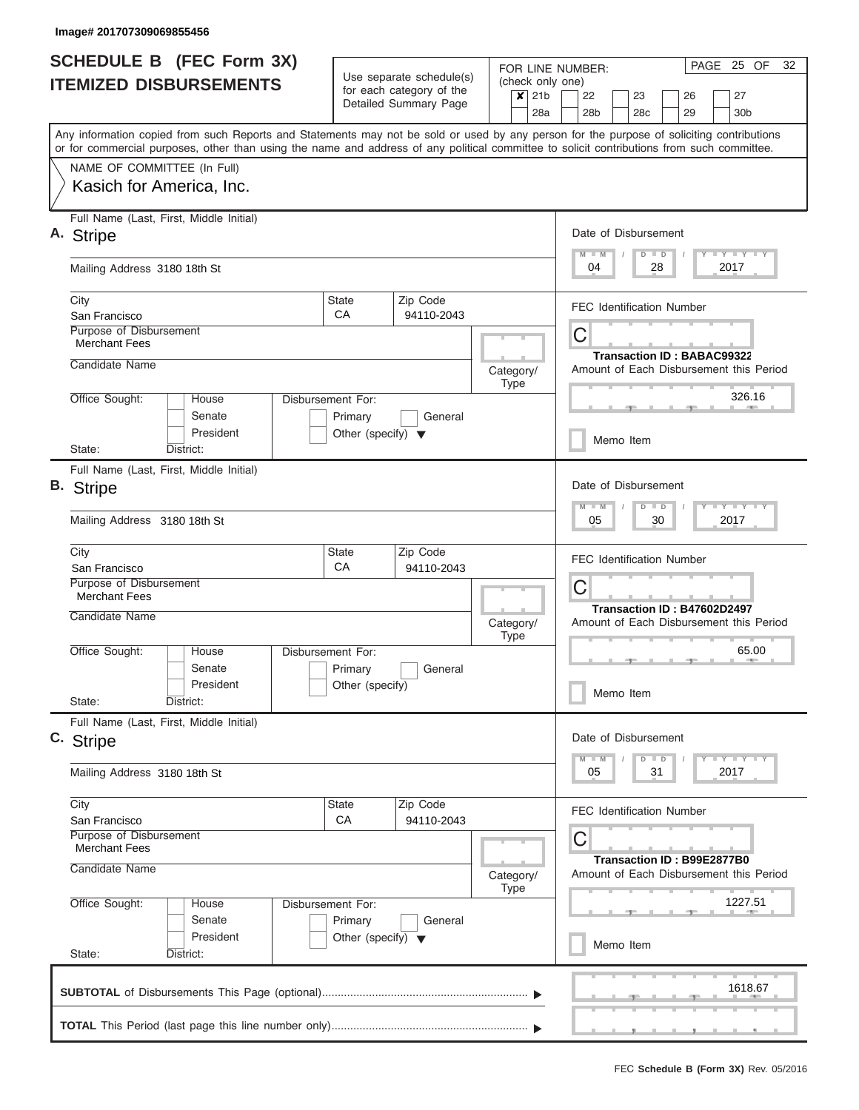| <b>SCHEDULE B (FEC Form 3X)</b><br><b>ITEMIZED DISBURSEMENTS</b> |                                                                                                                                                                                                                                                                                         |                                                 | Use separate schedule(s)<br>for each category of the<br>Detailed Summary Page |             | PAGE 25 OF<br>32<br>FOR LINE NUMBER:<br>(check only one) |             |                       |                                   |    |          |                                         |
|------------------------------------------------------------------|-----------------------------------------------------------------------------------------------------------------------------------------------------------------------------------------------------------------------------------------------------------------------------------------|-------------------------------------------------|-------------------------------------------------------------------------------|-------------|----------------------------------------------------------|-------------|-----------------------|-----------------------------------|----|----------|-----------------------------------------|
|                                                                  |                                                                                                                                                                                                                                                                                         |                                                 |                                                                               |             | $\overline{\mathbf{x}}$<br>21 <sub>b</sub><br>28a        |             | 22<br>28 <sub>b</sub> | 23<br>28 <sub>c</sub>             |    | 26<br>29 | 27<br>30 <sub>b</sub>                   |
|                                                                  | Any information copied from such Reports and Statements may not be sold or used by any person for the purpose of soliciting contributions<br>or for commercial purposes, other than using the name and address of any political committee to solicit contributions from such committee. |                                                 |                                                                               |             |                                                          |             |                       |                                   |    |          |                                         |
| NAME OF COMMITTEE (In Full)                                      |                                                                                                                                                                                                                                                                                         |                                                 |                                                                               |             |                                                          |             |                       |                                   |    |          |                                         |
| Kasich for America, Inc.                                         |                                                                                                                                                                                                                                                                                         |                                                 |                                                                               |             |                                                          |             |                       |                                   |    |          |                                         |
| Full Name (Last, First, Middle Initial)<br>A. Stripe             |                                                                                                                                                                                                                                                                                         |                                                 |                                                                               |             |                                                          |             |                       | Date of Disbursement              |    |          |                                         |
|                                                                  |                                                                                                                                                                                                                                                                                         |                                                 |                                                                               |             |                                                          |             | $M$ $M$               | $D$ $D$                           |    |          | Y I Y I Y I Y                           |
| Mailing Address 3180 18th St                                     |                                                                                                                                                                                                                                                                                         |                                                 |                                                                               |             |                                                          |             | 04                    |                                   | 28 |          | 2017                                    |
| City<br>San Francisco                                            |                                                                                                                                                                                                                                                                                         | <b>State</b><br>CA                              | Zip Code<br>94110-2043                                                        |             |                                                          |             |                       | <b>FEC Identification Number</b>  |    |          |                                         |
| <b>Purpose of Disbursement</b><br><b>Merchant Fees</b>           |                                                                                                                                                                                                                                                                                         |                                                 |                                                                               |             |                                                          | $\mathsf C$ |                       |                                   |    |          |                                         |
| Candidate Name                                                   |                                                                                                                                                                                                                                                                                         |                                                 |                                                                               |             | Category/<br><b>Type</b>                                 |             |                       | <b>Transaction ID: BABAC99322</b> |    |          | Amount of Each Disbursement this Period |
| Office Sought:                                                   | House                                                                                                                                                                                                                                                                                   | Disbursement For:                               |                                                                               |             |                                                          |             |                       |                                   |    |          | 326.16                                  |
|                                                                  | Senate<br>President                                                                                                                                                                                                                                                                     | Primary<br>Other (specify) $\blacktriangledown$ | General                                                                       |             |                                                          |             |                       | Memo Item                         |    |          |                                         |
| State:                                                           | District:                                                                                                                                                                                                                                                                               |                                                 |                                                                               |             |                                                          |             |                       |                                   |    |          |                                         |
| В.<br><b>Stripe</b>                                              | Full Name (Last, First, Middle Initial)                                                                                                                                                                                                                                                 |                                                 |                                                                               |             |                                                          |             |                       | Date of Disbursement              |    |          |                                         |
| Mailing Address 3180 18th St                                     |                                                                                                                                                                                                                                                                                         |                                                 |                                                                               |             |                                                          |             | M<br>$-W$<br>05       | $D$ $D$                           | 30 |          | $Y - Y - Y - Y - Y$<br>2017             |
| City<br>San Francisco                                            |                                                                                                                                                                                                                                                                                         | <b>State</b><br>CA                              | Zip Code<br>94110-2043                                                        |             |                                                          |             |                       | <b>FEC Identification Number</b>  |    |          |                                         |
| Purpose of Disbursement<br><b>Merchant Fees</b>                  |                                                                                                                                                                                                                                                                                         |                                                 |                                                                               |             |                                                          | $\mathsf C$ |                       |                                   |    |          |                                         |
| Candidate Name                                                   |                                                                                                                                                                                                                                                                                         |                                                 |                                                                               |             | Category/<br><b>Type</b>                                 |             |                       | Transaction ID: B47602D2497       |    |          | Amount of Each Disbursement this Period |
| Office Sought:                                                   | House                                                                                                                                                                                                                                                                                   | Disbursement For:                               |                                                                               |             |                                                          |             |                       |                                   |    | 一        | 65.00<br><b>ARMS</b>                    |
|                                                                  | Senate<br>President                                                                                                                                                                                                                                                                     | Primary<br>Other (specify)                      | General                                                                       |             |                                                          |             |                       | Memo Item                         |    |          |                                         |
| State:                                                           | District:                                                                                                                                                                                                                                                                               |                                                 |                                                                               |             |                                                          |             |                       |                                   |    |          |                                         |
| C. Stripe                                                        | Full Name (Last, First, Middle Initial)                                                                                                                                                                                                                                                 |                                                 |                                                                               |             |                                                          |             |                       | Date of Disbursement              |    |          |                                         |
| Mailing Address 3180 18th St                                     |                                                                                                                                                                                                                                                                                         |                                                 |                                                                               |             |                                                          |             | $M - M$<br>05         | $D$ $D$                           | 31 |          | $Y - Y - Y - Y - Y$<br>2017             |
| City                                                             |                                                                                                                                                                                                                                                                                         | <b>State</b>                                    | Zip Code                                                                      |             |                                                          |             |                       | <b>FEC Identification Number</b>  |    |          |                                         |
| <b>Merchant Fees</b>                                             | CA<br>94110-2043<br>San Francisco<br>Purpose of Disbursement                                                                                                                                                                                                                            |                                                 |                                                                               |             |                                                          | C           |                       |                                   |    |          |                                         |
| Candidate Name                                                   | Category/                                                                                                                                                                                                                                                                               |                                                 |                                                                               |             |                                                          |             |                       | Transaction ID: B99E2877B0        |    |          | Amount of Each Disbursement this Period |
| Office Sought:                                                   | Disbursement For:<br>House                                                                                                                                                                                                                                                              |                                                 |                                                                               | <b>Type</b> |                                                          |             |                       |                                   |    |          | 1227.51                                 |
|                                                                  | Senate<br>President                                                                                                                                                                                                                                                                     | Primary<br>Other (specify) $\blacktriangledown$ | General                                                                       |             |                                                          |             |                       | Memo Item                         |    |          |                                         |
| State:                                                           | District:                                                                                                                                                                                                                                                                               |                                                 |                                                                               |             |                                                          |             |                       |                                   |    |          |                                         |
|                                                                  |                                                                                                                                                                                                                                                                                         |                                                 |                                                                               |             |                                                          |             |                       |                                   |    |          | 1618.67                                 |
|                                                                  |                                                                                                                                                                                                                                                                                         |                                                 |                                                                               |             |                                                          |             |                       |                                   |    |          |                                         |
|                                                                  |                                                                                                                                                                                                                                                                                         |                                                 |                                                                               |             |                                                          |             |                       |                                   |    |          |                                         |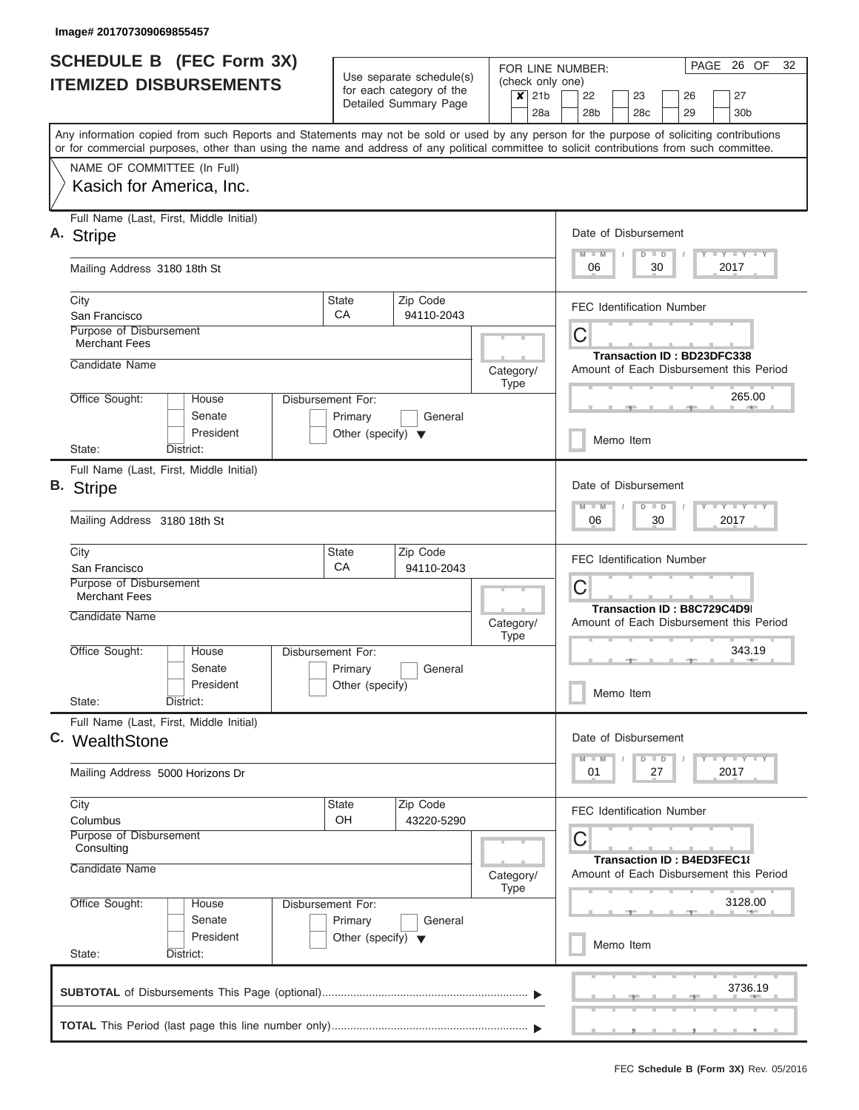| <b>SCHEDULE B (FEC Form 3X)</b><br><b>ITEMIZED DISBURSEMENTS</b> |                                                   |                                         | Use separate schedule(s)<br>for each category of the | (check only one)<br>$\overline{\mathsf{x}}$ 21b | PAGE 26 OF<br>32<br>FOR LINE NUMBER:<br>22<br>27<br>23<br>26 |                                                                                                                                                                                                                                                                                         |  |  |
|------------------------------------------------------------------|---------------------------------------------------|-----------------------------------------|------------------------------------------------------|-------------------------------------------------|--------------------------------------------------------------|-----------------------------------------------------------------------------------------------------------------------------------------------------------------------------------------------------------------------------------------------------------------------------------------|--|--|
|                                                                  |                                                   |                                         |                                                      | Detailed Summary Page                           | 28a                                                          | 28 <sub>b</sub><br>28 <sub>c</sub><br>29<br>30 <sub>b</sub>                                                                                                                                                                                                                             |  |  |
|                                                                  |                                                   |                                         |                                                      |                                                 |                                                              | Any information copied from such Reports and Statements may not be sold or used by any person for the purpose of soliciting contributions<br>or for commercial purposes, other than using the name and address of any political committee to solicit contributions from such committee. |  |  |
|                                                                  | NAME OF COMMITTEE (In Full)                       |                                         |                                                      |                                                 |                                                              |                                                                                                                                                                                                                                                                                         |  |  |
|                                                                  |                                                   | Kasich for America, Inc.                |                                                      |                                                 |                                                              |                                                                                                                                                                                                                                                                                         |  |  |
|                                                                  | A. Stripe                                         | Full Name (Last, First, Middle Initial) |                                                      |                                                 |                                                              | Date of Disbursement<br>Y LY LY LY<br>$M - M$<br>$D$ $D$                                                                                                                                                                                                                                |  |  |
|                                                                  | Mailing Address 3180 18th St                      |                                         |                                                      |                                                 |                                                              | 06<br>30<br>2017                                                                                                                                                                                                                                                                        |  |  |
|                                                                  | City<br>San Francisco                             |                                         | <b>State</b><br>CA                                   | Zip Code<br>94110-2043                          |                                                              | <b>FEC Identification Number</b>                                                                                                                                                                                                                                                        |  |  |
|                                                                  | Purpose of Disbursement<br><b>Merchant Fees</b>   |                                         |                                                      |                                                 |                                                              | C<br><b>Transaction ID: BD23DFC338</b>                                                                                                                                                                                                                                                  |  |  |
|                                                                  | Candidate Name                                    |                                         |                                                      |                                                 | Category/<br><b>Type</b>                                     | Amount of Each Disbursement this Period                                                                                                                                                                                                                                                 |  |  |
|                                                                  | Office Sought:                                    | House<br>Senate                         | Disbursement For:<br>Primary                         | General                                         |                                                              | 265.00                                                                                                                                                                                                                                                                                  |  |  |
|                                                                  | State:                                            | President<br>District:                  | Other (specify) $\blacktriangledown$                 |                                                 |                                                              | Memo Item                                                                                                                                                                                                                                                                               |  |  |
|                                                                  |                                                   | Full Name (Last, First, Middle Initial) |                                                      |                                                 |                                                              |                                                                                                                                                                                                                                                                                         |  |  |
|                                                                  | B. Stripe                                         |                                         |                                                      |                                                 |                                                              | Date of Disbursement<br>M<br>$D$ $D$<br>$-M$                                                                                                                                                                                                                                            |  |  |
|                                                                  | Mailing Address 3180 18th St                      |                                         |                                                      |                                                 |                                                              | 06<br>30<br>2017                                                                                                                                                                                                                                                                        |  |  |
|                                                                  | City                                              |                                         | <b>State</b>                                         | Zip Code                                        |                                                              | <b>FEC Identification Number</b>                                                                                                                                                                                                                                                        |  |  |
|                                                                  | San Francisco<br>Purpose of Disbursement          |                                         | CA                                                   | 94110-2043                                      |                                                              | C                                                                                                                                                                                                                                                                                       |  |  |
|                                                                  | <b>Merchant Fees</b>                              |                                         |                                                      |                                                 |                                                              | Transaction ID: B8C729C4D9                                                                                                                                                                                                                                                              |  |  |
|                                                                  | Candidate Name                                    |                                         |                                                      |                                                 | Category/<br><b>Type</b>                                     | Amount of Each Disbursement this Period                                                                                                                                                                                                                                                 |  |  |
|                                                                  | Office Sought:                                    | House<br>Senate                         | Disbursement For:<br>Primary                         | General                                         |                                                              | 343.19                                                                                                                                                                                                                                                                                  |  |  |
|                                                                  | State:                                            | President<br>District:                  | Other (specify)                                      |                                                 |                                                              | Memo Item                                                                                                                                                                                                                                                                               |  |  |
|                                                                  | C. WealthStone                                    | Full Name (Last, First, Middle Initial) |                                                      |                                                 |                                                              | Date of Disbursement                                                                                                                                                                                                                                                                    |  |  |
|                                                                  |                                                   | Mailing Address 5000 Horizons Dr        |                                                      |                                                 |                                                              | Y LY LY LY<br>$D$ $D$<br>$-M$<br>2017<br>01<br>27                                                                                                                                                                                                                                       |  |  |
|                                                                  | City                                              |                                         | <b>State</b>                                         | Zip Code                                        |                                                              | <b>FEC Identification Number</b>                                                                                                                                                                                                                                                        |  |  |
|                                                                  | Columbus<br>Purpose of Disbursement<br>Consulting |                                         | OH                                                   | 43220-5290                                      |                                                              | C                                                                                                                                                                                                                                                                                       |  |  |
|                                                                  | Candidate Name                                    |                                         |                                                      |                                                 | Category/<br><b>Type</b>                                     | Transaction ID: B4ED3FEC18<br>Amount of Each Disbursement this Period                                                                                                                                                                                                                   |  |  |
|                                                                  | Office Sought:                                    | House                                   | Disbursement For:                                    |                                                 |                                                              | 3128.00                                                                                                                                                                                                                                                                                 |  |  |
|                                                                  |                                                   | Senate<br>President                     | Primary<br>Other (specify) $\blacktriangledown$      | General                                         |                                                              | Memo Item                                                                                                                                                                                                                                                                               |  |  |
|                                                                  | State:                                            | District:                               |                                                      |                                                 |                                                              |                                                                                                                                                                                                                                                                                         |  |  |
|                                                                  |                                                   |                                         |                                                      |                                                 |                                                              | 3736.19                                                                                                                                                                                                                                                                                 |  |  |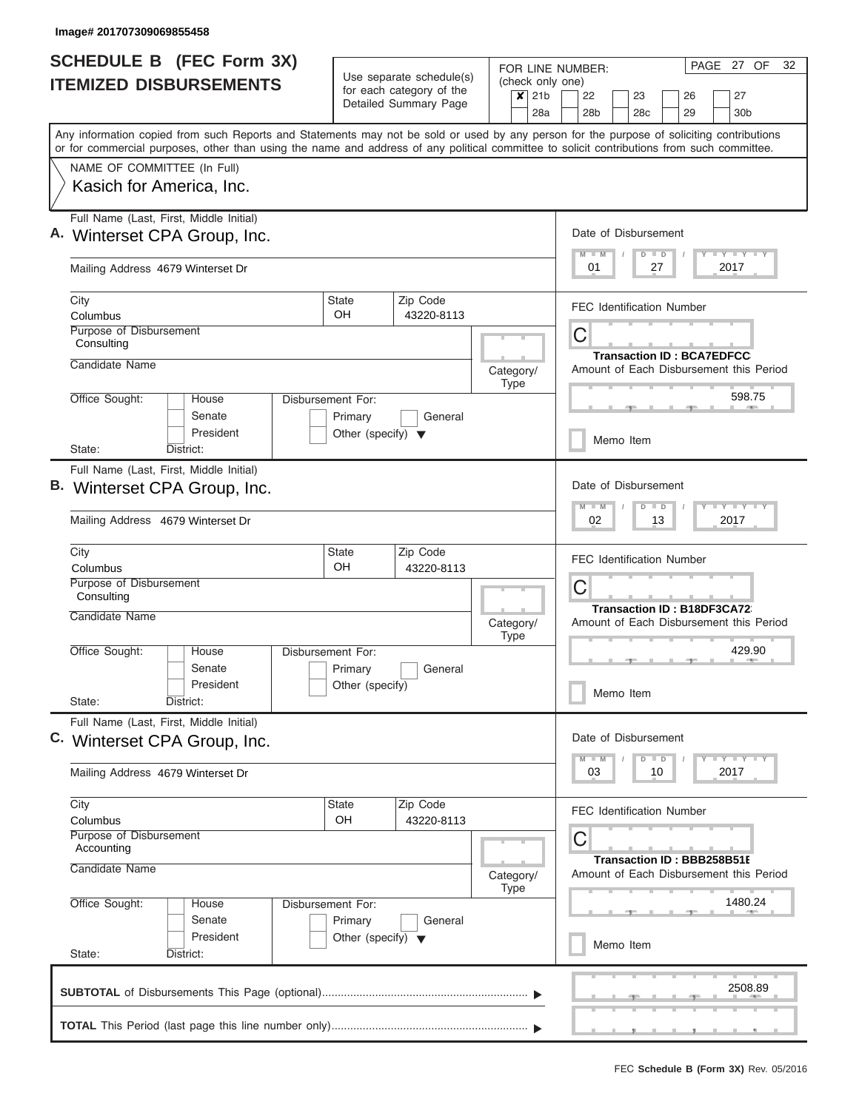| <b>SCHEDULE B (FEC Form 3X)</b><br><b>ITEMIZED DISBURSEMENTS</b>                                                                                                                                                                                                                                                                                   | Use separate schedule(s)<br>for each category of the<br>$\overline{\mathsf{x}}$ 21b<br>Detailed Summary Page |         |                          | PAGE 27 OF<br>32<br>FOR LINE NUMBER:<br>(check only one)<br>22<br>26<br>27<br>23<br>28a<br>28b<br>28 <sub>c</sub><br>29<br>30 <sub>b</sub> |  |  |  |
|----------------------------------------------------------------------------------------------------------------------------------------------------------------------------------------------------------------------------------------------------------------------------------------------------------------------------------------------------|--------------------------------------------------------------------------------------------------------------|---------|--------------------------|--------------------------------------------------------------------------------------------------------------------------------------------|--|--|--|
| Any information copied from such Reports and Statements may not be sold or used by any person for the purpose of soliciting contributions<br>or for commercial purposes, other than using the name and address of any political committee to solicit contributions from such committee.<br>NAME OF COMMITTEE (In Full)<br>Kasich for America, Inc. |                                                                                                              |         |                          |                                                                                                                                            |  |  |  |
| Full Name (Last, First, Middle Initial)<br>A. Winterset CPA Group, Inc.<br>Mailing Address 4679 Winterset Dr                                                                                                                                                                                                                                       |                                                                                                              |         |                          | Date of Disbursement<br>Y I Y I Y I Y<br>$M$ $M$<br>$D$ $D$<br>01<br>27<br>2017                                                            |  |  |  |
| City<br>Columbus<br><b>Purpose of Disbursement</b>                                                                                                                                                                                                                                                                                                 | Zip Code<br><b>State</b><br>OH<br>43220-8113                                                                 |         |                          | <b>FEC Identification Number</b>                                                                                                           |  |  |  |
| Consulting<br>Candidate Name                                                                                                                                                                                                                                                                                                                       |                                                                                                              |         | Category/<br><b>Type</b> | C<br><b>Transaction ID: BCA7EDFCC</b><br>Amount of Each Disbursement this Period                                                           |  |  |  |
| Office Sought:<br>House<br>Senate<br>President                                                                                                                                                                                                                                                                                                     | Disbursement For:<br>Primary<br>Other (specify) $\blacktriangledown$                                         | General |                          | 598.75<br>Memo Item                                                                                                                        |  |  |  |
| District:<br>State:<br>Full Name (Last, First, Middle Initial)<br>B. Winterset CPA Group, Inc.<br>Mailing Address 4679 Winterset Dr                                                                                                                                                                                                                |                                                                                                              |         |                          | Date of Disbursement<br>$M - M$<br>$Y - Y - Y - Y - I - Y$<br>$D$ $D$<br>02<br>13<br>2017                                                  |  |  |  |
| City<br>Columbus<br>Purpose of Disbursement<br>Consulting                                                                                                                                                                                                                                                                                          | Zip Code<br><b>State</b><br><b>OH</b><br>43220-8113                                                          |         |                          | <b>FEC Identification Number</b><br>C                                                                                                      |  |  |  |
| Candidate Name<br>Office Sought:<br>House<br>Senate<br>President<br>District:                                                                                                                                                                                                                                                                      | Disbursement For:<br>Primary<br>Other (specify)                                                              | General | Category/<br><b>Type</b> | Transaction ID: B18DF3CA72<br>Amount of Each Disbursement this Period<br>429.90<br>$-0.001$<br>$-1$<br>Memo Item                           |  |  |  |
| State:<br>Full Name (Last, First, Middle Initial)<br>C. Winterset CPA Group, Inc.<br>Mailing Address 4679 Winterset Dr                                                                                                                                                                                                                             |                                                                                                              |         |                          | Date of Disbursement<br>$M$ $M$<br>$D$ $D$<br>$\bot$ $\gamma$ $\bot$ $\gamma$ $\bot$ $\gamma$<br>2017<br>03<br>10                          |  |  |  |
| City<br>Columbus<br>Purpose of Disbursement<br>Accounting<br>Candidate Name                                                                                                                                                                                                                                                                        | Zip Code<br>State<br>OH<br>43220-8113                                                                        |         | Category/<br>Type        | <b>FEC Identification Number</b><br>С<br>Transaction ID: BBB258B51E<br>Amount of Each Disbursement this Period                             |  |  |  |
| Office Sought:<br>House<br>Senate<br>President<br>State:<br>District:                                                                                                                                                                                                                                                                              | Disbursement For:<br>Primary<br>Other (specify) $\blacktriangledown$                                         | General |                          | 1480.24<br>Memo Item                                                                                                                       |  |  |  |
|                                                                                                                                                                                                                                                                                                                                                    |                                                                                                              |         |                          |                                                                                                                                            |  |  |  |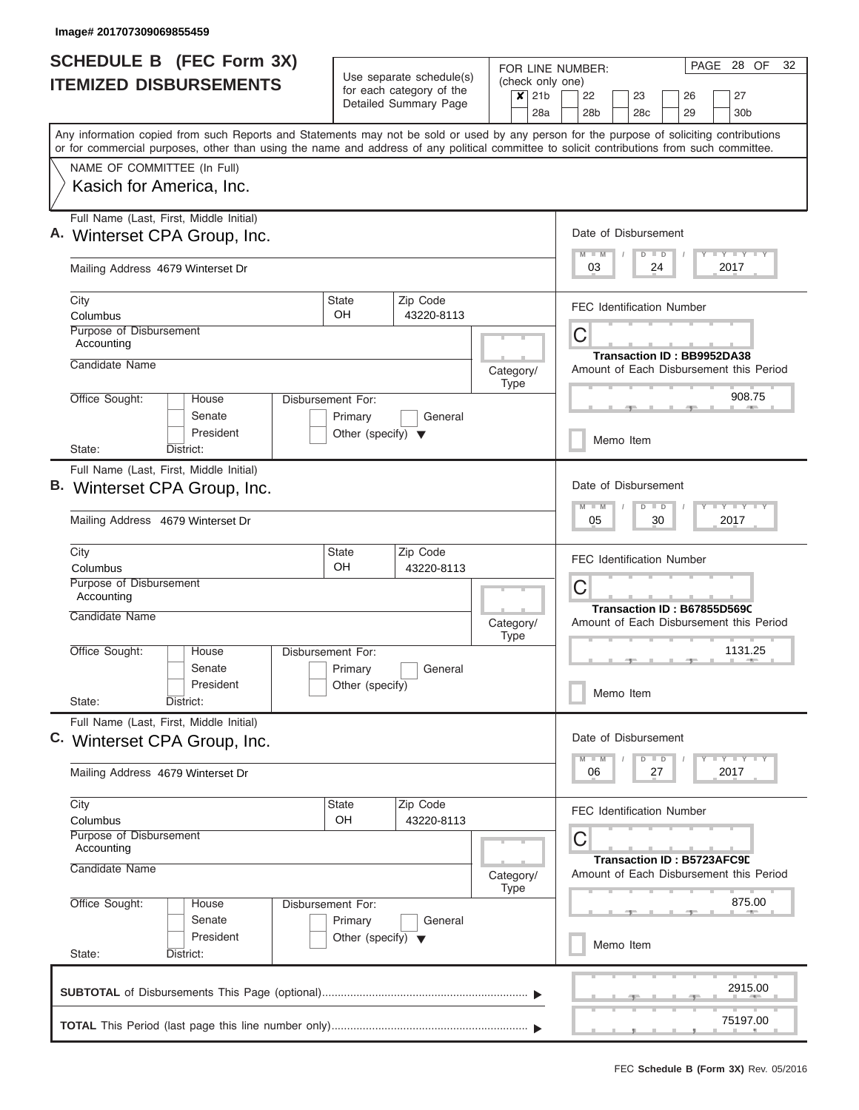| <b>SCHEDULE B (FEC Form 3X)</b><br><b>ITEMIZED DISBURSEMENTS</b>                                                                                                                                                                                                                        | Use separate schedule(s)                          | FOR LINE NUMBER:<br>(check only one)                                  | PAGE 28 OF<br>32                                                      |  |  |  |
|-----------------------------------------------------------------------------------------------------------------------------------------------------------------------------------------------------------------------------------------------------------------------------------------|---------------------------------------------------|-----------------------------------------------------------------------|-----------------------------------------------------------------------|--|--|--|
|                                                                                                                                                                                                                                                                                         | for each category of the<br>Detailed Summary Page | $\overline{\mathsf{x}}$ 21b<br>28a                                    | 22<br>27<br>23<br>26<br>28b<br>28c<br>29<br>30 <sub>b</sub>           |  |  |  |
| Any information copied from such Reports and Statements may not be sold or used by any person for the purpose of soliciting contributions<br>or for commercial purposes, other than using the name and address of any political committee to solicit contributions from such committee. |                                                   |                                                                       |                                                                       |  |  |  |
| NAME OF COMMITTEE (In Full)                                                                                                                                                                                                                                                             |                                                   |                                                                       |                                                                       |  |  |  |
| Kasich for America, Inc.                                                                                                                                                                                                                                                                |                                                   |                                                                       |                                                                       |  |  |  |
| Full Name (Last, First, Middle Initial)<br>A. Winterset CPA Group, Inc.                                                                                                                                                                                                                 |                                                   |                                                                       | Date of Disbursement                                                  |  |  |  |
| Mailing Address 4679 Winterset Dr                                                                                                                                                                                                                                                       |                                                   |                                                                       | $+Y+Y+Y$<br>$D$ $D$<br>03<br>24<br>2017                               |  |  |  |
| City<br>Columbus                                                                                                                                                                                                                                                                        | Zip Code<br><b>State</b><br>OH<br>43220-8113      |                                                                       | <b>FEC Identification Number</b>                                      |  |  |  |
| Purpose of Disbursement<br>Accounting                                                                                                                                                                                                                                                   |                                                   |                                                                       | C                                                                     |  |  |  |
| Candidate Name                                                                                                                                                                                                                                                                          |                                                   | Category/<br><b>Type</b>                                              | Transaction ID: BB9952DA38<br>Amount of Each Disbursement this Period |  |  |  |
| Office Sought:<br>House<br>Senate                                                                                                                                                                                                                                                       | Disbursement For:<br>Primary<br>General           |                                                                       | 908.75                                                                |  |  |  |
| President<br>District:<br>State:                                                                                                                                                                                                                                                        | Other (specify) $\blacktriangledown$              |                                                                       | Memo Item                                                             |  |  |  |
| Full Name (Last, First, Middle Initial)                                                                                                                                                                                                                                                 |                                                   |                                                                       |                                                                       |  |  |  |
| Winterset CPA Group, Inc.                                                                                                                                                                                                                                                               |                                                   |                                                                       |                                                                       |  |  |  |
| Mailing Address 4679 Winterset Dr                                                                                                                                                                                                                                                       |                                                   |                                                                       | $T - Y$ $T - Y$ $T - Y$<br>$D$ $D$<br>05<br>30<br>2017                |  |  |  |
| City<br>Columbus                                                                                                                                                                                                                                                                        | Zip Code<br><b>State</b><br>OH<br>43220-8113      |                                                                       | <b>FEC Identification Number</b>                                      |  |  |  |
| Purpose of Disbursement<br>Accounting                                                                                                                                                                                                                                                   |                                                   |                                                                       | C<br>Transaction ID: B67855D569C                                      |  |  |  |
| Candidate Name                                                                                                                                                                                                                                                                          |                                                   | Category/<br><b>Type</b>                                              | Amount of Each Disbursement this Period                               |  |  |  |
| Office Sought:<br>House<br>Senate                                                                                                                                                                                                                                                       | Disbursement For:<br>Primary<br>General           |                                                                       | 1131.25<br>$-1$                                                       |  |  |  |
| President<br>State:<br>District:                                                                                                                                                                                                                                                        | Other (specify)                                   |                                                                       | Memo Item                                                             |  |  |  |
| Full Name (Last, First, Middle Initial)<br>C. Winterset CPA Group, Inc.                                                                                                                                                                                                                 |                                                   |                                                                       | Date of Disbursement                                                  |  |  |  |
|                                                                                                                                                                                                                                                                                         |                                                   |                                                                       | $D$ $D$<br>$Y + Y + Y$<br>$M - M$<br>2017<br>06                       |  |  |  |
| Mailing Address 4679 Winterset Dr                                                                                                                                                                                                                                                       |                                                   |                                                                       | 27                                                                    |  |  |  |
| City<br>Columbus                                                                                                                                                                                                                                                                        | Zip Code<br>State<br>OH<br>43220-8113             |                                                                       | <b>FEC Identification Number</b>                                      |  |  |  |
| Purpose of Disbursement<br>Accounting                                                                                                                                                                                                                                                   |                                                   | С                                                                     |                                                                       |  |  |  |
| Candidate Name                                                                                                                                                                                                                                                                          | Category/<br>Type                                 | Transaction ID: B5723AFC9D<br>Amount of Each Disbursement this Period |                                                                       |  |  |  |
| Office Sought:<br>House<br>Senate                                                                                                                                                                                                                                                       | Disbursement For:<br>Primary<br>General           |                                                                       | 875.00                                                                |  |  |  |
| President<br>State:<br>District:                                                                                                                                                                                                                                                        | Other (specify) $\blacktriangledown$              |                                                                       | Memo Item                                                             |  |  |  |
|                                                                                                                                                                                                                                                                                         |                                                   |                                                                       | 2915.00                                                               |  |  |  |
|                                                                                                                                                                                                                                                                                         |                                                   |                                                                       |                                                                       |  |  |  |
|                                                                                                                                                                                                                                                                                         |                                                   |                                                                       | 75197.00                                                              |  |  |  |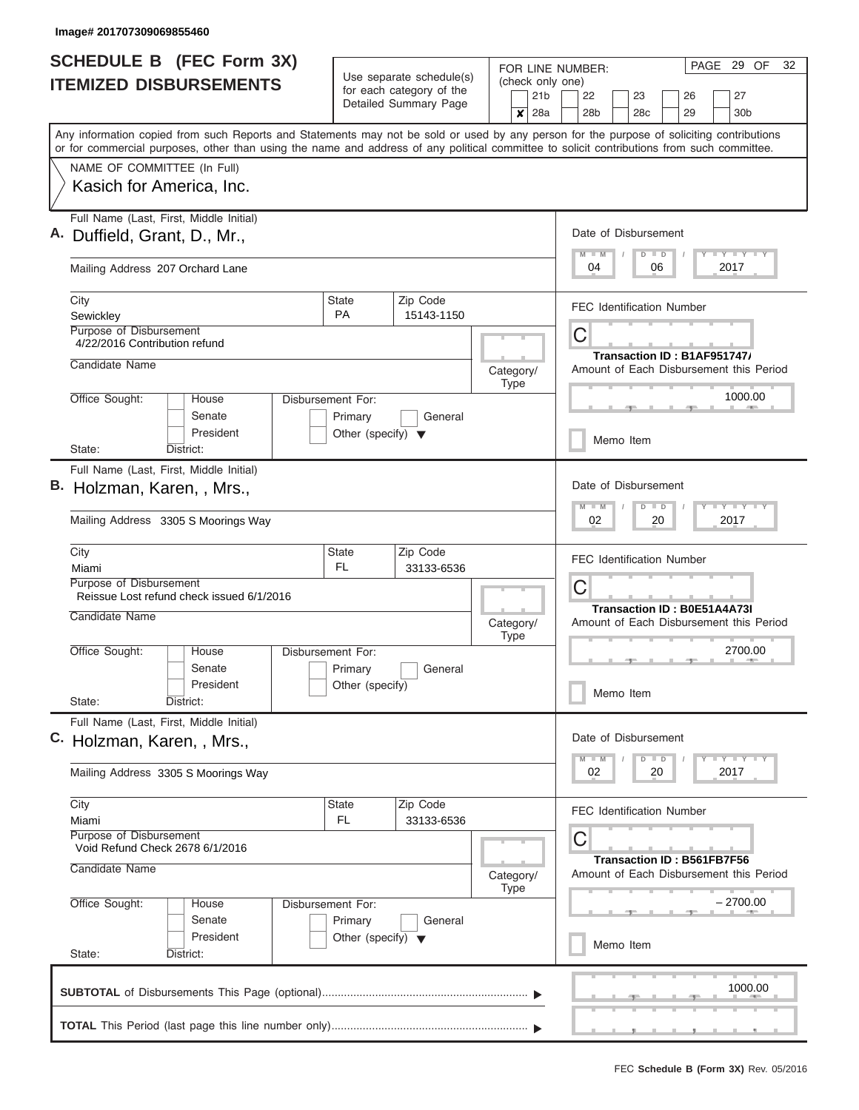| <b>SCHEDULE B (FEC Form 3X)</b><br><b>ITEMIZED DISBURSEMENTS</b>                                                                           | Use separate schedule(s)<br>for each category of the | FOR LINE NUMBER:<br>(check only one) | PAGE 29 OF<br>32                                                        |
|--------------------------------------------------------------------------------------------------------------------------------------------|------------------------------------------------------|--------------------------------------|-------------------------------------------------------------------------|
|                                                                                                                                            | Detailed Summary Page                                | 21 <sub>b</sub><br>$\times$ 28a      | 22<br>23<br>26<br>27<br>28 <sub>b</sub><br>28 <sub>c</sub><br>29<br>30b |
| Any information copied from such Reports and Statements may not be sold or used by any person for the purpose of soliciting contributions  |                                                      |                                      |                                                                         |
| or for commercial purposes, other than using the name and address of any political committee to solicit contributions from such committee. |                                                      |                                      |                                                                         |
| NAME OF COMMITTEE (In Full)                                                                                                                |                                                      |                                      |                                                                         |
| Kasich for America, Inc.                                                                                                                   |                                                      |                                      |                                                                         |
| Full Name (Last, First, Middle Initial)                                                                                                    |                                                      |                                      | Date of Disbursement                                                    |
| Duffield, Grant, D., Mr.,                                                                                                                  |                                                      |                                      | <b>TY TY TY</b><br>$D$ $D$                                              |
| Mailing Address 207 Orchard Lane                                                                                                           |                                                      |                                      | 04<br>06<br>2017                                                        |
| City<br>Sewickley                                                                                                                          | Zip Code<br><b>State</b><br><b>PA</b><br>15143-1150  |                                      | <b>FEC Identification Number</b>                                        |
| <b>Purpose of Disbursement</b>                                                                                                             |                                                      |                                      | C                                                                       |
| 4/22/2016 Contribution refund                                                                                                              |                                                      |                                      | Transaction ID: B1AF951747                                              |
| Candidate Name                                                                                                                             |                                                      | Category/<br>Type                    | Amount of Each Disbursement this Period                                 |
| Office Sought:<br>House                                                                                                                    | Disbursement For:                                    |                                      | 1000.00                                                                 |
| Senate<br>President                                                                                                                        | Primary<br>General                                   |                                      |                                                                         |
| State:<br>District:                                                                                                                        | Other (specify) $\blacktriangledown$                 |                                      | Memo Item                                                               |
| Full Name (Last, First, Middle Initial)                                                                                                    |                                                      |                                      |                                                                         |
| B. Holzman, Karen, , Mrs.,                                                                                                                 |                                                      |                                      | Date of Disbursement                                                    |
| Mailing Address 3305 S Moorings Way                                                                                                        |                                                      |                                      | $T - Y = T - Y$<br>$D$ $D$<br>02<br>20<br>2017                          |
| City<br>Miami                                                                                                                              | Zip Code<br><b>State</b><br>FL.<br>33133-6536        |                                      | <b>FEC Identification Number</b>                                        |
| Purpose of Disbursement                                                                                                                    |                                                      |                                      | C                                                                       |
| Reissue Lost refund check issued 6/1/2016                                                                                                  |                                                      |                                      | <b>Transaction ID: B0E51A4A73I</b>                                      |
| Candidate Name                                                                                                                             |                                                      | Category/<br><b>Type</b>             | Amount of Each Disbursement this Period                                 |
| Office Sought:<br>House                                                                                                                    | Disbursement For:                                    |                                      | 2700.00<br>$-1$                                                         |
| Senate                                                                                                                                     | Primary<br>General                                   |                                      |                                                                         |
| President<br>State:<br>District:                                                                                                           | Other (specify)                                      |                                      | Memo Item                                                               |
| Full Name (Last, First, Middle Initial)                                                                                                    |                                                      |                                      |                                                                         |
| C. Holzman, Karen, , Mrs.,                                                                                                                 |                                                      |                                      | Date of Disbursement                                                    |
| Mailing Address 3305 S Moorings Way                                                                                                        |                                                      |                                      | $D$ $D$<br>$Y$ $Y$ $Y$ $Y$<br>$M - M$<br>02<br>20<br>2017               |
| City                                                                                                                                       | Zip Code<br><b>State</b><br>FL.<br>33133-6536        |                                      | <b>FEC Identification Number</b>                                        |
| Miami<br>Purpose of Disbursement<br>Void Refund Check 2678 6/1/2016                                                                        |                                                      |                                      | С                                                                       |
| Candidate Name                                                                                                                             |                                                      | Category/                            | Transaction ID: B561FB7F56<br>Amount of Each Disbursement this Period   |
| Office Sought:<br>House                                                                                                                    | Disbursement For:                                    | Type                                 | – 2700.00                                                               |
| Senate                                                                                                                                     | Primary<br>General                                   |                                      |                                                                         |
| President<br>State:<br>District:                                                                                                           | Other (specify) $\blacktriangledown$                 |                                      | Memo Item                                                               |
|                                                                                                                                            |                                                      |                                      | 1000.00                                                                 |
|                                                                                                                                            |                                                      |                                      |                                                                         |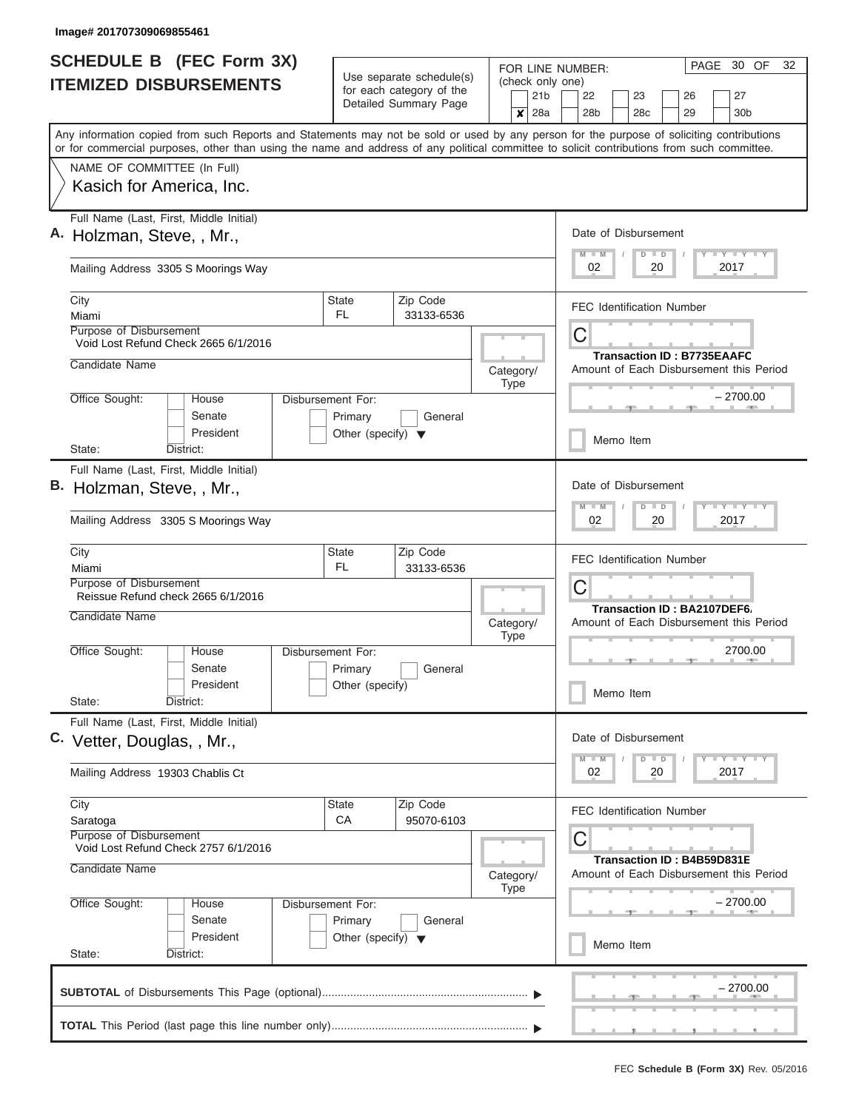| <b>SCHEDULE B (FEC Form 3X)</b><br><b>ITEMIZED DISBURSEMENTS</b>                                                                           |                                      | Use separate schedule(s)<br>for each category of the | FOR LINE NUMBER:<br>(check only one)<br>21 <sub>b</sub> | PAGE<br>30 OF<br>32<br>22<br>27<br>23<br>26                                  |
|--------------------------------------------------------------------------------------------------------------------------------------------|--------------------------------------|------------------------------------------------------|---------------------------------------------------------|------------------------------------------------------------------------------|
| Any information copied from such Reports and Statements may not be sold or used by any person for the purpose of soliciting contributions  |                                      | Detailed Summary Page                                |                                                         | 28b<br>28 <sub>c</sub><br>29<br>30 <sub>b</sub>                              |
| or for commercial purposes, other than using the name and address of any political committee to solicit contributions from such committee. |                                      |                                                      |                                                         |                                                                              |
| NAME OF COMMITTEE (In Full)                                                                                                                |                                      |                                                      |                                                         |                                                                              |
| Kasich for America, Inc.                                                                                                                   |                                      |                                                      |                                                         |                                                                              |
| Full Name (Last, First, Middle Initial)<br>Holzman, Steve, , Mr.,                                                                          |                                      |                                                      |                                                         | Date of Disbursement                                                         |
| Mailing Address 3305 S Moorings Way                                                                                                        |                                      |                                                      |                                                         | <b>LY LY LY</b><br>$M$ $M$<br>$D$ $D$<br>02<br>20<br>2017                    |
| City<br>Miami                                                                                                                              | <b>State</b><br>FL.                  | Zip Code<br>33133-6536                               |                                                         | <b>FEC Identification Number</b>                                             |
| <b>Purpose of Disbursement</b><br>Void Lost Refund Check 2665 6/1/2016                                                                     |                                      |                                                      |                                                         | С                                                                            |
| Candidate Name                                                                                                                             |                                      |                                                      | Category/<br><b>Type</b>                                | <b>Transaction ID: B7735EAAFC</b><br>Amount of Each Disbursement this Period |
| Office Sought:<br>House<br>Senate                                                                                                          | Disbursement For:<br>Primary         | General                                              |                                                         | – 2700.00                                                                    |
| President<br>District:<br>State:                                                                                                           | Other (specify) $\blacktriangledown$ |                                                      |                                                         | Memo Item                                                                    |
| Full Name (Last, First, Middle Initial)                                                                                                    |                                      |                                                      |                                                         |                                                                              |
| В.<br>Holzman, Steve, , Mr.,                                                                                                               |                                      |                                                      |                                                         | Date of Disbursement                                                         |
| Mailing Address 3305 S Moorings Way                                                                                                        |                                      |                                                      |                                                         | $T - Y = T Y - T Y$<br>M<br>$D$ $D$<br>$\blacksquare$ M<br>02<br>2017<br>20  |
| City<br>Miami                                                                                                                              | State<br>FL.                         | Zip Code<br>33133-6536                               |                                                         | <b>FEC Identification Number</b>                                             |
| Purpose of Disbursement<br>Reissue Refund check 2665 6/1/2016                                                                              |                                      |                                                      |                                                         | C                                                                            |
| Candidate Name                                                                                                                             |                                      |                                                      | Category/<br><b>Type</b>                                | Transaction ID: BA2107DEF6<br>Amount of Each Disbursement this Period        |
| Office Sought:<br>House                                                                                                                    | Disbursement For:                    |                                                      |                                                         | 2700.00                                                                      |
| Senate<br>President                                                                                                                        | Primary<br>Other (specify)           | General                                              |                                                         | Memo Item                                                                    |
| State:<br>District:                                                                                                                        |                                      |                                                      |                                                         |                                                                              |
| Full Name (Last, First, Middle Initial)<br>C. Vetter, Douglas, , Mr.,                                                                      |                                      |                                                      |                                                         | Date of Disbursement                                                         |
| Mailing Address 19303 Chablis Ct                                                                                                           |                                      |                                                      |                                                         | Y FY FY FY<br>$D$ $D$<br>2017<br>02<br>20                                    |
| City<br>Saratoga                                                                                                                           | <b>State</b><br>СA                   | Zip Code<br>95070-6103                               |                                                         | <b>FEC Identification Number</b>                                             |
| Purpose of Disbursement<br>Void Lost Refund Check 2757 6/1/2016                                                                            |                                      |                                                      |                                                         | С                                                                            |
| Candidate Name                                                                                                                             |                                      |                                                      | Category/<br><b>Type</b>                                | Transaction ID: B4B59D831E<br>Amount of Each Disbursement this Period        |
| Office Sought:<br>House<br>Senate                                                                                                          | Disbursement For:<br>Primary         | General                                              |                                                         | $-2700.00$                                                                   |
| President<br>State:<br>District:                                                                                                           | Other (specify) $\blacktriangledown$ |                                                      |                                                         | Memo Item                                                                    |
|                                                                                                                                            |                                      |                                                      |                                                         | – 2700.00                                                                    |
|                                                                                                                                            |                                      |                                                      |                                                         |                                                                              |
|                                                                                                                                            |                                      |                                                      |                                                         |                                                                              |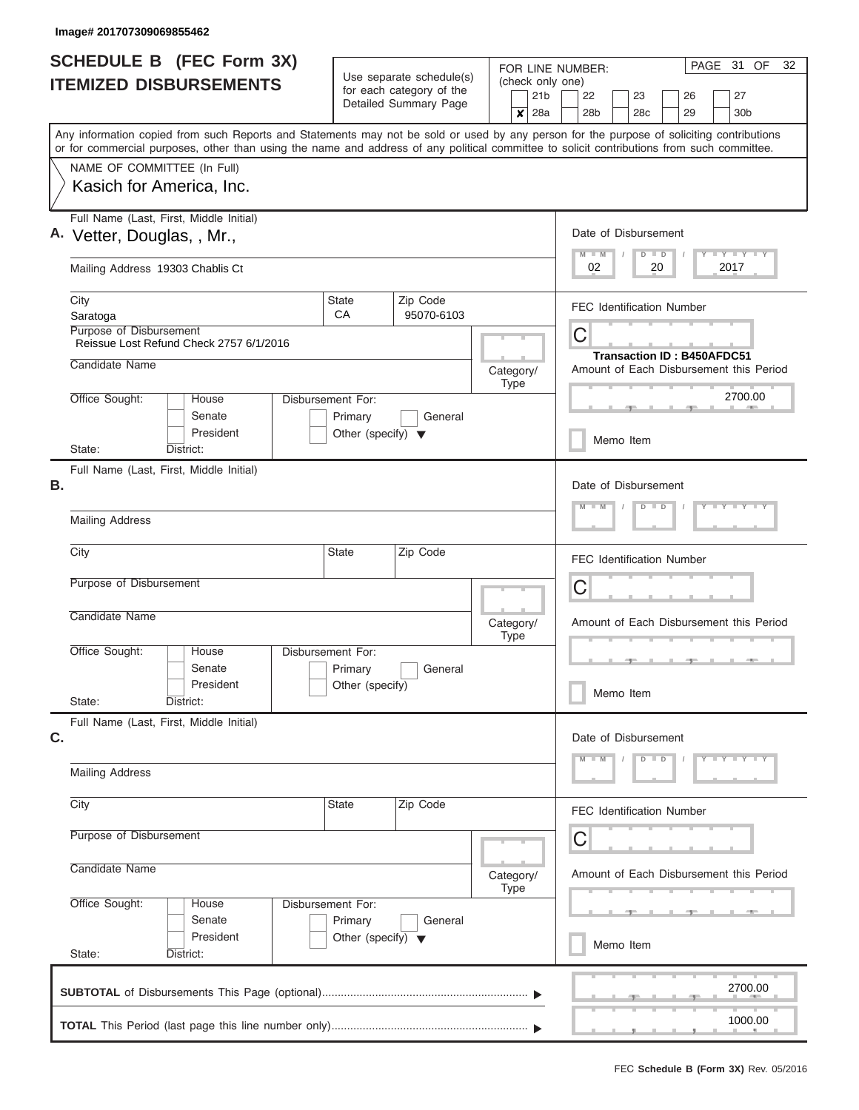| <b>SCHEDULE B</b> (FEC Form 3X)<br><b>ITEMIZED DISBURSEMENTS</b>                                                                                                                                                                                                                        |                                      | Use separate schedule(s)<br>for each category of the<br>Detailed Summary Page |                   | PAGE 31 OF<br>32<br>FOR LINE NUMBER:<br>(check only one)<br>22<br>23<br>26<br>27 |  |
|-----------------------------------------------------------------------------------------------------------------------------------------------------------------------------------------------------------------------------------------------------------------------------------------|--------------------------------------|-------------------------------------------------------------------------------|-------------------|----------------------------------------------------------------------------------|--|
|                                                                                                                                                                                                                                                                                         |                                      |                                                                               |                   | 28 <sub>b</sub><br>28c<br>29<br>30 <sub>b</sub>                                  |  |
| Any information copied from such Reports and Statements may not be sold or used by any person for the purpose of soliciting contributions<br>or for commercial purposes, other than using the name and address of any political committee to solicit contributions from such committee. |                                      |                                                                               |                   |                                                                                  |  |
| NAME OF COMMITTEE (In Full)                                                                                                                                                                                                                                                             |                                      |                                                                               |                   |                                                                                  |  |
| Kasich for America, Inc.                                                                                                                                                                                                                                                                |                                      |                                                                               |                   |                                                                                  |  |
| Full Name (Last, First, Middle Initial)<br>A. Vetter, Douglas, , Mr.,                                                                                                                                                                                                                   |                                      |                                                                               |                   | Date of Disbursement<br>Y LY LY LY                                               |  |
| Mailing Address 19303 Chablis Ct                                                                                                                                                                                                                                                        |                                      |                                                                               |                   | $M$ $M$<br>$D$ $D$<br>2017<br>02<br>20                                           |  |
| City<br>Saratoga                                                                                                                                                                                                                                                                        | State<br>CA                          | Zip Code<br>95070-6103                                                        |                   | <b>FEC Identification Number</b>                                                 |  |
| Purpose of Disbursement<br>Reissue Lost Refund Check 2757 6/1/2016                                                                                                                                                                                                                      |                                      |                                                                               |                   | С                                                                                |  |
| Candidate Name                                                                                                                                                                                                                                                                          |                                      |                                                                               | Category/<br>Type | <b>Transaction ID: B450AFDC51</b><br>Amount of Each Disbursement this Period     |  |
| Office Sought:<br>House<br>Senate                                                                                                                                                                                                                                                       | Disbursement For:<br>Primary         | General                                                                       |                   | 2700.00                                                                          |  |
| President<br>State:<br>District:                                                                                                                                                                                                                                                        | Other (specify) $\blacktriangledown$ |                                                                               |                   | Memo Item                                                                        |  |
| Full Name (Last, First, Middle Initial)                                                                                                                                                                                                                                                 |                                      |                                                                               |                   |                                                                                  |  |
| В.                                                                                                                                                                                                                                                                                      |                                      |                                                                               |                   | Date of Disbursement<br>$Y = Y = Y = Y + Y$<br>$D$ $D$                           |  |
| <b>Mailing Address</b>                                                                                                                                                                                                                                                                  |                                      |                                                                               |                   |                                                                                  |  |
| City                                                                                                                                                                                                                                                                                    | State                                | Zip Code                                                                      |                   | <b>FEC Identification Number</b>                                                 |  |
| Purpose of Disbursement                                                                                                                                                                                                                                                                 |                                      |                                                                               |                   | С                                                                                |  |
| Candidate Name                                                                                                                                                                                                                                                                          |                                      |                                                                               | Category/<br>Type | Amount of Each Disbursement this Period                                          |  |
| Office Sought:<br>House                                                                                                                                                                                                                                                                 | Disbursement For:                    |                                                                               |                   |                                                                                  |  |
| Senate<br>President                                                                                                                                                                                                                                                                     | Primary<br>Other (specify)           | General                                                                       |                   | Memo Item                                                                        |  |
| State:<br>District:<br>Full Name (Last, First, Middle Initial)                                                                                                                                                                                                                          |                                      |                                                                               |                   |                                                                                  |  |
| C.                                                                                                                                                                                                                                                                                      |                                      |                                                                               |                   | Date of Disbursement                                                             |  |
| <b>Mailing Address</b>                                                                                                                                                                                                                                                                  |                                      |                                                                               |                   | $Y$ $Y$ $Y$ $Y$ $Y$<br>$D$ $D$<br>$M - M$                                        |  |
| City                                                                                                                                                                                                                                                                                    | State                                | Zip Code                                                                      |                   | <b>FEC Identification Number</b>                                                 |  |
| Purpose of Disbursement                                                                                                                                                                                                                                                                 |                                      |                                                                               |                   | С                                                                                |  |
| Candidate Name                                                                                                                                                                                                                                                                          |                                      |                                                                               | Category/<br>Type | Amount of Each Disbursement this Period                                          |  |
| Office Sought:<br>House<br>Senate                                                                                                                                                                                                                                                       | Disbursement For:<br>Primary         | General                                                                       |                   |                                                                                  |  |
| President<br>State:<br>District:                                                                                                                                                                                                                                                        | Other (specify) $\blacktriangledown$ |                                                                               |                   | Memo Item                                                                        |  |
|                                                                                                                                                                                                                                                                                         |                                      |                                                                               |                   | 2700.00                                                                          |  |
|                                                                                                                                                                                                                                                                                         |                                      |                                                                               |                   |                                                                                  |  |
|                                                                                                                                                                                                                                                                                         |                                      |                                                                               |                   | 1000.00                                                                          |  |